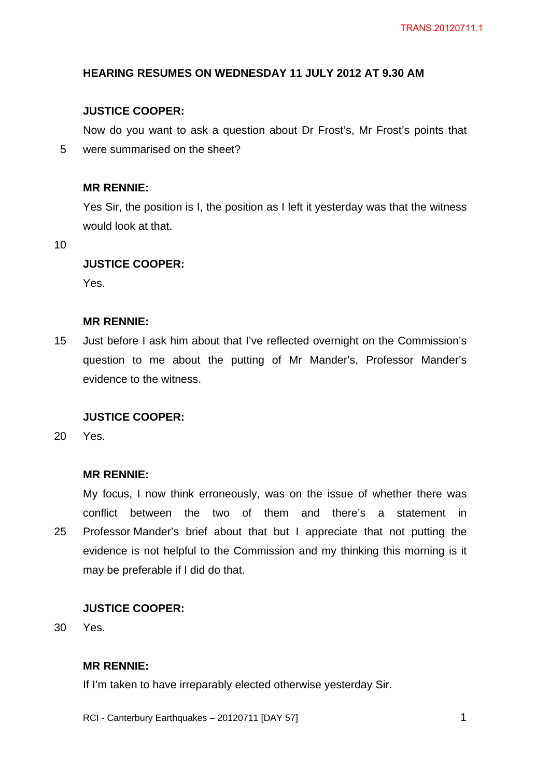### **HEARING RESUMES ON WEDNESDAY 11 JULY 2012 AT 9.30 AM**

# **JUSTICE COOPER:**

Now do you want to ask a question about Dr Frost's, Mr Frost's points that were summarised on the sheet?

#### **MR RENNIE:**

Yes Sir, the position is I, the position as I left it yesterday was that the witness would look at that.

10

5

# **JUSTICE COOPER:**

Yes.

#### **MR RENNIE:**

15 Just before I ask him about that I've reflected overnight on the Commission's question to me about the putting of Mr Mander's, Professor Mander's evidence to the witness.

#### **JUSTICE COOPER:**

 $20<sub>2</sub>$ Yes.

#### **MR RENNIE:**

25 My focus, I now think erroneously, was on the issue of whether there was conflict between the two of them and there's a statement in Professor Mander's brief about that but I appreciate that not putting the evidence is not helpful to the Commission and my thinking this morning is it may be preferable if I did do that.

#### **JUSTICE COOPER:**

30 Yes.

# **MR RENNIE:**

If I'm taken to have irreparably elected otherwise yesterday Sir.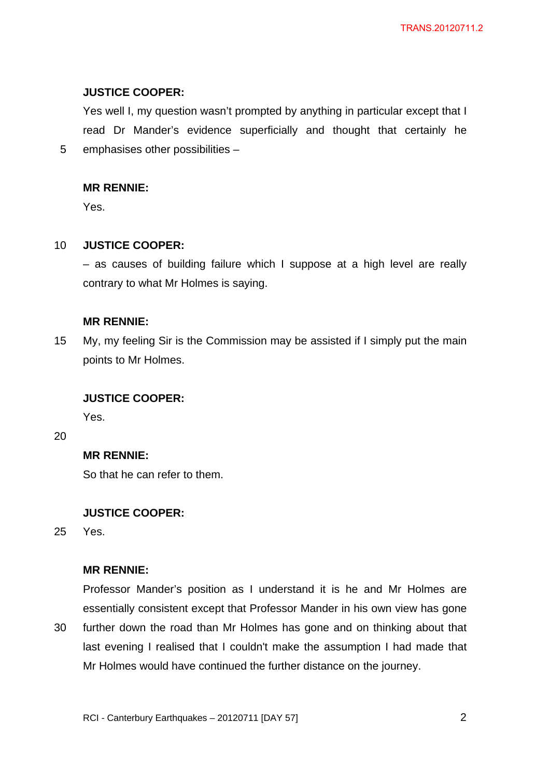### **JUSTICE COOPER:**

Yes well I, my question wasn't prompted by anything in particular except that I read Dr Mander's evidence superficially and thought that certainly he emphasises other possibilities –

#### **MR RENNIE:**

Yes.

5

#### 10 **JUSTICE COOPER:**

– as causes of building failure which I suppose at a high level are really contrary to what Mr Holmes is saying.

#### **MR RENNIE:**

15 My, my feeling Sir is the Commission may be assisted if I simply put the main points to Mr Holmes.

#### **JUSTICE COOPER:**

Yes.

20

### **MR RENNIE:**

So that he can refer to them.

# **JUSTICE COOPER:**

25 Yes.

#### **MR RENNIE:**

30 Professor Mander's position as I understand it is he and Mr Holmes are essentially consistent except that Professor Mander in his own view has gone further down the road than Mr Holmes has gone and on thinking about that last evening I realised that I couldn't make the assumption I had made that Mr Holmes would have continued the further distance on the journey.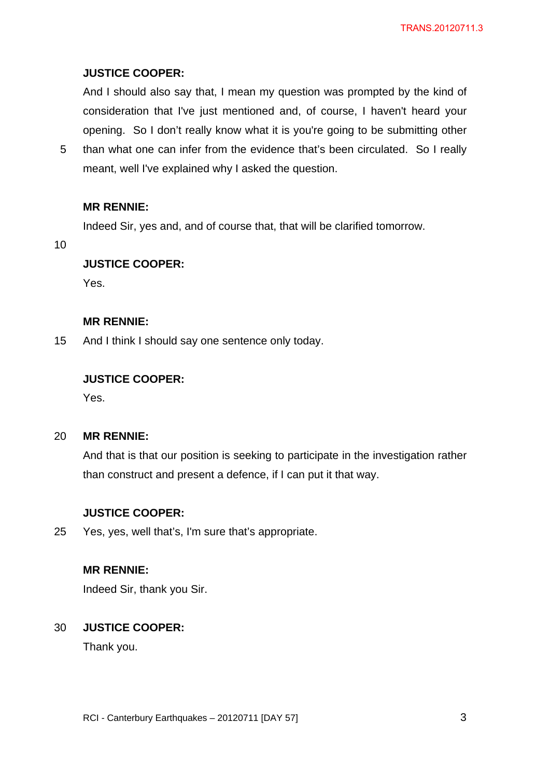# **JUSTICE COOPER:**

And I should also say that, I mean my question was prompted by the kind of consideration that I've just mentioned and, of course, I haven't heard your opening. So I don't really know what it is you're going to be submitting other

5 than what one can infer from the evidence that's been circulated. So I really meant, well I've explained why I asked the question.

### **MR RENNIE:**

Indeed Sir, yes and, and of course that, that will be clarified tomorrow.

10

# **JUSTICE COOPER:**

Yes.

#### **MR RENNIE:**

15 And I think I should say one sentence only today.

# **JUSTICE COOPER:**

Yes.

#### $20<sub>2</sub>$ **MR RENNIE:**

And that is that our position is seeking to participate in the investigation rather than construct and present a defence, if I can put it that way.

# **JUSTICE COOPER:**

25 Yes, yes, well that's, I'm sure that's appropriate.

# **MR RENNIE:**

Indeed Sir, thank you Sir.

#### 30 **JUSTICE COOPER:**

Thank you.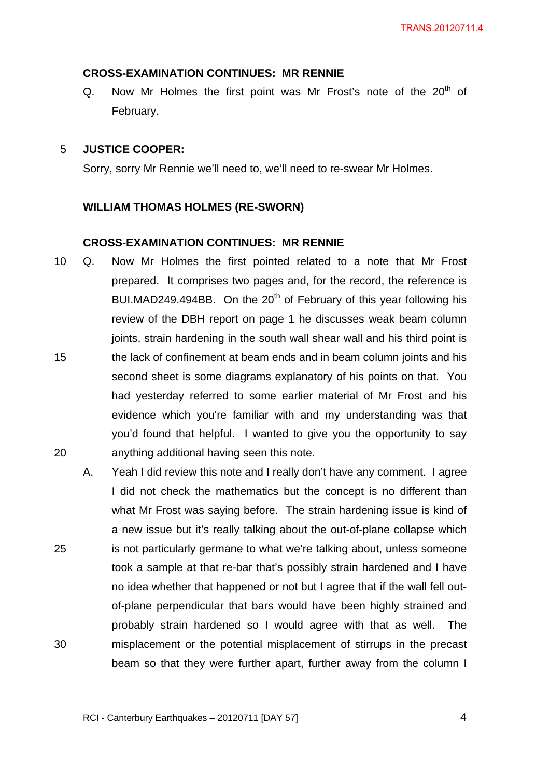### **CROSS-EXAMINATION CONTINUES: MR RENNIE**

Q. Now Mr Holmes the first point was Mr Frost's note of the  $20<sup>th</sup>$  of February.

#### 5 **JUSTICE COOPER:**

Sorry, sorry Mr Rennie we'll need to, we'll need to re-swear Mr Holmes.

# **WILLIAM THOMAS HOLMES (RE-SWORN)**

### **CROSS-EXAMINATION CONTINUES: MR RENNIE**

- 15 20 10 Q. Now Mr Holmes the first pointed related to a note that Mr Frost prepared. It comprises two pages and, for the record, the reference is BUI.MAD249.494BB. On the  $20<sup>th</sup>$  of February of this year following his review of the DBH report on page 1 he discusses weak beam column joints, strain hardening in the south wall shear wall and his third point is the lack of confinement at beam ends and in beam column joints and his second sheet is some diagrams explanatory of his points on that. You had yesterday referred to some earlier material of Mr Frost and his evidence which you're familiar with and my understanding was that you'd found that helpful. I wanted to give you the opportunity to say anything additional having seen this note.
- 25 30 A. Yeah I did review this note and I really don't have any comment. I agree I did not check the mathematics but the concept is no different than what Mr Frost was saying before. The strain hardening issue is kind of a new issue but it's really talking about the out-of-plane collapse which is not particularly germane to what we're talking about, unless someone took a sample at that re-bar that's possibly strain hardened and I have no idea whether that happened or not but I agree that if the wall fell outof-plane perpendicular that bars would have been highly strained and probably strain hardened so I would agree with that as well. The misplacement or the potential misplacement of stirrups in the precast beam so that they were further apart, further away from the column I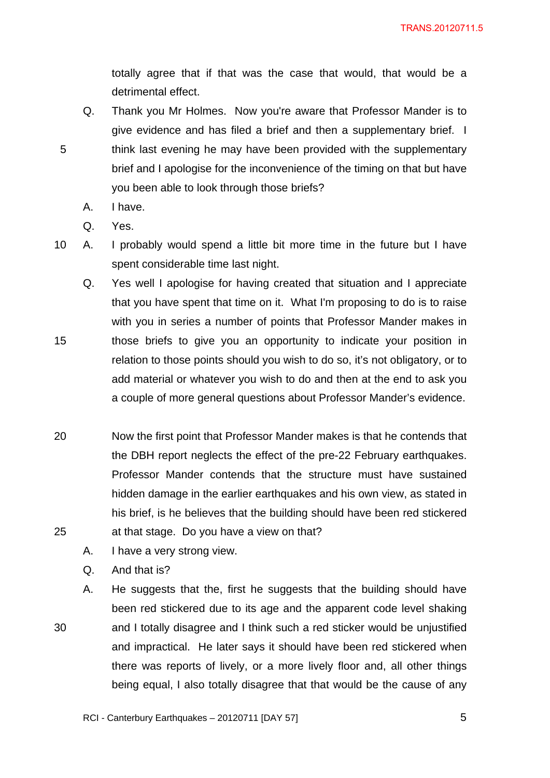totally agree that if that was the case that would, that would be a detrimental effect.

- Q. Thank you Mr Holmes. Now you're aware that Professor Mander is to give evidence and has filed a brief and then a supplementary brief. I think last evening he may have been provided with the supplementary brief and I apologise for the inconvenience of the timing on that but have you been able to look through those briefs?
	- A. I have.
	- Q. Yes.

5

15

- 10 A. I probably would spend a little bit more time in the future but I have spent considerable time last night.
	- Q. Yes well I apologise for having created that situation and I appreciate that you have spent that time on it. What I'm proposing to do is to raise with you in series a number of points that Professor Mander makes in those briefs to give you an opportunity to indicate your position in relation to those points should you wish to do so, it's not obligatory, or to add material or whatever you wish to do and then at the end to ask you a couple of more general questions about Professor Mander's evidence.
- 20 25 Now the first point that Professor Mander makes is that he contends that the DBH report neglects the effect of the pre-22 February earthquakes. Professor Mander contends that the structure must have sustained hidden damage in the earlier earthquakes and his own view, as stated in his brief, is he believes that the building should have been red stickered at that stage. Do you have a view on that?
	- A. I have a very strong view.
	- Q. And that is?
	- A. He suggests that the, first he suggests that the building should have been red stickered due to its age and the apparent code level shaking and I totally disagree and I think such a red sticker would be unjustified and impractical. He later says it should have been red stickered when there was reports of lively, or a more lively floor and, all other things being equal, I also totally disagree that that would be the cause of any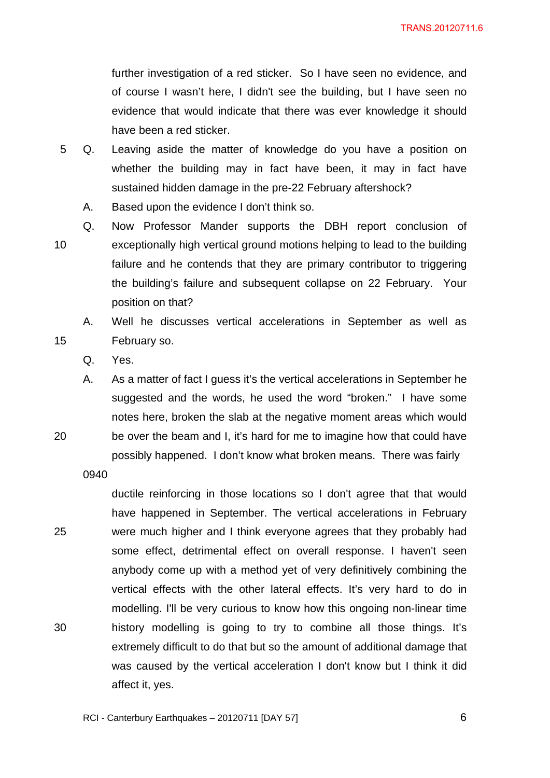further investigation of a red sticker. So I have seen no evidence, and of course I wasn't here, I didn't see the building, but I have seen no evidence that would indicate that there was ever knowledge it should have been a red sticker.

- 5 Q. Leaving aside the matter of knowledge do you have a position on whether the building may in fact have been, it may in fact have sustained hidden damage in the pre-22 February aftershock?
	- A. Based upon the evidence I don't think so.
- 10 Q. Now Professor Mander supports the DBH report conclusion of exceptionally high vertical ground motions helping to lead to the building failure and he contends that they are primary contributor to triggering the building's failure and subsequent collapse on 22 February. Your position on that?
	- A. Well he discusses vertical accelerations in September as well as February so.
	- Q. Yes.

15

20

A. As a matter of fact I guess it's the vertical accelerations in September he suggested and the words, he used the word "broken." I have some notes here, broken the slab at the negative moment areas which would be over the beam and I, it's hard for me to imagine how that could have possibly happened. I don't know what broken means. There was fairly

0940

25 30 ductile reinforcing in those locations so I don't agree that that would have happened in September. The vertical accelerations in February were much higher and I think everyone agrees that they probably had some effect, detrimental effect on overall response. I haven't seen anybody come up with a method yet of very definitively combining the vertical effects with the other lateral effects. It's very hard to do in modelling. I'll be very curious to know how this ongoing non-linear time history modelling is going to try to combine all those things. It's extremely difficult to do that but so the amount of additional damage that was caused by the vertical acceleration I don't know but I think it did affect it, yes.

 $\overline{6}$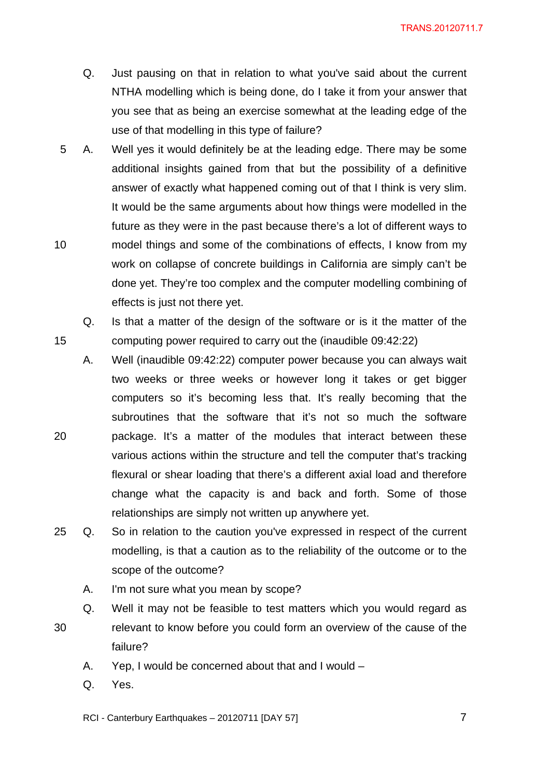- Q. Just pausing on that in relation to what you've said about the current NTHA modelling which is being done, do I take it from your answer that you see that as being an exercise somewhat at the leading edge of the use of that modelling in this type of failure?
- 10 5 A. Well yes it would definitely be at the leading edge. There may be some additional insights gained from that but the possibility of a definitive answer of exactly what happened coming out of that I think is very slim. It would be the same arguments about how things were modelled in the future as they were in the past because there's a lot of different ways to model things and some of the combinations of effects, I know from my work on collapse of concrete buildings in California are simply can't be done yet. They're too complex and the computer modelling combining of effects is just not there yet.
	- Q. Is that a matter of the design of the software or is it the matter of the computing power required to carry out the (inaudible 09:42:22)
- 20 A. Well (inaudible 09:42:22) computer power because you can always wait two weeks or three weeks or however long it takes or get bigger computers so it's becoming less that. It's really becoming that the subroutines that the software that it's not so much the software package. It's a matter of the modules that interact between these various actions within the structure and tell the computer that's tracking flexural or shear loading that there's a different axial load and therefore change what the capacity is and back and forth. Some of those relationships are simply not written up anywhere yet.
- 25 Q. So in relation to the caution you've expressed in respect of the current modelling, is that a caution as to the reliability of the outcome or to the scope of the outcome?
	- A. I'm not sure what you mean by scope?
- 30 Q. Well it may not be feasible to test matters which you would regard as relevant to know before you could form an overview of the cause of the failure?
	- A. Yep, I would be concerned about that and I would –
	- Q. Yes.

15

RCI - Canterbury Earthquakes – 20120711 [DAY 57]

 $\overline{7}$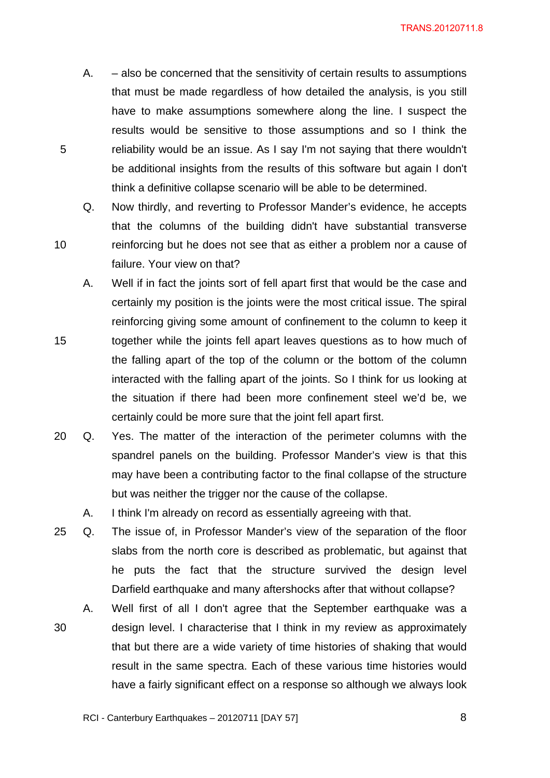A. – also be concerned that the sensitivity of certain results to assumptions that must be made regardless of how detailed the analysis, is you still have to make assumptions somewhere along the line. I suspect the results would be sensitive to those assumptions and so I think the reliability would be an issue. As I say I'm not saying that there wouldn't be additional insights from the results of this software but again I don't think a definitive collapse scenario will be able to be determined.

5

10

- Q. Now thirdly, and reverting to Professor Mander's evidence, he accepts that the columns of the building didn't have substantial transverse reinforcing but he does not see that as either a problem nor a cause of failure. Your view on that?
- 15 A. Well if in fact the joints sort of fell apart first that would be the case and certainly my position is the joints were the most critical issue. The spiral reinforcing giving some amount of confinement to the column to keep it together while the joints fell apart leaves questions as to how much of the falling apart of the top of the column or the bottom of the column interacted with the falling apart of the joints. So I think for us looking at the situation if there had been more confinement steel we'd be, we certainly could be more sure that the joint fell apart first.
- 20 Q. Yes. The matter of the interaction of the perimeter columns with the spandrel panels on the building. Professor Mander's view is that this may have been a contributing factor to the final collapse of the structure but was neither the trigger nor the cause of the collapse.
	- A. I think I'm already on record as essentially agreeing with that.
- 25 Q. The issue of, in Professor Mander's view of the separation of the floor slabs from the north core is described as problematic, but against that he puts the fact that the structure survived the design level Darfield earthquake and many aftershocks after that without collapse?
- 30 A. Well first of all I don't agree that the September earthquake was a design level. I characterise that I think in my review as approximately that but there are a wide variety of time histories of shaking that would result in the same spectra. Each of these various time histories would have a fairly significant effect on a response so although we always look

 $\overline{\phantom{a}}$  8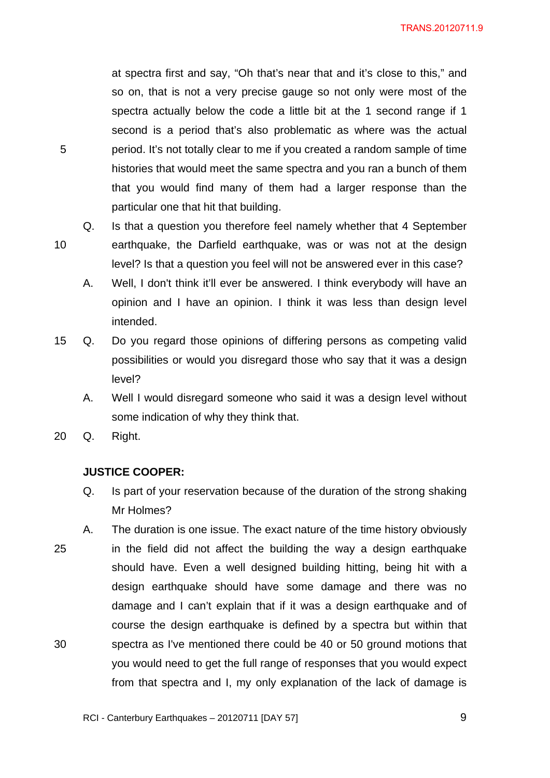at spectra first and say, "Oh that's near that and it's close to this," and so on, that is not a very precise gauge so not only were most of the spectra actually below the code a little bit at the 1 second range if 1 second is a period that's also problematic as where was the actual period. It's not totally clear to me if you created a random sample of time histories that would meet the same spectra and you ran a bunch of them that you would find many of them had a larger response than the particular one that hit that building.

- Q. Is that a question you therefore feel namely whether that 4 September earthquake, the Darfield earthquake, was or was not at the design level? Is that a question you feel will not be answered ever in this case?
	- A. Well, I don't think it'll ever be answered. I think everybody will have an opinion and I have an opinion. I think it was less than design level intended.
- 15 Q. Do you regard those opinions of differing persons as competing valid possibilities or would you disregard those who say that it was a design level?
	- A. Well I would disregard someone who said it was a design level without some indication of why they think that.
- 20 Q. Right.

5

10

# **JUSTICE COOPER:**

- Q. Is part of your reservation because of the duration of the strong shaking Mr Holmes?
- 25 30 A. The duration is one issue. The exact nature of the time history obviously in the field did not affect the building the way a design earthquake should have. Even a well designed building hitting, being hit with a design earthquake should have some damage and there was no damage and I can't explain that if it was a design earthquake and of course the design earthquake is defined by a spectra but within that spectra as I've mentioned there could be 40 or 50 ground motions that you would need to get the full range of responses that you would expect from that spectra and I, my only explanation of the lack of damage is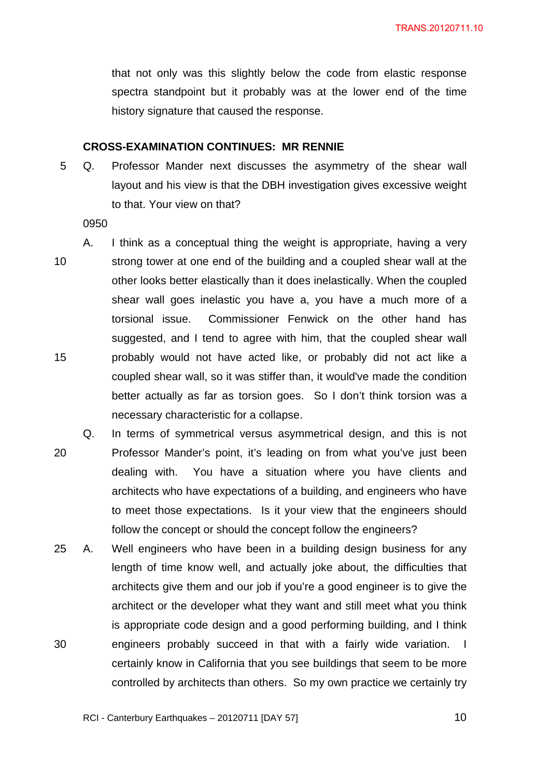that not only was this slightly below the code from elastic response spectra standpoint but it probably was at the lower end of the time history signature that caused the response.

#### **CROSS-EXAMINATION CONTINUES: MR RENNIE**

5 Q. Professor Mander next discusses the asymmetry of the shear wall layout and his view is that the DBH investigation gives excessive weight to that. Your view on that?

- 10 15 A. I think as a conceptual thing the weight is appropriate, having a very strong tower at one end of the building and a coupled shear wall at the other looks better elastically than it does inelastically. When the coupled shear wall goes inelastic you have a, you have a much more of a torsional issue. Commissioner Fenwick on the other hand has suggested, and I tend to agree with him, that the coupled shear wall probably would not have acted like, or probably did not act like a coupled shear wall, so it was stiffer than, it would've made the condition better actually as far as torsion goes. So I don't think torsion was a necessary characteristic for a collapse.
- 20 Q. In terms of symmetrical versus asymmetrical design, and this is not Professor Mander's point, it's leading on from what you've just been dealing with. You have a situation where you have clients and architects who have expectations of a building, and engineers who have to meet those expectations. Is it your view that the engineers should follow the concept or should the concept follow the engineers?
- 30 25 A. Well engineers who have been in a building design business for any length of time know well, and actually joke about, the difficulties that architects give them and our job if you're a good engineer is to give the architect or the developer what they want and still meet what you think is appropriate code design and a good performing building, and I think engineers probably succeed in that with a fairly wide variation. I certainly know in California that you see buildings that seem to be more controlled by architects than others. So my own practice we certainly try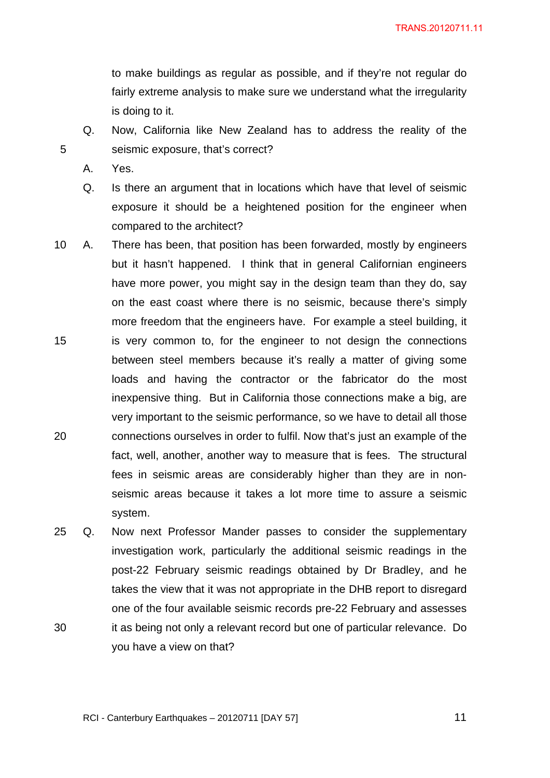to make buildings as regular as possible, and if they're not regular do fairly extreme analysis to make sure we understand what the irregularity is doing to it.

- Q. Now, California like New Zealand has to address the reality of the seismic exposure, that's correct?
- A. Yes.

- Q. Is there an argument that in locations which have that level of seismic exposure it should be a heightened position for the engineer when compared to the architect?
- 15 20 10 A. There has been, that position has been forwarded, mostly by engineers but it hasn't happened. I think that in general Californian engineers have more power, you might say in the design team than they do, say on the east coast where there is no seismic, because there's simply more freedom that the engineers have. For example a steel building, it is very common to, for the engineer to not design the connections between steel members because it's really a matter of giving some loads and having the contractor or the fabricator do the most inexpensive thing. But in California those connections make a big, are very important to the seismic performance, so we have to detail all those connections ourselves in order to fulfil. Now that's just an example of the fact, well, another, another way to measure that is fees. The structural fees in seismic areas are considerably higher than they are in nonseismic areas because it takes a lot more time to assure a seismic system.
- 30 25 Q. Now next Professor Mander passes to consider the supplementary investigation work, particularly the additional seismic readings in the post-22 February seismic readings obtained by Dr Bradley, and he takes the view that it was not appropriate in the DHB report to disregard one of the four available seismic records pre-22 February and assesses it as being not only a relevant record but one of particular relevance. Do you have a view on that?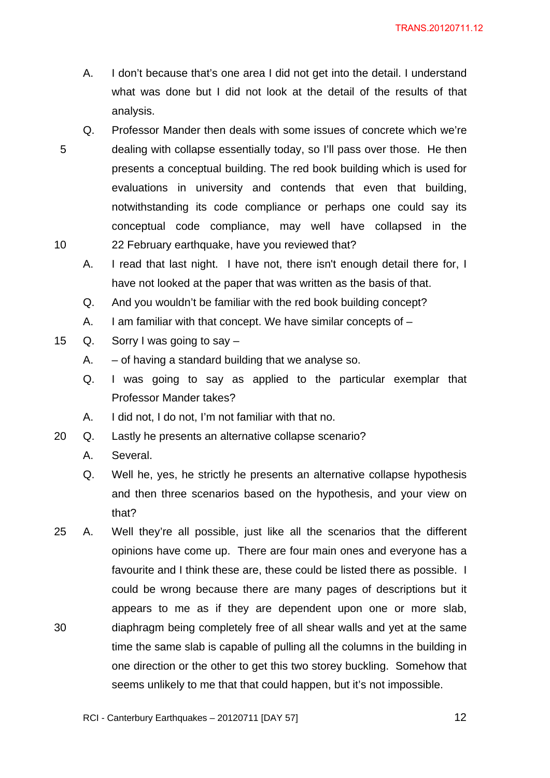- A. I don't because that's one area I did not get into the detail. I understand what was done but I did not look at the detail of the results of that analysis.
- 5 10 Q. Professor Mander then deals with some issues of concrete which we're dealing with collapse essentially today, so I'll pass over those. He then presents a conceptual building. The red book building which is used for evaluations in university and contends that even that building, notwithstanding its code compliance or perhaps one could say its conceptual code compliance, may well have collapsed in the 22 February earthquake, have you reviewed that?
	- A. I read that last night. I have not, there isn't enough detail there for, I have not looked at the paper that was written as the basis of that.
	- Q. And you wouldn't be familiar with the red book building concept?
	- A. I am familiar with that concept. We have similar concepts of –
- 15 Q. Sorry I was going to say
	- A.  $-$  of having a standard building that we analyse so.
	- Q. I was going to say as applied to the particular exemplar that Professor Mander takes?
	- A. I did not, I do not, I'm not familiar with that no.
- 20 Q. Lastly he presents an alternative collapse scenario?
	- A. Several.
	- Q. Well he, yes, he strictly he presents an alternative collapse hypothesis and then three scenarios based on the hypothesis, and your view on that?
- 30 25 A. Well they're all possible, just like all the scenarios that the different opinions have come up. There are four main ones and everyone has a favourite and I think these are, these could be listed there as possible. I could be wrong because there are many pages of descriptions but it appears to me as if they are dependent upon one or more slab, diaphragm being completely free of all shear walls and yet at the same time the same slab is capable of pulling all the columns in the building in one direction or the other to get this two storey buckling. Somehow that seems unlikely to me that that could happen, but it's not impossible.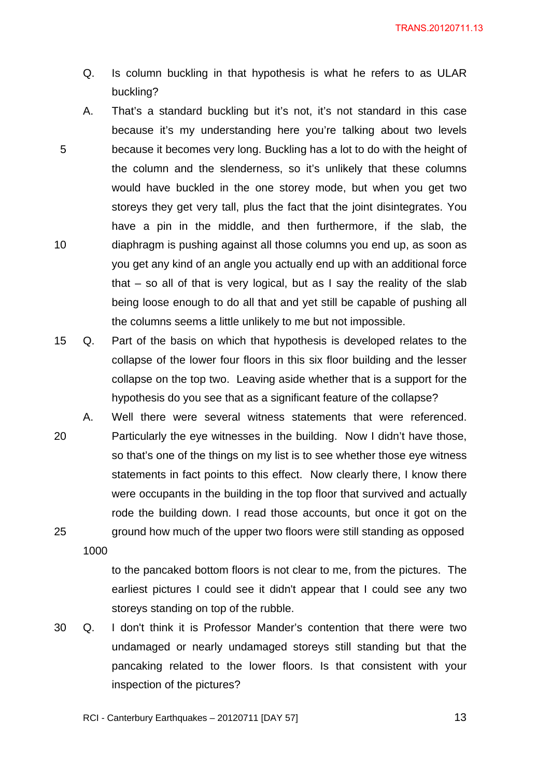- Q. Is column buckling in that hypothesis is what he refers to as ULAR buckling?
- 5 10 A. That's a standard buckling but it's not, it's not standard in this case because it's my understanding here you're talking about two levels because it becomes very long. Buckling has a lot to do with the height of the column and the slenderness, so it's unlikely that these columns would have buckled in the one storey mode, but when you get two storeys they get very tall, plus the fact that the joint disintegrates. You have a pin in the middle, and then furthermore, if the slab, the diaphragm is pushing against all those columns you end up, as soon as you get any kind of an angle you actually end up with an additional force that – so all of that is very logical, but as I say the reality of the slab being loose enough to do all that and yet still be capable of pushing all the columns seems a little unlikely to me but not impossible.
- 15 Q. Part of the basis on which that hypothesis is developed relates to the collapse of the lower four floors in this six floor building and the lesser collapse on the top two. Leaving aside whether that is a support for the hypothesis do you see that as a significant feature of the collapse?
- 20 25 A. Well there were several witness statements that were referenced. Particularly the eye witnesses in the building. Now I didn't have those, so that's one of the things on my list is to see whether those eye witness statements in fact points to this effect. Now clearly there, I know there were occupants in the building in the top floor that survived and actually rode the building down. I read those accounts, but once it got on the ground how much of the upper two floors were still standing as opposed

1000

to the pancaked bottom floors is not clear to me, from the pictures. The earliest pictures I could see it didn't appear that I could see any two storeys standing on top of the rubble.

30 Q. I don't think it is Professor Mander's contention that there were two undamaged or nearly undamaged storeys still standing but that the pancaking related to the lower floors. Is that consistent with your inspection of the pictures?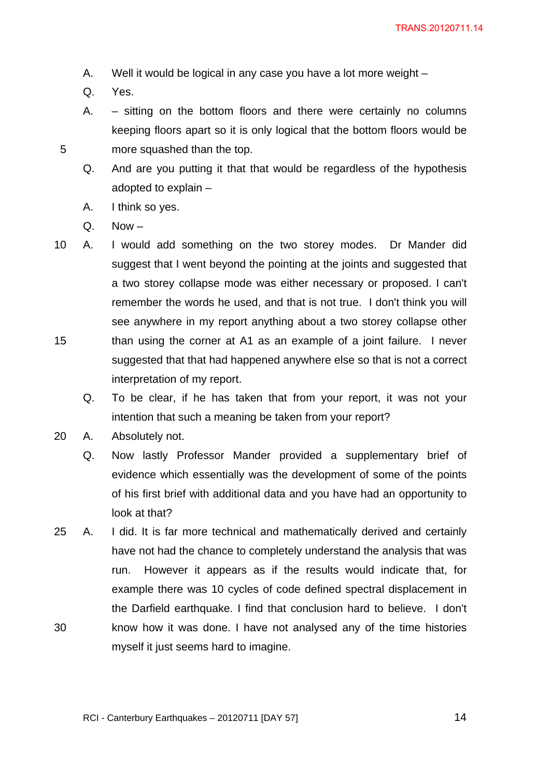- A. Well it would be logical in any case you have a lot more weight –
- Q. Yes.

- A. sitting on the bottom floors and there were certainly no columns keeping floors apart so it is only logical that the bottom floors would be more squashed than the top.
- Q. And are you putting it that that would be regardless of the hypothesis adopted to explain –
- A. I think so yes.
- $Q.$  Now  $-$
- 15 10 A. I would add something on the two storey modes. Dr Mander did suggest that I went beyond the pointing at the joints and suggested that a two storey collapse mode was either necessary or proposed. I can't remember the words he used, and that is not true. I don't think you will see anywhere in my report anything about a two storey collapse other than using the corner at A1 as an example of a joint failure. I never suggested that that had happened anywhere else so that is not a correct interpretation of my report.
	- Q. To be clear, if he has taken that from your report, it was not your intention that such a meaning be taken from your report?
- 20 A. Absolutely not.
	- Q. Now lastly Professor Mander provided a supplementary brief of evidence which essentially was the development of some of the points of his first brief with additional data and you have had an opportunity to look at that?
- 30 25 A. I did. It is far more technical and mathematically derived and certainly have not had the chance to completely understand the analysis that was run. However it appears as if the results would indicate that, for example there was 10 cycles of code defined spectral displacement in the Darfield earthquake. I find that conclusion hard to believe. I don't know how it was done. I have not analysed any of the time histories myself it just seems hard to imagine.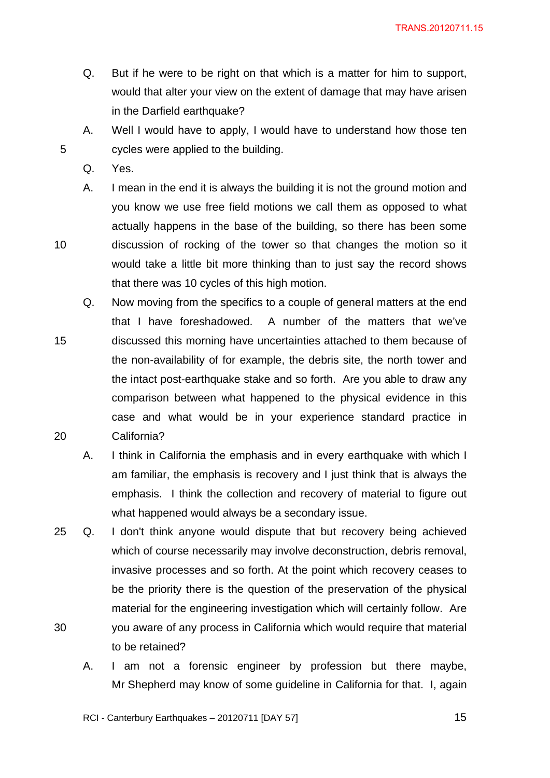- Q. But if he were to be right on that which is a matter for him to support, would that alter your view on the extent of damage that may have arisen in the Darfield earthquake?
- A. Well I would have to apply, I would have to understand how those ten cycles were applied to the building.
- Q. Yes.

5

10

- A. I mean in the end it is always the building it is not the ground motion and you know we use free field motions we call them as opposed to what actually happens in the base of the building, so there has been some discussion of rocking of the tower so that changes the motion so it would take a little bit more thinking than to just say the record shows that there was 10 cycles of this high motion.
- 15 20 Q. Now moving from the specifics to a couple of general matters at the end that I have foreshadowed. A number of the matters that we've discussed this morning have uncertainties attached to them because of the non-availability of for example, the debris site, the north tower and the intact post-earthquake stake and so forth. Are you able to draw any comparison between what happened to the physical evidence in this case and what would be in your experience standard practice in California?
	- A. I think in California the emphasis and in every earthquake with which I am familiar, the emphasis is recovery and I just think that is always the emphasis. I think the collection and recovery of material to figure out what happened would always be a secondary issue.
- 30 25 Q. I don't think anyone would dispute that but recovery being achieved which of course necessarily may involve deconstruction, debris removal, invasive processes and so forth. At the point which recovery ceases to be the priority there is the question of the preservation of the physical material for the engineering investigation which will certainly follow. Are you aware of any process in California which would require that material to be retained?
	- A. I am not a forensic engineer by profession but there maybe, Mr Shepherd may know of some guideline in California for that. I, again

RCI - Canterbury Earthquakes – 20120711 [DAY 57]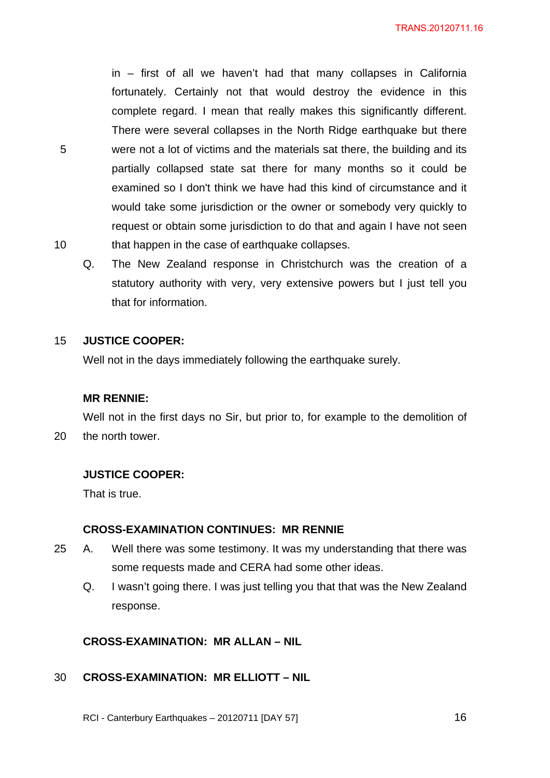in – first of all we haven't had that many collapses in California fortunately. Certainly not that would destroy the evidence in this complete regard. I mean that really makes this significantly different. There were several collapses in the North Ridge earthquake but there were not a lot of victims and the materials sat there, the building and its partially collapsed state sat there for many months so it could be examined so I don't think we have had this kind of circumstance and it would take some jurisdiction or the owner or somebody very quickly to request or obtain some jurisdiction to do that and again I have not seen that happen in the case of earthquake collapses.

Q. The New Zealand response in Christchurch was the creation of a statutory authority with very, very extensive powers but I just tell you that for information.

#### 15 **JUSTICE COOPER:**

5

10

Well not in the days immediately following the earthquake surely.

#### **MR RENNIE:**

20 Well not in the first days no Sir, but prior to, for example to the demolition of the north tower.

#### **JUSTICE COOPER:**

That is true.

#### **CROSS-EXAMINATION CONTINUES: MR RENNIE**

- 25 A. Well there was some testimony. It was my understanding that there was some requests made and CERA had some other ideas.
	- Q. I wasn't going there. I was just telling you that that was the New Zealand response.

# **CROSS-EXAMINATION: MR ALLAN – NIL**

#### 30 **CROSS-EXAMINATION: MR ELLIOTT – NIL**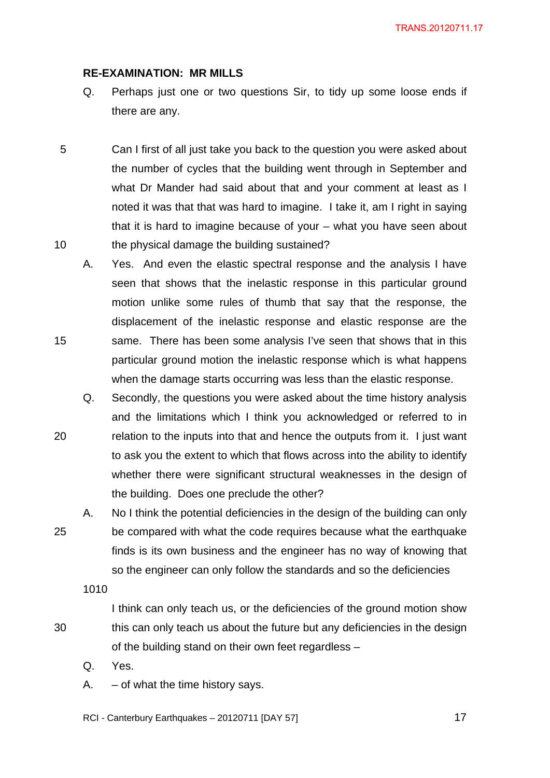#### **RE-EXAMINATION: MR MILLS**

- Q. Perhaps just one or two questions Sir, to tidy up some loose ends if there are any.
- 5 10 Can I first of all just take you back to the question you were asked about the number of cycles that the building went through in September and what Dr Mander had said about that and your comment at least as I noted it was that that was hard to imagine. I take it, am I right in saying that it is hard to imagine because of your – what you have seen about the physical damage the building sustained?
	- A. Yes. And even the elastic spectral response and the analysis I have seen that shows that the inelastic response in this particular ground motion unlike some rules of thumb that say that the response, the displacement of the inelastic response and elastic response are the same. There has been some analysis I've seen that shows that in this particular ground motion the inelastic response which is what happens when the damage starts occurring was less than the elastic response.
	- Q. Secondly, the questions you were asked about the time history analysis and the limitations which I think you acknowledged or referred to in relation to the inputs into that and hence the outputs from it. I just want to ask you the extent to which that flows across into the ability to identify whether there were significant structural weaknesses in the design of the building. Does one preclude the other?
- 25 A. No I think the potential deficiencies in the design of the building can only be compared with what the code requires because what the earthquake finds is its own business and the engineer has no way of knowing that so the engineer can only follow the standards and so the deficiencies

1010

15

20

- I think can only teach us, or the deficiencies of the ground motion show this can only teach us about the future but any deficiencies in the design of the building stand on their own feet regardless –
- Q. Yes.
- $A. of what the time history says.$
- RCI Canterbury Earthquakes 20120711 [DAY 57]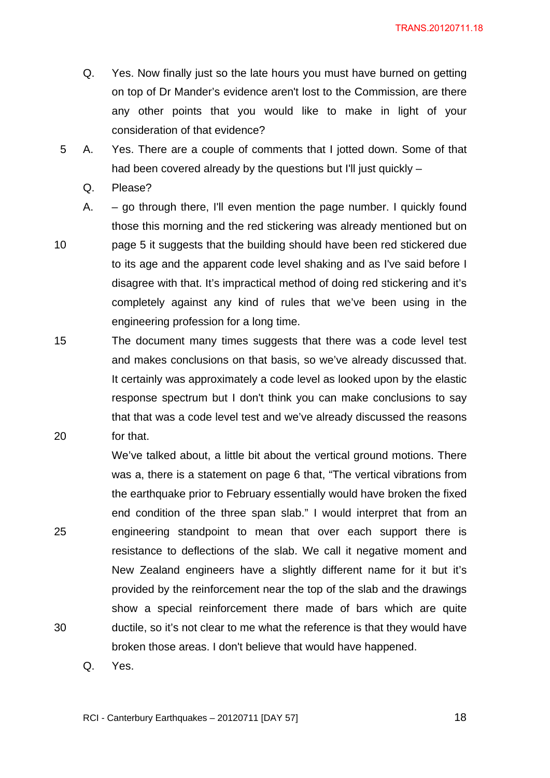- Q. Yes. Now finally just so the late hours you must have burned on getting on top of Dr Mander's evidence aren't lost to the Commission, are there any other points that you would like to make in light of your consideration of that evidence?
- 5 A. Yes. There are a couple of comments that I jotted down. Some of that had been covered already by the questions but I'll just quickly –
	- Q. Please?
	- A.  $-$  go through there, I'll even mention the page number. I quickly found those this morning and the red stickering was already mentioned but on page 5 it suggests that the building should have been red stickered due to its age and the apparent code level shaking and as I've said before I disagree with that. It's impractical method of doing red stickering and it's completely against any kind of rules that we've been using in the engineering profession for a long time.
- 15 20 The document many times suggests that there was a code level test and makes conclusions on that basis, so we've already discussed that. It certainly was approximately a code level as looked upon by the elastic response spectrum but I don't think you can make conclusions to say that that was a code level test and we've already discussed the reasons for that.

We've talked about, a little bit about the vertical ground motions. There

25

30

10

was a, there is a statement on page 6 that, "The vertical vibrations from the earthquake prior to February essentially would have broken the fixed end condition of the three span slab." I would interpret that from an engineering standpoint to mean that over each support there is resistance to deflections of the slab. We call it negative moment and New Zealand engineers have a slightly different name for it but it's provided by the reinforcement near the top of the slab and the drawings show a special reinforcement there made of bars which are quite ductile, so it's not clear to me what the reference is that they would have broken those areas. I don't believe that would have happened.

Q. Yes.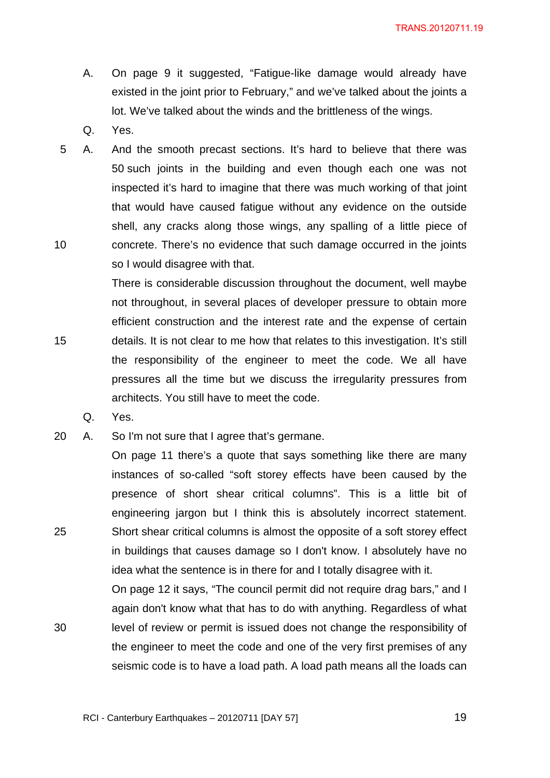- A. On page 9 it suggested, "Fatigue-like damage would already have existed in the joint prior to February," and we've talked about the joints a lot. We've talked about the winds and the brittleness of the wings.
- Q. Yes.
- 10 5 A. And the smooth precast sections. It's hard to believe that there was 50 such joints in the building and even though each one was not inspected it's hard to imagine that there was much working of that joint that would have caused fatigue without any evidence on the outside shell, any cracks along those wings, any spalling of a little piece of concrete. There's no evidence that such damage occurred in the joints so I would disagree with that.

There is considerable discussion throughout the document, well maybe not throughout, in several places of developer pressure to obtain more efficient construction and the interest rate and the expense of certain details. It is not clear to me how that relates to this investigation. It's still the responsibility of the engineer to meet the code. We all have pressures all the time but we discuss the irregularity pressures from architects. You still have to meet the code.

Q. Yes.

15

25

30

20 A. So I'm not sure that I agree that's germane.

On page 11 there's a quote that says something like there are many instances of so-called "soft storey effects have been caused by the presence of short shear critical columns". This is a little bit of engineering jargon but I think this is absolutely incorrect statement. Short shear critical columns is almost the opposite of a soft storey effect in buildings that causes damage so I don't know. I absolutely have no idea what the sentence is in there for and I totally disagree with it.

On page 12 it says, "The council permit did not require drag bars," and I again don't know what that has to do with anything. Regardless of what level of review or permit is issued does not change the responsibility of the engineer to meet the code and one of the very first premises of any seismic code is to have a load path. A load path means all the loads can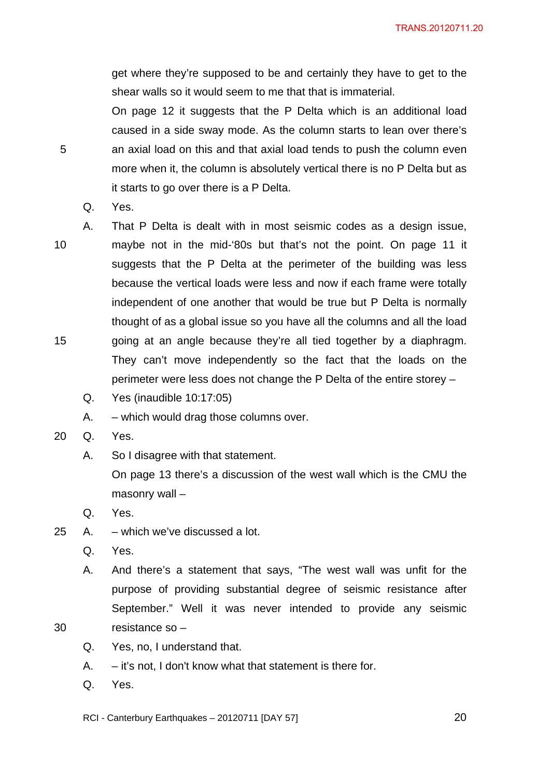get where they're supposed to be and certainly they have to get to the shear walls so it would seem to me that that is immaterial.

On page 12 it suggests that the P Delta which is an additional load caused in a side sway mode. As the column starts to lean over there's an axial load on this and that axial load tends to push the column even more when it, the column is absolutely vertical there is no P Delta but as it starts to go over there is a P Delta.

- Q. Yes.
- 10

15

30

5

- A. That P Delta is dealt with in most seismic codes as a design issue, maybe not in the mid-'80s but that's not the point. On page 11 it suggests that the P Delta at the perimeter of the building was less because the vertical loads were less and now if each frame were totally independent of one another that would be true but P Delta is normally thought of as a global issue so you have all the columns and all the load going at an angle because they're all tied together by a diaphragm. They can't move independently so the fact that the loads on the perimeter were less does not change the P Delta of the entire storey –
- Q. Yes (inaudible 10:17:05)
- A. which would drag those columns over.
- 20 Q. Yes.
	- A. So I disagree with that statement.

On page 13 there's a discussion of the west wall which is the CMU the masonry wall –

- Q. Yes.
- 25 A. which we've discussed a lot.
	- Q. Yes.
	- A. And there's a statement that says, "The west wall was unfit for the purpose of providing substantial degree of seismic resistance after September." Well it was never intended to provide any seismic resistance so –
	- Q. Yes, no, I understand that.
	- A. it's not, I don't know what that statement is there for.
	- Q. Yes.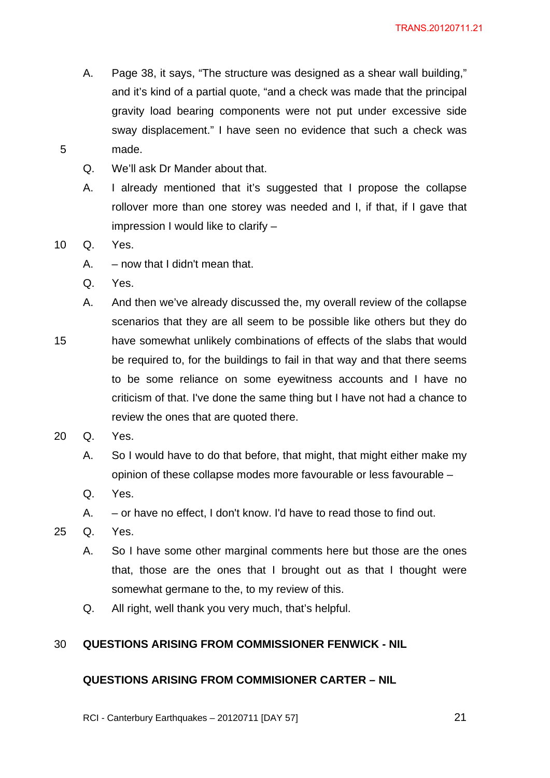- A. Page 38, it says, "The structure was designed as a shear wall building," and it's kind of a partial quote, "and a check was made that the principal gravity load bearing components were not put under excessive side sway displacement." I have seen no evidence that such a check was made.
- Q. We'll ask Dr Mander about that.
- A. I already mentioned that it's suggested that I propose the collapse rollover more than one storey was needed and I, if that, if I gave that impression I would like to clarify –
- 10 Q. Yes.

5

- $A. now that I didn't mean that.$
- Q. Yes.
- 15 A. And then we've already discussed the, my overall review of the collapse scenarios that they are all seem to be possible like others but they do have somewhat unlikely combinations of effects of the slabs that would be required to, for the buildings to fail in that way and that there seems to be some reliance on some eyewitness accounts and I have no criticism of that. I've done the same thing but I have not had a chance to review the ones that are quoted there.
- 20 Q. Yes.
	- A. So I would have to do that before, that might, that might either make my opinion of these collapse modes more favourable or less favourable –
	- Q. Yes.
	- A. or have no effect, I don't know. I'd have to read those to find out.
- 25 Q. Yes.
	- A. So I have some other marginal comments here but those are the ones that, those are the ones that I brought out as that I thought were somewhat germane to the, to my review of this.
	- Q. All right, well thank you very much, that's helpful.

#### 30 **QUESTIONS ARISING FROM COMMISSIONER FENWICK - NIL**

#### **QUESTIONS ARISING FROM COMMISIONER CARTER – NIL**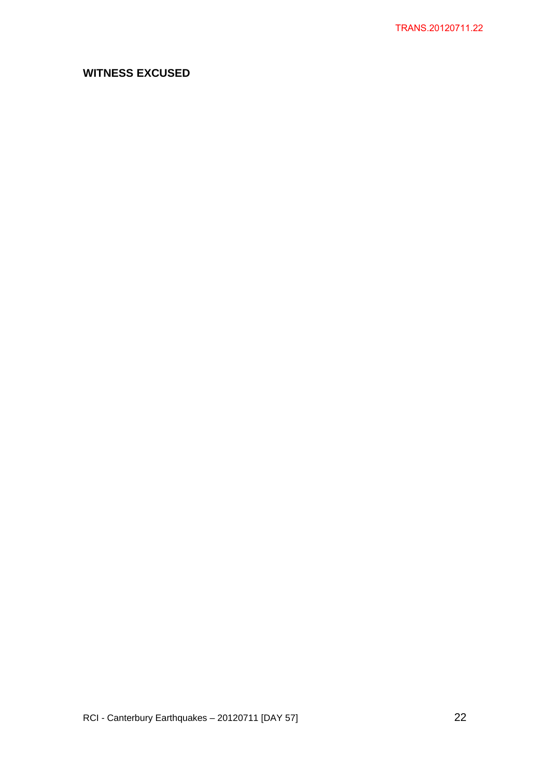# **WITNESS EXCUSED**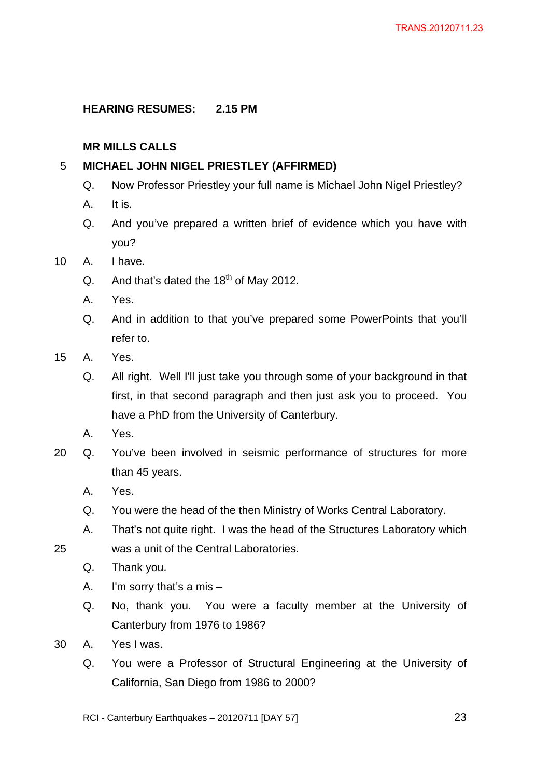# **HEARING RESUMES: 2.15 PM**

# **MR MILLS CALLS**

#### 5 **MICHAEL JOHN NIGEL PRIESTLEY (AFFIRMED)**

- Q. Now Professor Priestley your full name is Michael John Nigel Priestley?
- A. It is.
- Q. And you've prepared a written brief of evidence which you have with you?
- 10 A. I have.
	- Q. And that's dated the  $18<sup>th</sup>$  of May 2012.
	- A. Yes.
	- Q. And in addition to that you've prepared some PowerPoints that you'll refer to.
- 15 A. Yes.
	- Q. All right. Well I'll just take you through some of your background in that first, in that second paragraph and then just ask you to proceed. You have a PhD from the University of Canterbury.
	- A. Yes.
- 20 Q. You've been involved in seismic performance of structures for more than 45 years.
	- A. Yes.
	- Q. You were the head of the then Ministry of Works Central Laboratory.
	- A. That's not quite right. I was the head of the Structures Laboratory which was a unit of the Central Laboratories.
- 25
- Q. Thank you.
- A. I'm sorry that's a mis –
- Q. No, thank you. You were a faculty member at the University of Canterbury from 1976 to 1986?
- 30 A. Yes I was.
	- Q. You were a Professor of Structural Engineering at the University of California, San Diego from 1986 to 2000?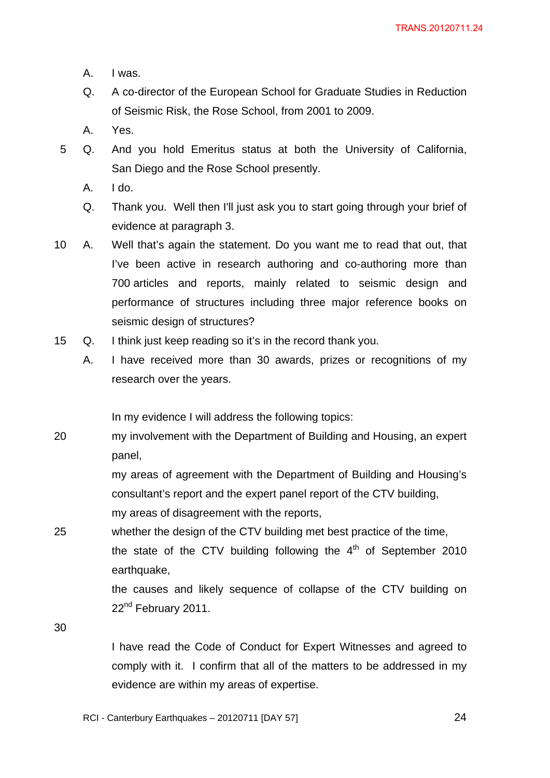- A. I was.
- Q. A co-director of the European School for Graduate Studies in Reduction of Seismic Risk, the Rose School, from 2001 to 2009.
- A. Yes.
- 5 Q. And you hold Emeritus status at both the University of California, San Diego and the Rose School presently.
	- $A.$   $I$  do.
	- Q. Thank you. Well then I'll just ask you to start going through your brief of evidence at paragraph 3.
- 10 A. Well that's again the statement. Do you want me to read that out, that I've been active in research authoring and co-authoring more than 700 articles and reports, mainly related to seismic design and performance of structures including three major reference books on seismic design of structures?
- 15 Q. I think just keep reading so it's in the record thank you.
	- A. I have received more than 30 awards, prizes or recognitions of my research over the years.

In my evidence I will address the following topics:

20 my involvement with the Department of Building and Housing, an expert panel,

> my areas of agreement with the Department of Building and Housing's consultant's report and the expert panel report of the CTV building, my areas of disagreement with the reports,

25 whether the design of the CTV building met best practice of the time. the state of the CTV building following the  $4<sup>th</sup>$  of September 2010 earthquake,

> the causes and likely sequence of collapse of the CTV building on 22<sup>nd</sup> February 2011.

30

I have read the Code of Conduct for Expert Witnesses and agreed to comply with it. I confirm that all of the matters to be addressed in my evidence are within my areas of expertise.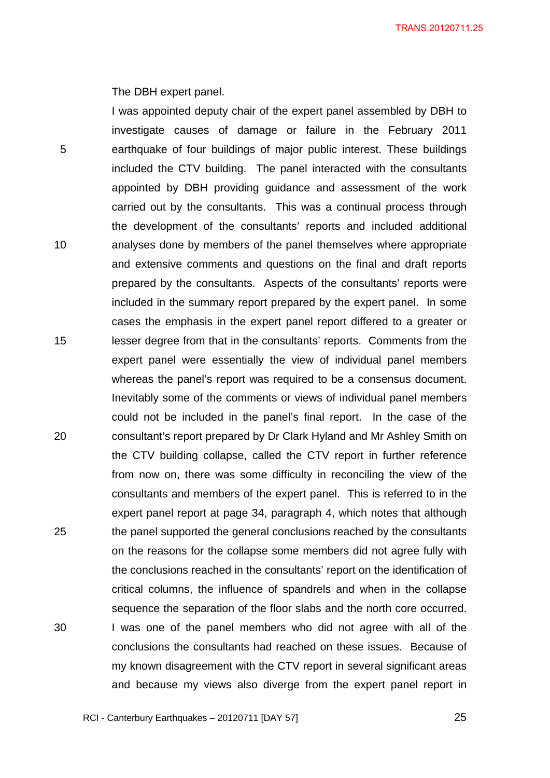The DBH expert panel.

5 10 15 20 25 30 I was appointed deputy chair of the expert panel assembled by DBH to investigate causes of damage or failure in the February 2011 earthquake of four buildings of major public interest. These buildings included the CTV building. The panel interacted with the consultants appointed by DBH providing guidance and assessment of the work carried out by the consultants. This was a continual process through the development of the consultants' reports and included additional analyses done by members of the panel themselves where appropriate and extensive comments and questions on the final and draft reports prepared by the consultants. Aspects of the consultants' reports were included in the summary report prepared by the expert panel. In some cases the emphasis in the expert panel report differed to a greater or lesser degree from that in the consultants' reports. Comments from the expert panel were essentially the view of individual panel members whereas the panel's report was required to be a consensus document. Inevitably some of the comments or views of individual panel members could not be included in the panel's final report. In the case of the consultant's report prepared by Dr Clark Hyland and Mr Ashley Smith on the CTV building collapse, called the CTV report in further reference from now on, there was some difficulty in reconciling the view of the consultants and members of the expert panel. This is referred to in the expert panel report at page 34, paragraph 4, which notes that although the panel supported the general conclusions reached by the consultants on the reasons for the collapse some members did not agree fully with the conclusions reached in the consultants' report on the identification of critical columns, the influence of spandrels and when in the collapse sequence the separation of the floor slabs and the north core occurred. I was one of the panel members who did not agree with all of the conclusions the consultants had reached on these issues. Because of my known disagreement with the CTV report in several significant areas and because my views also diverge from the expert panel report in

RCI - Canterbury Earthquakes – 20120711 [DAY 57]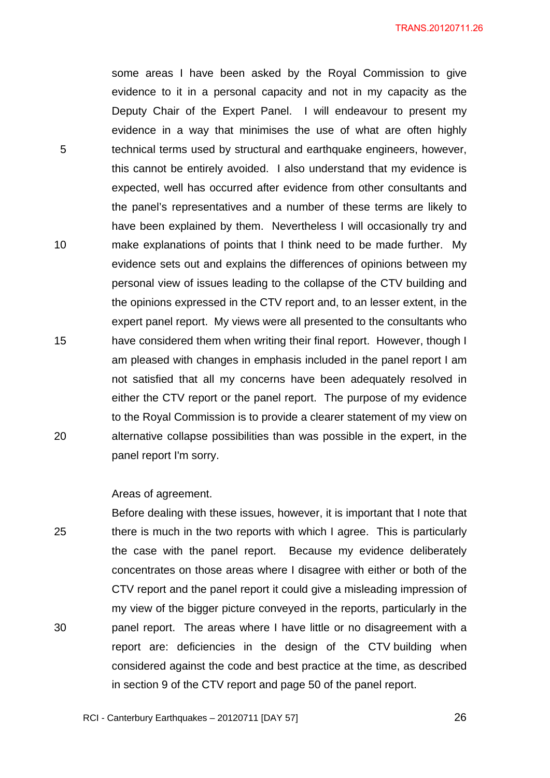some areas I have been asked by the Royal Commission to give evidence to it in a personal capacity and not in my capacity as the Deputy Chair of the Expert Panel. I will endeavour to present my evidence in a way that minimises the use of what are often highly technical terms used by structural and earthquake engineers, however, this cannot be entirely avoided. I also understand that my evidence is expected, well has occurred after evidence from other consultants and the panel's representatives and a number of these terms are likely to have been explained by them. Nevertheless I will occasionally try and make explanations of points that I think need to be made further. My evidence sets out and explains the differences of opinions between my personal view of issues leading to the collapse of the CTV building and the opinions expressed in the CTV report and, to an lesser extent, in the expert panel report. My views were all presented to the consultants who have considered them when writing their final report. However, though I am pleased with changes in emphasis included in the panel report I am not satisfied that all my concerns have been adequately resolved in either the CTV report or the panel report. The purpose of my evidence to the Royal Commission is to provide a clearer statement of my view on alternative collapse possibilities than was possible in the expert, in the panel report I'm sorry.

Areas of agreement.

5

10

15

20

25 30 Before dealing with these issues, however, it is important that I note that there is much in the two reports with which I agree. This is particularly the case with the panel report. Because my evidence deliberately concentrates on those areas where I disagree with either or both of the CTV report and the panel report it could give a misleading impression of my view of the bigger picture conveyed in the reports, particularly in the panel report. The areas where I have little or no disagreement with a report are: deficiencies in the design of the CTV building when considered against the code and best practice at the time, as described in section 9 of the CTV report and page 50 of the panel report.

RCI - Canterbury Earthquakes – 20120711 [DAY 57]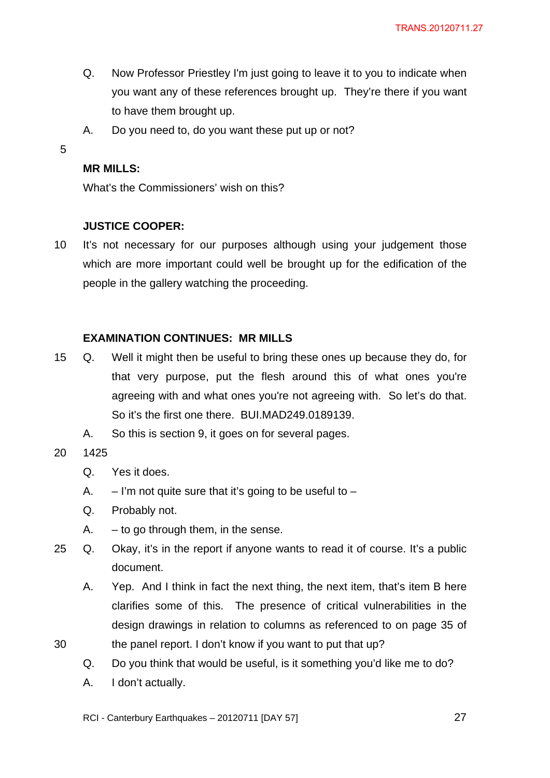- Q. Now Professor Priestley I'm just going to leave it to you to indicate when you want any of these references brought up. They're there if you want to have them brought up.
- A. Do you need to, do you want these put up or not?
- 5

# **MR MILLS:**

What's the Commissioners' wish on this?

# **JUSTICE COOPER:**

10 It's not necessary for our purposes although using your judgement those which are more important could well be brought up for the edification of the people in the gallery watching the proceeding.

# **EXAMINATION CONTINUES: MR MILLS**

- 15 Q. Well it might then be useful to bring these ones up because they do, for that very purpose, put the flesh around this of what ones you're agreeing with and what ones you're not agreeing with. So let's do that. So it's the first one there. BUI.MAD249.0189139.
	- A. So this is section 9, it goes on for several pages.
- 20 1425

30

- Q. Yes it does.
- A.  $-$  I'm not quite sure that it's going to be useful to  $-$
- Q. Probably not.
- $A. to go through them, in the sense.$
- 25 Q. Okay, it's in the report if anyone wants to read it of course. It's a public document.
	- A. Yep. And I think in fact the next thing, the next item, that's item B here clarifies some of this. The presence of critical vulnerabilities in the design drawings in relation to columns as referenced to on page 35 of the panel report. I don't know if you want to put that up?
	- Q. Do you think that would be useful, is it something you'd like me to do?
	- A. I don't actually.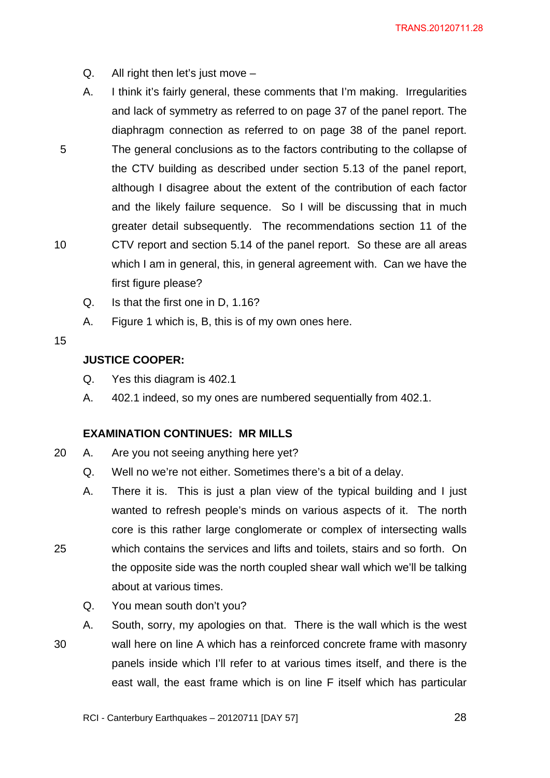- $Q.$  All right then let's just move  $-$
- A. I think it's fairly general, these comments that I'm making. Irregularities and lack of symmetry as referred to on page 37 of the panel report. The diaphragm connection as referred to on page 38 of the panel report. The general conclusions as to the factors contributing to the collapse of the CTV building as described under section 5.13 of the panel report, although I disagree about the extent of the contribution of each factor and the likely failure sequence. So I will be discussing that in much greater detail subsequently. The recommendations section 11 of the CTV report and section 5.14 of the panel report. So these are all areas which I am in general, this, in general agreement with. Can we have the
	- first figure please?
	- Q. Is that the first one in D, 1.16?
	- A. Figure 1 which is, B, this is of my own ones here.

# 15

25

10

5

# **JUSTICE COOPER:**

- Q. Yes this diagram is 402.1
- A. 402.1 indeed, so my ones are numbered sequentially from 402.1.

# **EXAMINATION CONTINUES: MR MILLS**

- 20 A. Are you not seeing anything here yet?
	- Q. Well no we're not either. Sometimes there's a bit of a delay.
	- A. There it is. This is just a plan view of the typical building and I just wanted to refresh people's minds on various aspects of it. The north core is this rather large conglomerate or complex of intersecting walls which contains the services and lifts and toilets, stairs and so forth. On the opposite side was the north coupled shear wall which we'll be talking about at various times.
		- Q. You mean south don't you?

30 A. South, sorry, my apologies on that. There is the wall which is the west wall here on line A which has a reinforced concrete frame with masonry panels inside which I'll refer to at various times itself, and there is the east wall, the east frame which is on line F itself which has particular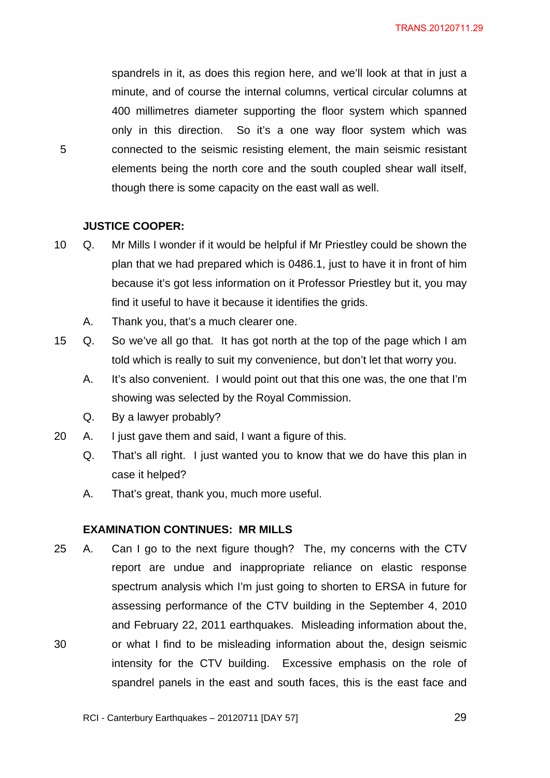spandrels in it, as does this region here, and we'll look at that in just a minute, and of course the internal columns, vertical circular columns at 400 millimetres diameter supporting the floor system which spanned only in this direction. So it's a one way floor system which was connected to the seismic resisting element, the main seismic resistant elements being the north core and the south coupled shear wall itself, though there is some capacity on the east wall as well.

# **JUSTICE COOPER:**

5

- 10 Q. Mr Mills I wonder if it would be helpful if Mr Priestley could be shown the plan that we had prepared which is 0486.1, just to have it in front of him because it's got less information on it Professor Priestley but it, you may find it useful to have it because it identifies the grids.
	- A. Thank you, that's a much clearer one.
- 15 Q. So we've all go that. It has got north at the top of the page which I am told which is really to suit my convenience, but don't let that worry you.
	- A. It's also convenient. I would point out that this one was, the one that I'm showing was selected by the Royal Commission.
	- Q. By a lawyer probably?
- 20 A. I just gave them and said, I want a figure of this.
	- Q. That's all right. I just wanted you to know that we do have this plan in case it helped?
	- A. That's great, thank you, much more useful.

#### **EXAMINATION CONTINUES: MR MILLS**

30 25 A. Can I go to the next figure though? The, my concerns with the CTV report are undue and inappropriate reliance on elastic response spectrum analysis which I'm just going to shorten to ERSA in future for assessing performance of the CTV building in the September 4, 2010 and February 22, 2011 earthquakes. Misleading information about the, or what I find to be misleading information about the, design seismic intensity for the CTV building. Excessive emphasis on the role of spandrel panels in the east and south faces, this is the east face and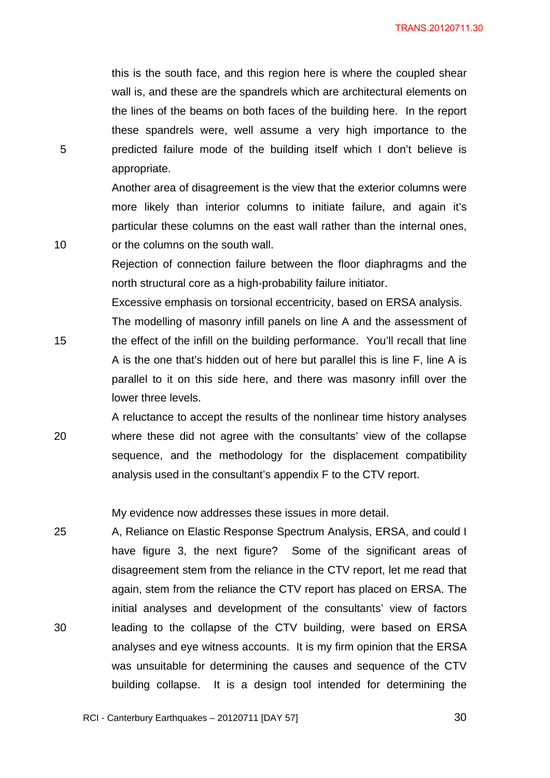this is the south face, and this region here is where the coupled shear wall is, and these are the spandrels which are architectural elements on the lines of the beams on both faces of the building here. In the report these spandrels were, well assume a very high importance to the predicted failure mode of the building itself which I don't believe is appropriate.

5

10

Another area of disagreement is the view that the exterior columns were more likely than interior columns to initiate failure, and again it's particular these columns on the east wall rather than the internal ones, or the columns on the south wall.

Rejection of connection failure between the floor diaphragms and the north structural core as a high-probability failure initiator.

Excessive emphasis on torsional eccentricity, based on ERSA analysis.

15 The modelling of masonry infill panels on line A and the assessment of the effect of the infill on the building performance. You'll recall that line A is the one that's hidden out of here but parallel this is line F, line A is parallel to it on this side here, and there was masonry infill over the lower three levels.

20 A reluctance to accept the results of the nonlinear time history analyses where these did not agree with the consultants' view of the collapse sequence, and the methodology for the displacement compatibility analysis used in the consultant's appendix F to the CTV report.

My evidence now addresses these issues in more detail.

25 30 A, Reliance on Elastic Response Spectrum Analysis, ERSA, and could I have figure 3, the next figure? Some of the significant areas of disagreement stem from the reliance in the CTV report, let me read that again, stem from the reliance the CTV report has placed on ERSA. The initial analyses and development of the consultants' view of factors leading to the collapse of the CTV building, were based on ERSA analyses and eye witness accounts. It is my firm opinion that the ERSA was unsuitable for determining the causes and sequence of the CTV building collapse. It is a design tool intended for determining the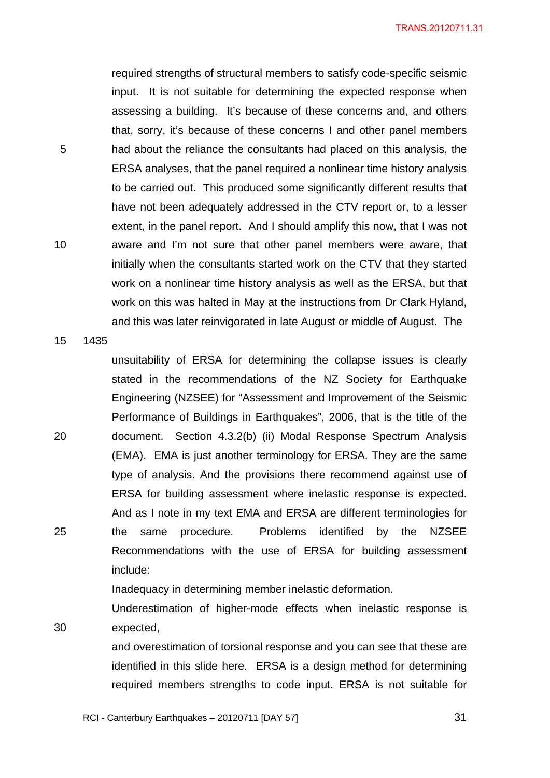required strengths of structural members to satisfy code-specific seismic input. It is not suitable for determining the expected response when assessing a building. It's because of these concerns and, and others that, sorry, it's because of these concerns I and other panel members had about the reliance the consultants had placed on this analysis, the ERSA analyses, that the panel required a nonlinear time history analysis to be carried out. This produced some significantly different results that have not been adequately addressed in the CTV report or, to a lesser extent, in the panel report. And I should amplify this now, that I was not aware and I'm not sure that other panel members were aware, that initially when the consultants started work on the CTV that they started work on a nonlinear time history analysis as well as the ERSA, but that work on this was halted in May at the instructions from Dr Clark Hyland, and this was later reinvigorated in late August or middle of August. The

15 1435

30

5

10

20 25 unsuitability of ERSA for determining the collapse issues is clearly stated in the recommendations of the NZ Society for Earthquake Engineering (NZSEE) for "Assessment and Improvement of the Seismic Performance of Buildings in Earthquakes", 2006, that is the title of the document. Section 4.3.2(b) (ii) Modal Response Spectrum Analysis (EMA). EMA is just another terminology for ERSA. They are the same type of analysis. And the provisions there recommend against use of ERSA for building assessment where inelastic response is expected. And as I note in my text EMA and ERSA are different terminologies for the same procedure. Problems identified by the NZSEE Recommendations with the use of ERSA for building assessment include:

Inadequacy in determining member inelastic deformation.

Underestimation of higher-mode effects when inelastic response is expected,

and overestimation of torsional response and you can see that these are identified in this slide here. ERSA is a design method for determining required members strengths to code input. ERSA is not suitable for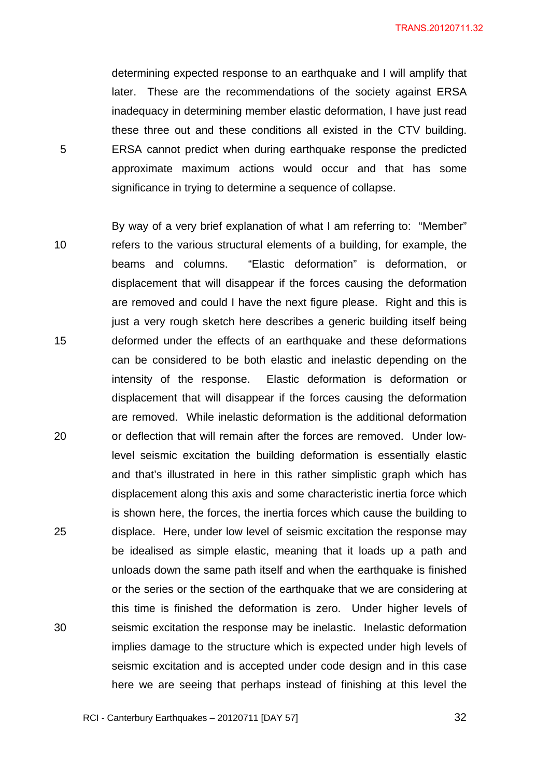determining expected response to an earthquake and I will amplify that later. These are the recommendations of the society against ERSA inadequacy in determining member elastic deformation, I have just read these three out and these conditions all existed in the CTV building. ERSA cannot predict when during earthquake response the predicted approximate maximum actions would occur and that has some significance in trying to determine a sequence of collapse.

5

10 15 20 25 30 By way of a very brief explanation of what I am referring to: "Member" refers to the various structural elements of a building, for example, the beams and columns. "Elastic deformation" is deformation, or displacement that will disappear if the forces causing the deformation are removed and could I have the next figure please. Right and this is just a very rough sketch here describes a generic building itself being deformed under the effects of an earthquake and these deformations can be considered to be both elastic and inelastic depending on the intensity of the response. Elastic deformation is deformation or displacement that will disappear if the forces causing the deformation are removed. While inelastic deformation is the additional deformation or deflection that will remain after the forces are removed. Under lowlevel seismic excitation the building deformation is essentially elastic and that's illustrated in here in this rather simplistic graph which has displacement along this axis and some characteristic inertia force which is shown here, the forces, the inertia forces which cause the building to displace. Here, under low level of seismic excitation the response may be idealised as simple elastic, meaning that it loads up a path and unloads down the same path itself and when the earthquake is finished or the series or the section of the earthquake that we are considering at this time is finished the deformation is zero. Under higher levels of seismic excitation the response may be inelastic. Inelastic deformation implies damage to the structure which is expected under high levels of seismic excitation and is accepted under code design and in this case here we are seeing that perhaps instead of finishing at this level the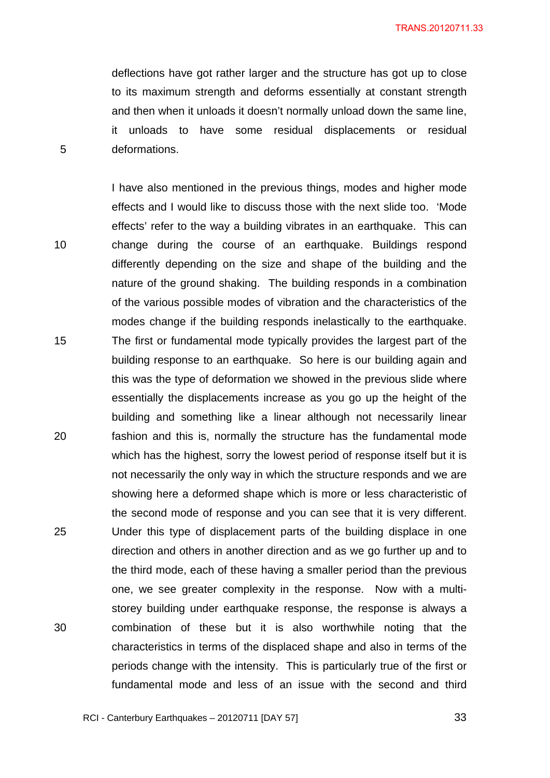deflections have got rather larger and the structure has got up to close to its maximum strength and deforms essentially at constant strength and then when it unloads it doesn't normally unload down the same line, it unloads to have some residual displacements or residual deformations.

5

10 15 20 25 30 I have also mentioned in the previous things, modes and higher mode effects and I would like to discuss those with the next slide too. 'Mode effects' refer to the way a building vibrates in an earthquake. This can change during the course of an earthquake. Buildings respond differently depending on the size and shape of the building and the nature of the ground shaking. The building responds in a combination of the various possible modes of vibration and the characteristics of the modes change if the building responds inelastically to the earthquake. The first or fundamental mode typically provides the largest part of the building response to an earthquake. So here is our building again and this was the type of deformation we showed in the previous slide where essentially the displacements increase as you go up the height of the building and something like a linear although not necessarily linear fashion and this is, normally the structure has the fundamental mode which has the highest, sorry the lowest period of response itself but it is not necessarily the only way in which the structure responds and we are showing here a deformed shape which is more or less characteristic of the second mode of response and you can see that it is very different. Under this type of displacement parts of the building displace in one direction and others in another direction and as we go further up and to the third mode, each of these having a smaller period than the previous one, we see greater complexity in the response. Now with a multistorey building under earthquake response, the response is always a combination of these but it is also worthwhile noting that the characteristics in terms of the displaced shape and also in terms of the periods change with the intensity. This is particularly true of the first or fundamental mode and less of an issue with the second and third

RCI - Canterbury Earthquakes – 20120711 [DAY 57]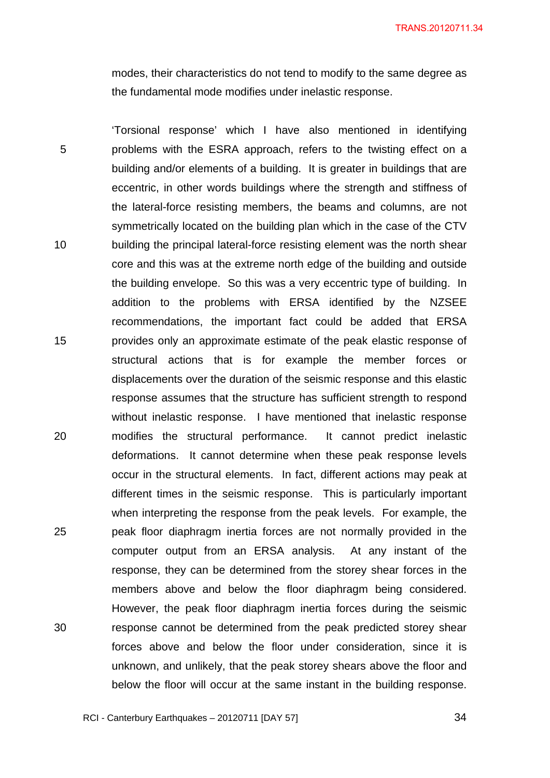modes, their characteristics do not tend to modify to the same degree as the fundamental mode modifies under inelastic response.

5 10 15 20 25 30 'Torsional response' which I have also mentioned in identifying problems with the ESRA approach, refers to the twisting effect on a building and/or elements of a building. It is greater in buildings that are eccentric, in other words buildings where the strength and stiffness of the lateral-force resisting members, the beams and columns, are not symmetrically located on the building plan which in the case of the CTV building the principal lateral-force resisting element was the north shear core and this was at the extreme north edge of the building and outside the building envelope. So this was a very eccentric type of building. In addition to the problems with ERSA identified by the NZSEE recommendations, the important fact could be added that ERSA provides only an approximate estimate of the peak elastic response of structural actions that is for example the member forces or displacements over the duration of the seismic response and this elastic response assumes that the structure has sufficient strength to respond without inelastic response. I have mentioned that inelastic response modifies the structural performance. It cannot predict inelastic deformations. It cannot determine when these peak response levels occur in the structural elements. In fact, different actions may peak at different times in the seismic response. This is particularly important when interpreting the response from the peak levels. For example, the peak floor diaphragm inertia forces are not normally provided in the computer output from an ERSA analysis. At any instant of the response, they can be determined from the storey shear forces in the members above and below the floor diaphragm being considered. However, the peak floor diaphragm inertia forces during the seismic response cannot be determined from the peak predicted storey shear forces above and below the floor under consideration, since it is unknown, and unlikely, that the peak storey shears above the floor and below the floor will occur at the same instant in the building response.

<u>34</u>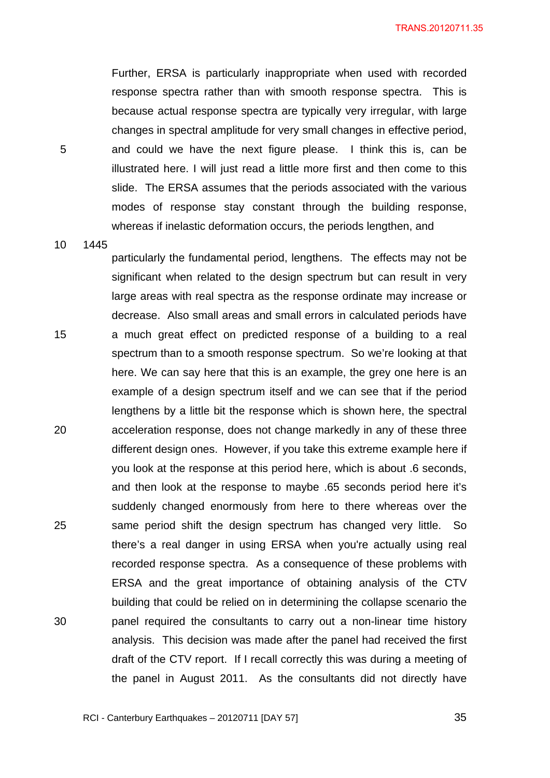Further, ERSA is particularly inappropriate when used with recorded response spectra rather than with smooth response spectra. This is because actual response spectra are typically very irregular, with large changes in spectral amplitude for very small changes in effective period, and could we have the next figure please. I think this is, can be illustrated here. I will just read a little more first and then come to this slide. The ERSA assumes that the periods associated with the various modes of response stay constant through the building response, whereas if inelastic deformation occurs, the periods lengthen, and

10 1445

15

20

25

30

5

particularly the fundamental period, lengthens. The effects may not be significant when related to the design spectrum but can result in very large areas with real spectra as the response ordinate may increase or decrease. Also small areas and small errors in calculated periods have a much great effect on predicted response of a building to a real spectrum than to a smooth response spectrum. So we're looking at that here. We can say here that this is an example, the grey one here is an example of a design spectrum itself and we can see that if the period lengthens by a little bit the response which is shown here, the spectral acceleration response, does not change markedly in any of these three different design ones. However, if you take this extreme example here if you look at the response at this period here, which is about .6 seconds, and then look at the response to maybe .65 seconds period here it's suddenly changed enormously from here to there whereas over the same period shift the design spectrum has changed very little. So there's a real danger in using ERSA when you're actually using real recorded response spectra. As a consequence of these problems with ERSA and the great importance of obtaining analysis of the CTV building that could be relied on in determining the collapse scenario the panel required the consultants to carry out a non-linear time history analysis. This decision was made after the panel had received the first draft of the CTV report. If I recall correctly this was during a meeting of the panel in August 2011. As the consultants did not directly have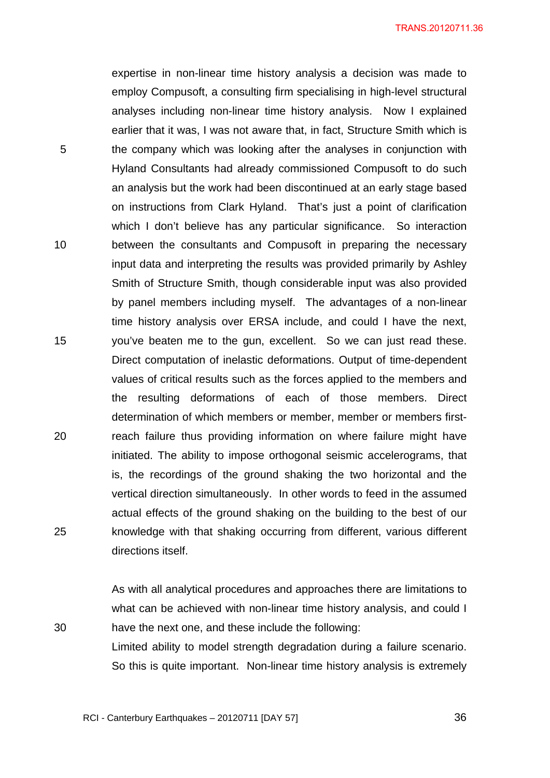expertise in non-linear time history analysis a decision was made to employ Compusoft, a consulting firm specialising in high-level structural analyses including non-linear time history analysis. Now I explained earlier that it was, I was not aware that, in fact, Structure Smith which is the company which was looking after the analyses in conjunction with Hyland Consultants had already commissioned Compusoft to do such an analysis but the work had been discontinued at an early stage based on instructions from Clark Hyland. That's just a point of clarification which I don't believe has any particular significance. So interaction between the consultants and Compusoft in preparing the necessary input data and interpreting the results was provided primarily by Ashley Smith of Structure Smith, though considerable input was also provided by panel members including myself. The advantages of a non-linear time history analysis over ERSA include, and could I have the next, you've beaten me to the gun, excellent. So we can just read these. Direct computation of inelastic deformations. Output of time-dependent values of critical results such as the forces applied to the members and the resulting deformations of each of those members. Direct determination of which members or member, member or members firstreach failure thus providing information on where failure might have initiated. The ability to impose orthogonal seismic accelerograms, that is, the recordings of the ground shaking the two horizontal and the vertical direction simultaneously. In other words to feed in the assumed actual effects of the ground shaking on the building to the best of our knowledge with that shaking occurring from different, various different directions itself.

As with all analytical procedures and approaches there are limitations to what can be achieved with non-linear time history analysis, and could I have the next one, and these include the following:

Limited ability to model strength degradation during a failure scenario. So this is quite important. Non-linear time history analysis is extremely

RCI - Canterbury Earthquakes – 20120711 [DAY 57]

15

10

5

20

25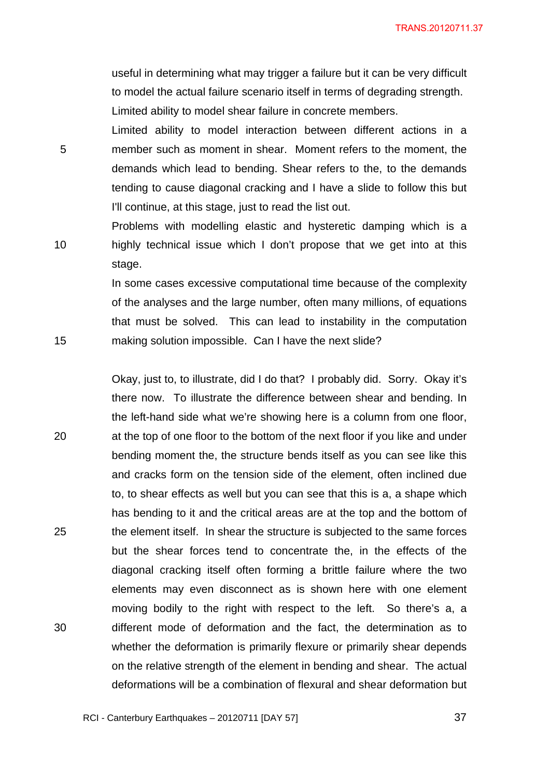useful in determining what may trigger a failure but it can be very difficult to model the actual failure scenario itself in terms of degrading strength. Limited ability to model shear failure in concrete members.

Limited ability to model interaction between different actions in a member such as moment in shear. Moment refers to the moment, the demands which lead to bending. Shear refers to the, to the demands tending to cause diagonal cracking and I have a slide to follow this but I'll continue, at this stage, just to read the list out.

5

10

15

Problems with modelling elastic and hysteretic damping which is a highly technical issue which I don't propose that we get into at this stage.

In some cases excessive computational time because of the complexity of the analyses and the large number, often many millions, of equations that must be solved. This can lead to instability in the computation making solution impossible. Can I have the next slide?

20 25 30 Okay, just to, to illustrate, did I do that? I probably did. Sorry. Okay it's there now. To illustrate the difference between shear and bending. In the left-hand side what we're showing here is a column from one floor, at the top of one floor to the bottom of the next floor if you like and under bending moment the, the structure bends itself as you can see like this and cracks form on the tension side of the element, often inclined due to, to shear effects as well but you can see that this is a, a shape which has bending to it and the critical areas are at the top and the bottom of the element itself. In shear the structure is subjected to the same forces but the shear forces tend to concentrate the, in the effects of the diagonal cracking itself often forming a brittle failure where the two elements may even disconnect as is shown here with one element moving bodily to the right with respect to the left. So there's a, a different mode of deformation and the fact, the determination as to whether the deformation is primarily flexure or primarily shear depends on the relative strength of the element in bending and shear. The actual deformations will be a combination of flexural and shear deformation but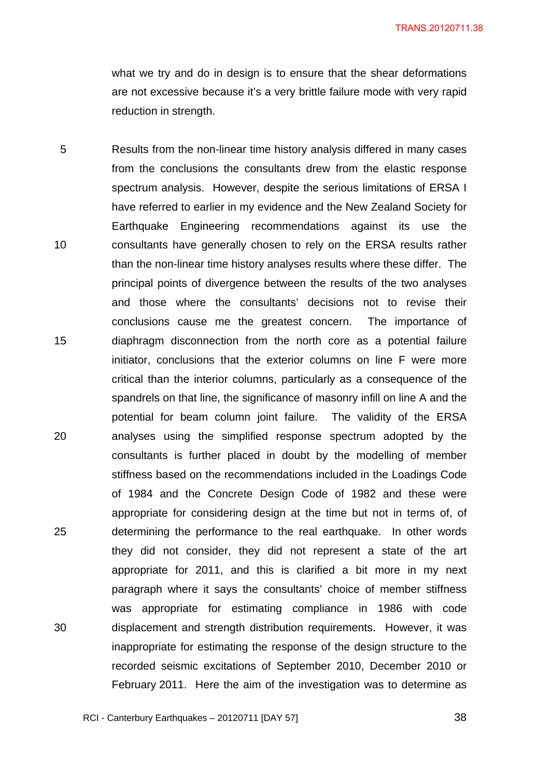what we try and do in design is to ensure that the shear deformations are not excessive because it's a very brittle failure mode with very rapid reduction in strength.

5 10 15 20 25 30 Results from the non-linear time history analysis differed in many cases from the conclusions the consultants drew from the elastic response spectrum analysis. However, despite the serious limitations of ERSA I have referred to earlier in my evidence and the New Zealand Society for Earthquake Engineering recommendations against its use the consultants have generally chosen to rely on the ERSA results rather than the non-linear time history analyses results where these differ. The principal points of divergence between the results of the two analyses and those where the consultants' decisions not to revise their conclusions cause me the greatest concern. The importance of diaphragm disconnection from the north core as a potential failure initiator, conclusions that the exterior columns on line F were more critical than the interior columns, particularly as a consequence of the spandrels on that line, the significance of masonry infill on line A and the potential for beam column joint failure. The validity of the ERSA analyses using the simplified response spectrum adopted by the consultants is further placed in doubt by the modelling of member stiffness based on the recommendations included in the Loadings Code of 1984 and the Concrete Design Code of 1982 and these were appropriate for considering design at the time but not in terms of, of determining the performance to the real earthquake. In other words they did not consider, they did not represent a state of the art appropriate for 2011, and this is clarified a bit more in my next paragraph where it says the consultants' choice of member stiffness was appropriate for estimating compliance in 1986 with code displacement and strength distribution requirements. However, it was inappropriate for estimating the response of the design structure to the recorded seismic excitations of September 2010, December 2010 or February 2011. Here the aim of the investigation was to determine as

RCI - Canterbury Earthquakes – 20120711 [DAY 57]

<u>28 and 2012 and 2013</u> and 2014 and 2014 and 2014 and 2014 and 2014 and 2014 and 2014 and 2014 and 2014 and 2014 and 2014 and 2014 and 2014 and 2014 and 2014 and 2014 and 2014 and 2014 and 2014 and 2014 and 2014 and 2014 a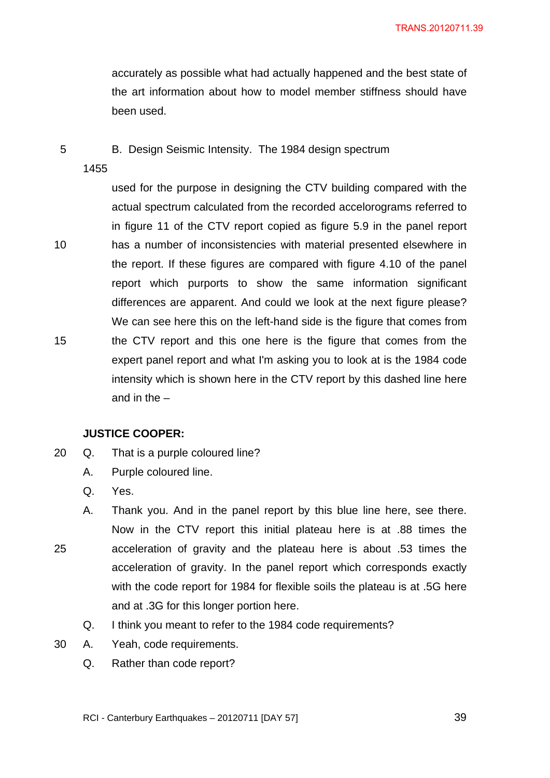accurately as possible what had actually happened and the best state of the art information about how to model member stiffness should have been used.

B. Design Seismic Intensity. The 1984 design spectrum

1455

5

10

15

25

used for the purpose in designing the CTV building compared with the actual spectrum calculated from the recorded accelorograms referred to in figure 11 of the CTV report copied as figure 5.9 in the panel report has a number of inconsistencies with material presented elsewhere in the report. If these figures are compared with figure 4.10 of the panel report which purports to show the same information significant differences are apparent. And could we look at the next figure please? We can see here this on the left-hand side is the figure that comes from the CTV report and this one here is the figure that comes from the expert panel report and what I'm asking you to look at is the 1984 code intensity which is shown here in the CTV report by this dashed line here and in the –

#### **JUSTICE COOPER:**

- 20 Q. That is a purple coloured line?
	- A. Purple coloured line.
	- Q. Yes.
	- A. Thank you. And in the panel report by this blue line here, see there. Now in the CTV report this initial plateau here is at .88 times the acceleration of gravity and the plateau here is about .53 times the acceleration of gravity. In the panel report which corresponds exactly with the code report for 1984 for flexible soils the plateau is at .5G here and at .3G for this longer portion here.
		- Q. I think you meant to refer to the 1984 code requirements?
- 30 A. Yeah, code requirements.
	- Q. Rather than code report?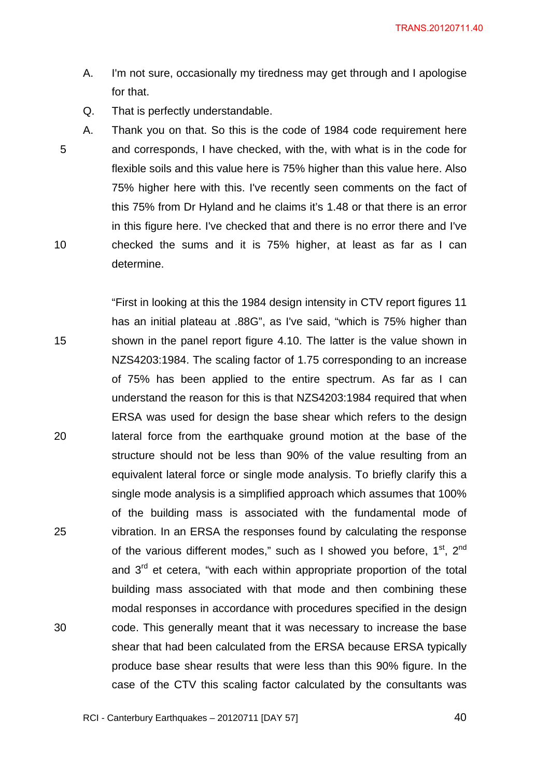- A. I'm not sure, occasionally my tiredness may get through and I apologise for that.
- Q. That is perfectly understandable.

5 10 A. Thank you on that. So this is the code of 1984 code requirement here and corresponds, I have checked, with the, with what is in the code for flexible soils and this value here is 75% higher than this value here. Also 75% higher here with this. I've recently seen comments on the fact of this 75% from Dr Hyland and he claims it's 1.48 or that there is an error in this figure here. I've checked that and there is no error there and I've checked the sums and it is 75% higher, at least as far as I can determine.

15 20 25 30 "First in looking at this the 1984 design intensity in CTV report figures 11 has an initial plateau at .88G", as I've said, "which is 75% higher than shown in the panel report figure 4.10. The latter is the value shown in NZS4203:1984. The scaling factor of 1.75 corresponding to an increase of 75% has been applied to the entire spectrum. As far as I can understand the reason for this is that NZS4203:1984 required that when ERSA was used for design the base shear which refers to the design lateral force from the earthquake ground motion at the base of the structure should not be less than 90% of the value resulting from an equivalent lateral force or single mode analysis. To briefly clarify this a single mode analysis is a simplified approach which assumes that 100% of the building mass is associated with the fundamental mode of vibration. In an ERSA the responses found by calculating the response of the various different modes," such as I showed you before,  $1<sup>st</sup>$ ,  $2<sup>nd</sup>$ and  $3<sup>rd</sup>$  et cetera, "with each within appropriate proportion of the total building mass associated with that mode and then combining these modal responses in accordance with procedures specified in the design code. This generally meant that it was necessary to increase the base shear that had been calculated from the ERSA because ERSA typically produce base shear results that were less than this 90% figure. In the case of the CTV this scaling factor calculated by the consultants was

RCI - Canterbury Earthquakes – 20120711 [DAY 57]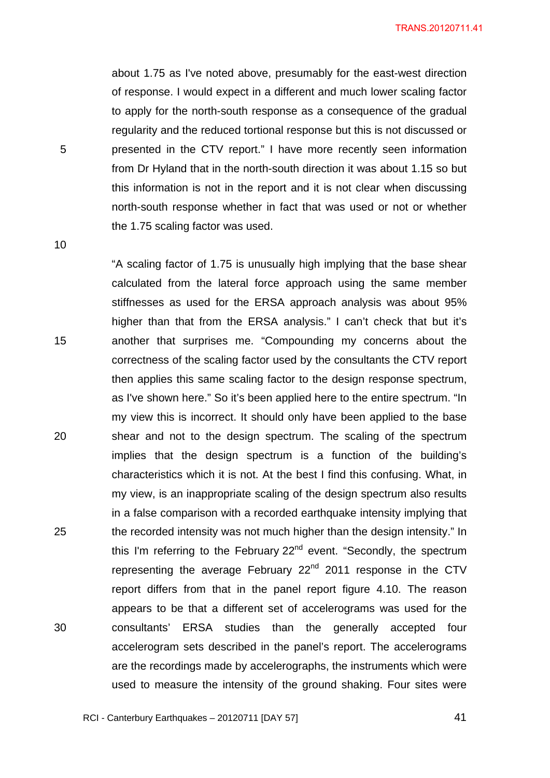about 1.75 as I've noted above, presumably for the east-west direction of response. I would expect in a different and much lower scaling factor to apply for the north-south response as a consequence of the gradual regularity and the reduced tortional response but this is not discussed or presented in the CTV report." I have more recently seen information from Dr Hyland that in the north-south direction it was about 1.15 so but this information is not in the report and it is not clear when discussing north-south response whether in fact that was used or not or whether the 1.75 scaling factor was used.

10

5

15 20 25 30 "A scaling factor of 1.75 is unusually high implying that the base shear calculated from the lateral force approach using the same member stiffnesses as used for the ERSA approach analysis was about 95% higher than that from the ERSA analysis." I can't check that but it's another that surprises me. "Compounding my concerns about the correctness of the scaling factor used by the consultants the CTV report then applies this same scaling factor to the design response spectrum, as I've shown here." So it's been applied here to the entire spectrum. "In my view this is incorrect. It should only have been applied to the base shear and not to the design spectrum. The scaling of the spectrum implies that the design spectrum is a function of the building's characteristics which it is not. At the best I find this confusing. What, in my view, is an inappropriate scaling of the design spectrum also results in a false comparison with a recorded earthquake intensity implying that the recorded intensity was not much higher than the design intensity." In this I'm referring to the February 22<sup>nd</sup> event. "Secondly, the spectrum representing the average February  $22<sup>nd</sup>$  2011 response in the CTV report differs from that in the panel report figure 4.10. The reason appears to be that a different set of accelerograms was used for the consultants' ERSA studies than the generally accepted four accelerogram sets described in the panel's report. The accelerograms are the recordings made by accelerographs, the instruments which were used to measure the intensity of the ground shaking. Four sites were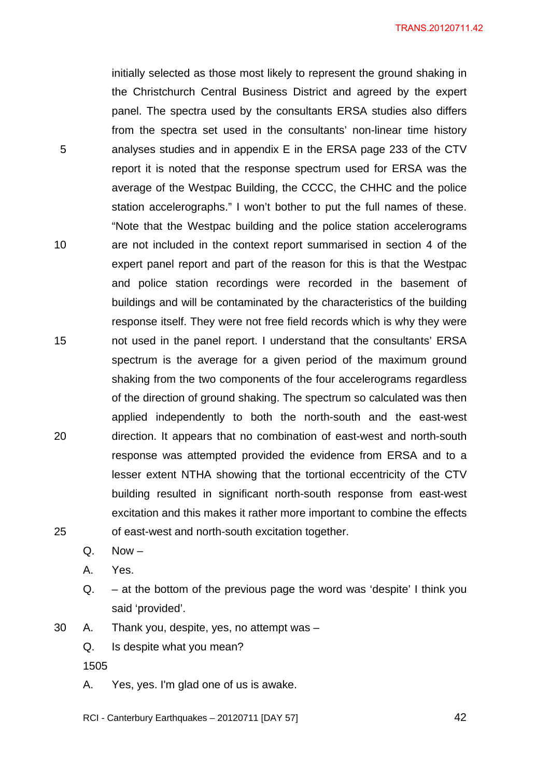initially selected as those most likely to represent the ground shaking in the Christchurch Central Business District and agreed by the expert panel. The spectra used by the consultants ERSA studies also differs from the spectra set used in the consultants' non-linear time history analyses studies and in appendix E in the ERSA page 233 of the CTV report it is noted that the response spectrum used for ERSA was the average of the Westpac Building, the CCCC, the CHHC and the police station accelerographs." I won't bother to put the full names of these. "Note that the Westpac building and the police station accelerograms are not included in the context report summarised in section 4 of the expert panel report and part of the reason for this is that the Westpac and police station recordings were recorded in the basement of buildings and will be contaminated by the characteristics of the building response itself. They were not free field records which is why they were not used in the panel report. I understand that the consultants' ERSA spectrum is the average for a given period of the maximum ground shaking from the two components of the four accelerograms regardless of the direction of ground shaking. The spectrum so calculated was then applied independently to both the north-south and the east-west direction. It appears that no combination of east-west and north-south response was attempted provided the evidence from ERSA and to a lesser extent NTHA showing that the tortional eccentricity of the CTV building resulted in significant north-south response from east-west excitation and this makes it rather more important to combine the effects of east-west and north-south excitation together.

25

20

5

10

15

 $Q.$  Now  $-$ 

A. Yes.

Q. – at the bottom of the previous page the word was 'despite' I think you said 'provided'.

30 A. Thank you, despite, yes, no attempt was –

Q. Is despite what you mean?

1505

A. Yes, yes. I'm glad one of us is awake.

RCI - Canterbury Earthquakes – 20120711 [DAY 57]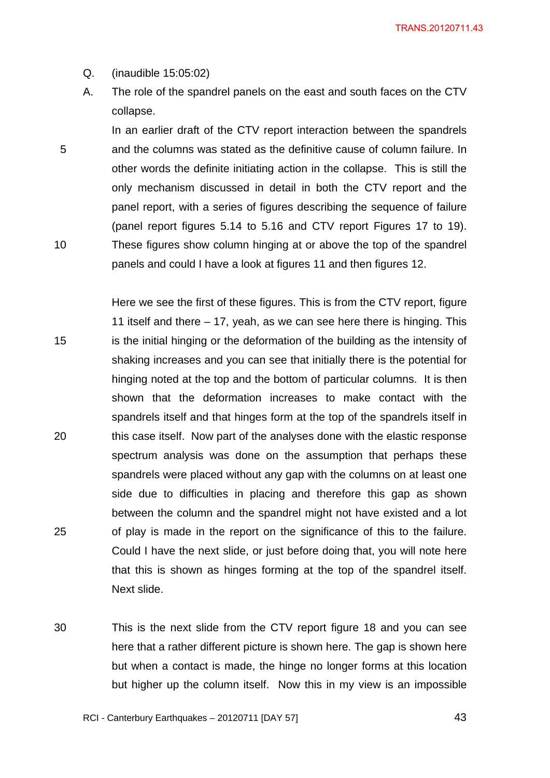Q. (inaudible 15:05:02)

5

10

A. The role of the spandrel panels on the east and south faces on the CTV collapse.

In an earlier draft of the CTV report interaction between the spandrels and the columns was stated as the definitive cause of column failure. In other words the definite initiating action in the collapse. This is still the only mechanism discussed in detail in both the CTV report and the panel report, with a series of figures describing the sequence of failure (panel report figures 5.14 to 5.16 and CTV report Figures 17 to 19). These figures show column hinging at or above the top of the spandrel panels and could I have a look at figures 11 and then figures 12.

15 20 25 Here we see the first of these figures. This is from the CTV report, figure 11 itself and there – 17, yeah, as we can see here there is hinging. This is the initial hinging or the deformation of the building as the intensity of shaking increases and you can see that initially there is the potential for hinging noted at the top and the bottom of particular columns. It is then shown that the deformation increases to make contact with the spandrels itself and that hinges form at the top of the spandrels itself in this case itself. Now part of the analyses done with the elastic response spectrum analysis was done on the assumption that perhaps these spandrels were placed without any gap with the columns on at least one side due to difficulties in placing and therefore this gap as shown between the column and the spandrel might not have existed and a lot of play is made in the report on the significance of this to the failure. Could I have the next slide, or just before doing that, you will note here that this is shown as hinges forming at the top of the spandrel itself. Next slide.

30 This is the next slide from the CTV report figure 18 and you can see here that a rather different picture is shown here. The gap is shown here but when a contact is made, the hinge no longer forms at this location but higher up the column itself. Now this in my view is an impossible

RCI - Canterbury Earthquakes – 20120711 [DAY 57]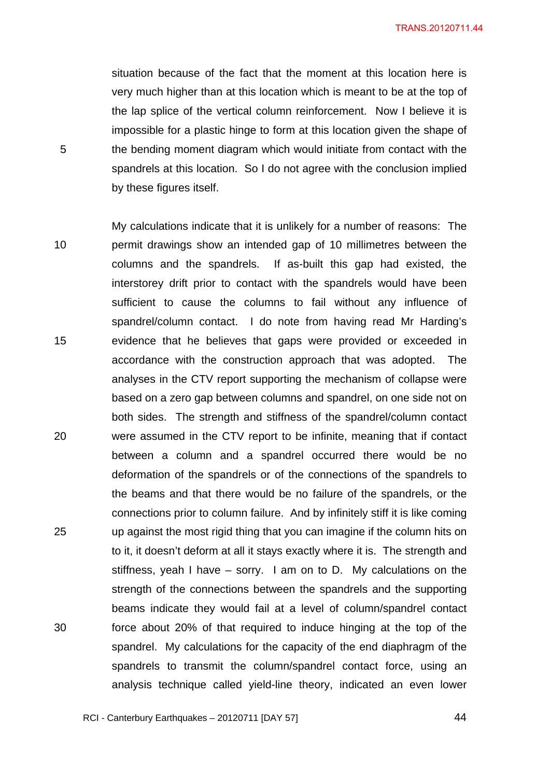situation because of the fact that the moment at this location here is very much higher than at this location which is meant to be at the top of the lap splice of the vertical column reinforcement. Now I believe it is impossible for a plastic hinge to form at this location given the shape of the bending moment diagram which would initiate from contact with the spandrels at this location. So I do not agree with the conclusion implied by these figures itself.

5

10 15 20 25 30 My calculations indicate that it is unlikely for a number of reasons: The permit drawings show an intended gap of 10 millimetres between the columns and the spandrels. If as-built this gap had existed, the interstorey drift prior to contact with the spandrels would have been sufficient to cause the columns to fail without any influence of spandrel/column contact. I do note from having read Mr Harding's evidence that he believes that gaps were provided or exceeded in accordance with the construction approach that was adopted. The analyses in the CTV report supporting the mechanism of collapse were based on a zero gap between columns and spandrel, on one side not on both sides. The strength and stiffness of the spandrel/column contact were assumed in the CTV report to be infinite, meaning that if contact between a column and a spandrel occurred there would be no deformation of the spandrels or of the connections of the spandrels to the beams and that there would be no failure of the spandrels, or the connections prior to column failure. And by infinitely stiff it is like coming up against the most rigid thing that you can imagine if the column hits on to it, it doesn't deform at all it stays exactly where it is. The strength and stiffness, yeah I have – sorry. I am on to D. My calculations on the strength of the connections between the spandrels and the supporting beams indicate they would fail at a level of column/spandrel contact force about 20% of that required to induce hinging at the top of the spandrel. My calculations for the capacity of the end diaphragm of the spandrels to transmit the column/spandrel contact force, using an analysis technique called yield-line theory, indicated an even lower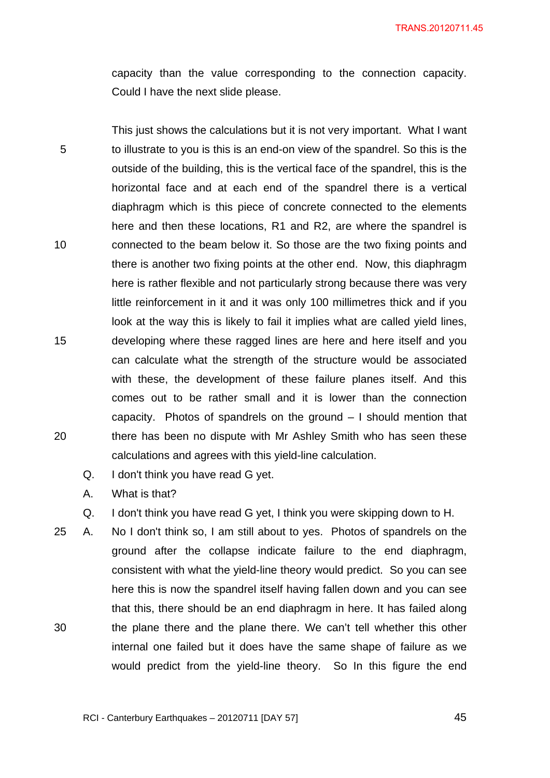capacity than the value corresponding to the connection capacity. Could I have the next slide please.

5 10 15 20 This just shows the calculations but it is not very important. What I want to illustrate to you is this is an end-on view of the spandrel. So this is the outside of the building, this is the vertical face of the spandrel, this is the horizontal face and at each end of the spandrel there is a vertical diaphragm which is this piece of concrete connected to the elements here and then these locations, R1 and R2, are where the spandrel is connected to the beam below it. So those are the two fixing points and there is another two fixing points at the other end. Now, this diaphragm here is rather flexible and not particularly strong because there was very little reinforcement in it and it was only 100 millimetres thick and if you look at the way this is likely to fail it implies what are called yield lines, developing where these ragged lines are here and here itself and you can calculate what the strength of the structure would be associated with these, the development of these failure planes itself. And this comes out to be rather small and it is lower than the connection capacity. Photos of spandrels on the ground – I should mention that there has been no dispute with Mr Ashley Smith who has seen these calculations and agrees with this yield-line calculation.

Q. I don't think you have read G yet.

A. What is that?

Q. I don't think you have read G yet, I think you were skipping down to H.

30 25 A. No I don't think so, I am still about to yes. Photos of spandrels on the ground after the collapse indicate failure to the end diaphragm, consistent with what the yield-line theory would predict. So you can see here this is now the spandrel itself having fallen down and you can see that this, there should be an end diaphragm in here. It has failed along the plane there and the plane there. We can't tell whether this other internal one failed but it does have the same shape of failure as we would predict from the yield-line theory. So In this figure the end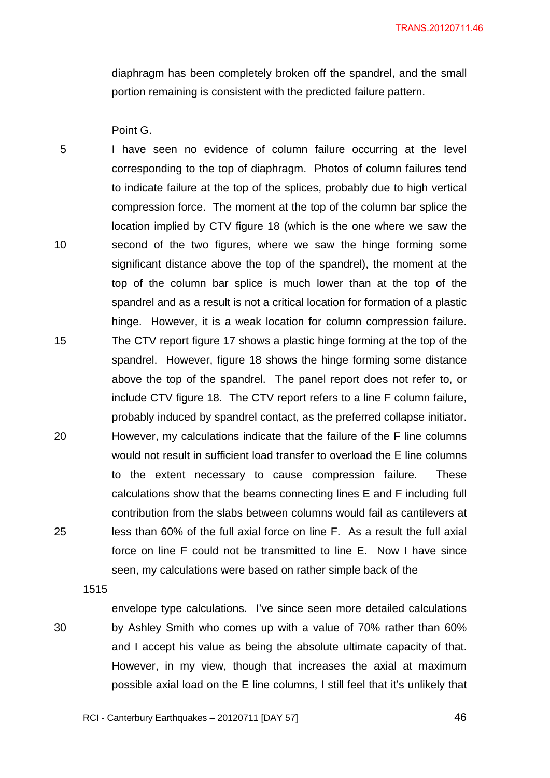diaphragm has been completely broken off the spandrel, and the small portion remaining is consistent with the predicted failure pattern.

Point G.

5 10 15 20 25 I have seen no evidence of column failure occurring at the level corresponding to the top of diaphragm. Photos of column failures tend to indicate failure at the top of the splices, probably due to high vertical compression force. The moment at the top of the column bar splice the location implied by CTV figure 18 (which is the one where we saw the second of the two figures, where we saw the hinge forming some significant distance above the top of the spandrel), the moment at the top of the column bar splice is much lower than at the top of the spandrel and as a result is not a critical location for formation of a plastic hinge. However, it is a weak location for column compression failure. The CTV report figure 17 shows a plastic hinge forming at the top of the spandrel. However, figure 18 shows the hinge forming some distance above the top of the spandrel. The panel report does not refer to, or include CTV figure 18. The CTV report refers to a line F column failure, probably induced by spandrel contact, as the preferred collapse initiator. However, my calculations indicate that the failure of the F line columns would not result in sufficient load transfer to overload the E line columns to the extent necessary to cause compression failure. These calculations show that the beams connecting lines E and F including full contribution from the slabs between columns would fail as cantilevers at less than 60% of the full axial force on line F. As a result the full axial force on line F could not be transmitted to line E. Now I have since seen, my calculations were based on rather simple back of the

1515

30

envelope type calculations. I've since seen more detailed calculations by Ashley Smith who comes up with a value of 70% rather than 60% and I accept his value as being the absolute ultimate capacity of that. However, in my view, though that increases the axial at maximum possible axial load on the E line columns, I still feel that it's unlikely that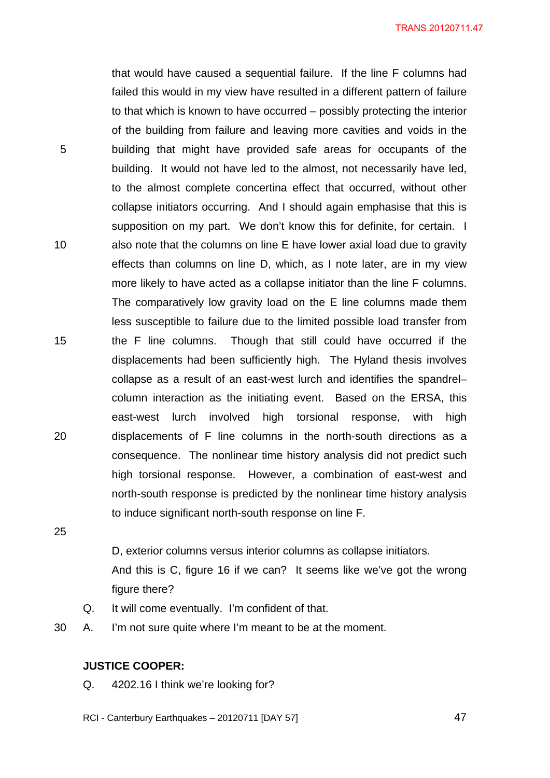that would have caused a sequential failure. If the line F columns had failed this would in my view have resulted in a different pattern of failure to that which is known to have occurred – possibly protecting the interior of the building from failure and leaving more cavities and voids in the building that might have provided safe areas for occupants of the building. It would not have led to the almost, not necessarily have led, to the almost complete concertina effect that occurred, without other collapse initiators occurring. And I should again emphasise that this is supposition on my part. We don't know this for definite, for certain. I also note that the columns on line E have lower axial load due to gravity effects than columns on line D, which, as I note later, are in my view more likely to have acted as a collapse initiator than the line F columns. The comparatively low gravity load on the E line columns made them less susceptible to failure due to the limited possible load transfer from the F line columns. Though that still could have occurred if the displacements had been sufficiently high. The Hyland thesis involves collapse as a result of an east-west lurch and identifies the spandrel– column interaction as the initiating event. Based on the ERSA, this east-west lurch involved high torsional response, with high displacements of F line columns in the north-south directions as a consequence. The nonlinear time history analysis did not predict such high torsional response. However, a combination of east-west and north-south response is predicted by the nonlinear time history analysis to induce significant north-south response on line F.

25

5

10

15

20

D, exterior columns versus interior columns as collapse initiators.

And this is C, figure 16 if we can? It seems like we've got the wrong figure there?

- Q. It will come eventually. I'm confident of that.
- 30 A. I'm not sure quite where I'm meant to be at the moment.

### **JUSTICE COOPER:**

Q. 4202.16 I think we're looking for?

RCI - Canterbury Earthquakes – 20120711 [DAY 57]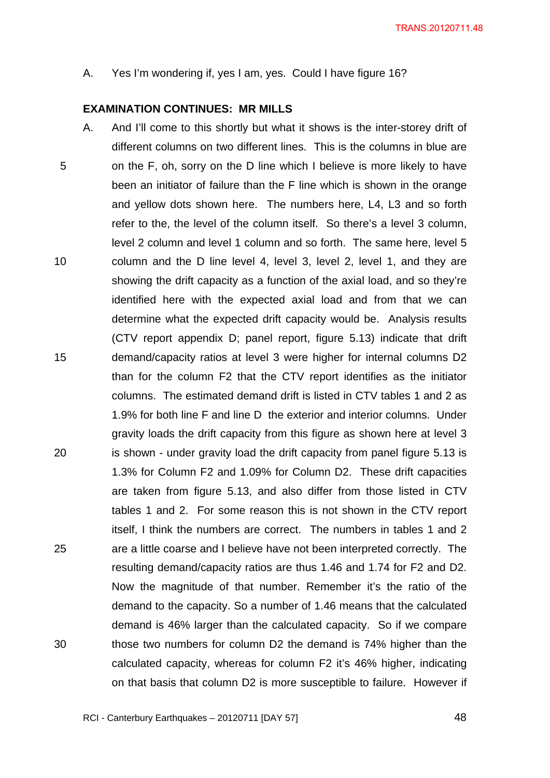A. Yes I'm wondering if, yes I am, yes. Could I have figure 16?

#### **EXAMINATION CONTINUES: MR MILLS**

5 10 15 20 25 30 A. And I'll come to this shortly but what it shows is the inter-storey drift of different columns on two different lines. This is the columns in blue are on the F, oh, sorry on the D line which I believe is more likely to have been an initiator of failure than the F line which is shown in the orange and yellow dots shown here. The numbers here, L4, L3 and so forth refer to the, the level of the column itself. So there's a level 3 column, level 2 column and level 1 column and so forth. The same here, level 5 column and the D line level 4, level 3, level 2, level 1, and they are showing the drift capacity as a function of the axial load, and so they're identified here with the expected axial load and from that we can determine what the expected drift capacity would be. Analysis results (CTV report appendix D; panel report, figure 5.13) indicate that drift demand/capacity ratios at level 3 were higher for internal columns D2 than for the column F2 that the CTV report identifies as the initiator columns. The estimated demand drift is listed in CTV tables 1 and 2 as 1.9% for both line F and line D the exterior and interior columns. Under gravity loads the drift capacity from this figure as shown here at level 3 is shown - under gravity load the drift capacity from panel figure 5.13 is 1.3% for Column F2 and 1.09% for Column D2. These drift capacities are taken from figure 5.13, and also differ from those listed in CTV tables 1 and 2. For some reason this is not shown in the CTV report itself, I think the numbers are correct. The numbers in tables 1 and 2 are a little coarse and I believe have not been interpreted correctly. The resulting demand/capacity ratios are thus 1.46 and 1.74 for F2 and D2. Now the magnitude of that number. Remember it's the ratio of the demand to the capacity. So a number of 1.46 means that the calculated demand is 46% larger than the calculated capacity. So if we compare those two numbers for column D2 the demand is 74% higher than the calculated capacity, whereas for column F2 it's 46% higher, indicating on that basis that column D2 is more susceptible to failure. However if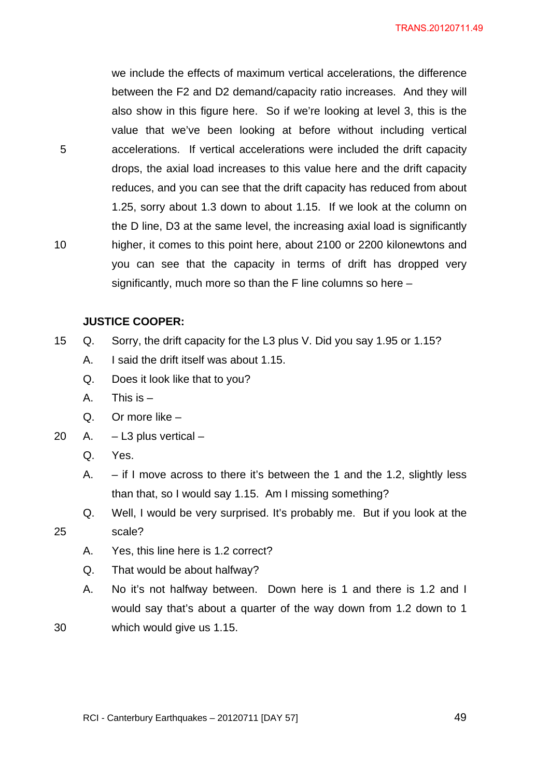we include the effects of maximum vertical accelerations, the difference between the F2 and D2 demand/capacity ratio increases. And they will also show in this figure here. So if we're looking at level 3, this is the value that we've been looking at before without including vertical accelerations. If vertical accelerations were included the drift capacity drops, the axial load increases to this value here and the drift capacity reduces, and you can see that the drift capacity has reduced from about 1.25, sorry about 1.3 down to about 1.15. If we look at the column on the D line, D3 at the same level, the increasing axial load is significantly higher, it comes to this point here, about 2100 or 2200 kilonewtons and you can see that the capacity in terms of drift has dropped very significantly, much more so than the F line columns so here –

#### **JUSTICE COOPER:**

5

10

25

- 15 Q. Sorry, the drift capacity for the L3 plus V. Did you say 1.95 or 1.15?
	- A. I said the drift itself was about 1.15.
	- Q. Does it look like that to you?
	- A. This is –
	- Q. Or more like –
- 20 A. L3 plus vertical
	- Q. Yes.
	- A.  $-$  if I move across to there it's between the 1 and the 1.2, slightly less than that, so I would say 1.15. Am I missing something?
	- Q. Well, I would be very surprised. It's probably me. But if you look at the scale?
	- A. Yes, this line here is 1.2 correct?
	- Q. That would be about halfway?
	- A. No it's not halfway between. Down here is 1 and there is 1.2 and I would say that's about a quarter of the way down from 1.2 down to 1 which would give us 1.15.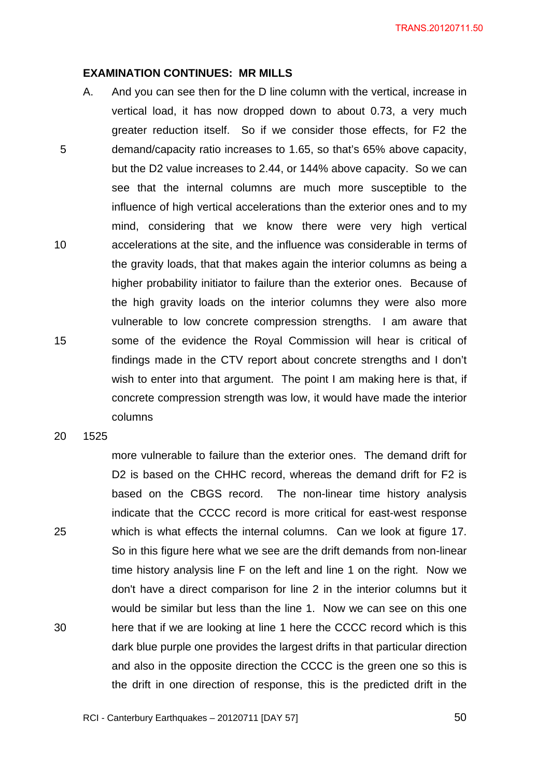#### **EXAMINATION CONTINUES: MR MILLS**

5 10 15 A. And you can see then for the D line column with the vertical, increase in vertical load, it has now dropped down to about 0.73, a very much greater reduction itself. So if we consider those effects, for F2 the demand/capacity ratio increases to 1.65, so that's 65% above capacity, but the D2 value increases to 2.44, or 144% above capacity. So we can see that the internal columns are much more susceptible to the influence of high vertical accelerations than the exterior ones and to my mind, considering that we know there were very high vertical accelerations at the site, and the influence was considerable in terms of the gravity loads, that that makes again the interior columns as being a higher probability initiator to failure than the exterior ones. Because of the high gravity loads on the interior columns they were also more vulnerable to low concrete compression strengths. I am aware that some of the evidence the Royal Commission will hear is critical of findings made in the CTV report about concrete strengths and I don't wish to enter into that argument. The point I am making here is that, if concrete compression strength was low, it would have made the interior columns

20 1525

25

30

more vulnerable to failure than the exterior ones. The demand drift for D2 is based on the CHHC record, whereas the demand drift for F2 is based on the CBGS record. The non-linear time history analysis indicate that the CCCC record is more critical for east-west response which is what effects the internal columns. Can we look at figure 17. So in this figure here what we see are the drift demands from non-linear time history analysis line F on the left and line 1 on the right. Now we don't have a direct comparison for line 2 in the interior columns but it would be similar but less than the line 1. Now we can see on this one here that if we are looking at line 1 here the CCCC record which is this dark blue purple one provides the largest drifts in that particular direction and also in the opposite direction the CCCC is the green one so this is the drift in one direction of response, this is the predicted drift in the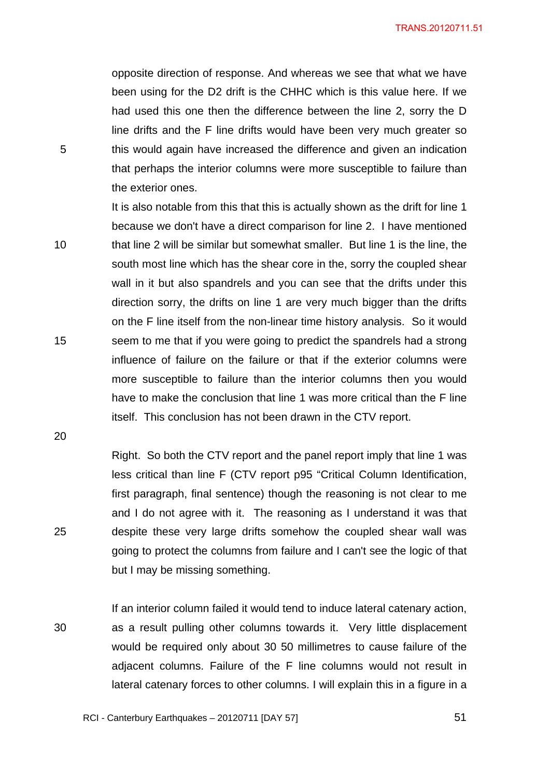opposite direction of response. And whereas we see that what we have been using for the D2 drift is the CHHC which is this value here. If we had used this one then the difference between the line 2, sorry the D line drifts and the F line drifts would have been very much greater so this would again have increased the difference and given an indication that perhaps the interior columns were more susceptible to failure than the exterior ones.

10 15 It is also notable from this that this is actually shown as the drift for line 1 because we don't have a direct comparison for line 2. I have mentioned that line 2 will be similar but somewhat smaller. But line 1 is the line, the south most line which has the shear core in the, sorry the coupled shear wall in it but also spandrels and you can see that the drifts under this direction sorry, the drifts on line 1 are very much bigger than the drifts on the F line itself from the non-linear time history analysis. So it would seem to me that if you were going to predict the spandrels had a strong influence of failure on the failure or that if the exterior columns were more susceptible to failure than the interior columns then you would have to make the conclusion that line 1 was more critical than the F line itself. This conclusion has not been drawn in the CTV report.

20

25

5

Right. So both the CTV report and the panel report imply that line 1 was less critical than line F (CTV report p95 "Critical Column Identification, first paragraph, final sentence) though the reasoning is not clear to me and I do not agree with it. The reasoning as I understand it was that despite these very large drifts somehow the coupled shear wall was going to protect the columns from failure and I can't see the logic of that but I may be missing something.

30 If an interior column failed it would tend to induce lateral catenary action, as a result pulling other columns towards it. Very little displacement would be required only about 30 50 millimetres to cause failure of the adjacent columns. Failure of the F line columns would not result in lateral catenary forces to other columns. I will explain this in a figure in a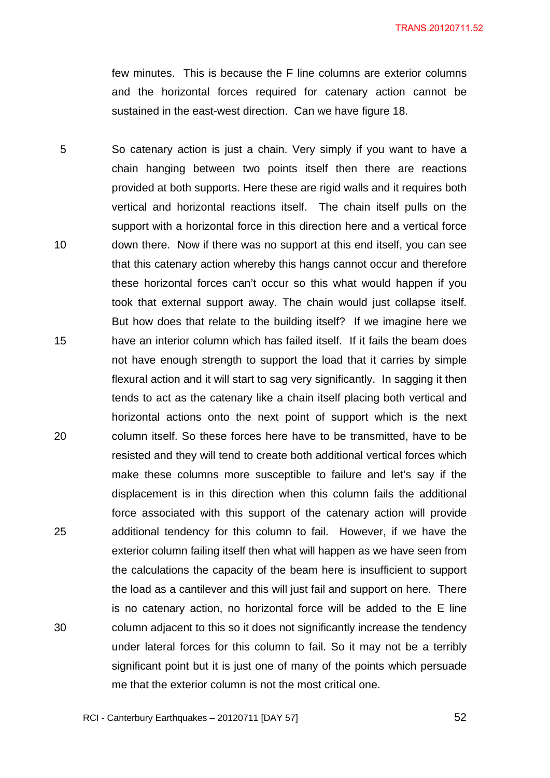few minutes. This is because the F line columns are exterior columns and the horizontal forces required for catenary action cannot be sustained in the east-west direction. Can we have figure 18.

5 10 15 20 25 30 So catenary action is just a chain. Very simply if you want to have a chain hanging between two points itself then there are reactions provided at both supports. Here these are rigid walls and it requires both vertical and horizontal reactions itself. The chain itself pulls on the support with a horizontal force in this direction here and a vertical force down there. Now if there was no support at this end itself, you can see that this catenary action whereby this hangs cannot occur and therefore these horizontal forces can't occur so this what would happen if you took that external support away. The chain would just collapse itself. But how does that relate to the building itself? If we imagine here we have an interior column which has failed itself. If it fails the beam does not have enough strength to support the load that it carries by simple flexural action and it will start to sag very significantly. In sagging it then tends to act as the catenary like a chain itself placing both vertical and horizontal actions onto the next point of support which is the next column itself. So these forces here have to be transmitted, have to be resisted and they will tend to create both additional vertical forces which make these columns more susceptible to failure and let's say if the displacement is in this direction when this column fails the additional force associated with this support of the catenary action will provide additional tendency for this column to fail. However, if we have the exterior column failing itself then what will happen as we have seen from the calculations the capacity of the beam here is insufficient to support the load as a cantilever and this will just fail and support on here. There is no catenary action, no horizontal force will be added to the E line column adjacent to this so it does not significantly increase the tendency under lateral forces for this column to fail. So it may not be a terribly significant point but it is just one of many of the points which persuade me that the exterior column is not the most critical one.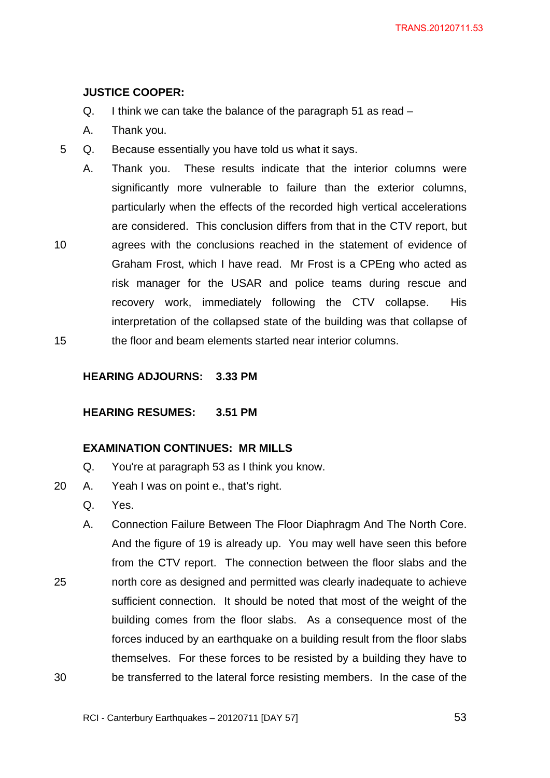# **JUSTICE COOPER:**

- Q. I think we can take the balance of the paragraph 51 as read –
- A. Thank you.
- 5 Q. Because essentially you have told us what it says.
	- A. Thank you. These results indicate that the interior columns were significantly more vulnerable to failure than the exterior columns, particularly when the effects of the recorded high vertical accelerations are considered. This conclusion differs from that in the CTV report, but
- 10 15 agrees with the conclusions reached in the statement of evidence of Graham Frost, which I have read. Mr Frost is a CPEng who acted as risk manager for the USAR and police teams during rescue and recovery work, immediately following the CTV collapse. His interpretation of the collapsed state of the building was that collapse of the floor and beam elements started near interior columns.

# **HEARING ADJOURNS: 3.33 PM**

**HEARING RESUMES: 3.51 PM** 

## **EXAMINATION CONTINUES: MR MILLS**

- Q. You're at paragraph 53 as I think you know.
- 20 A. Yeah I was on point e., that's right.
	- Q. Yes.
- 25 30 A. Connection Failure Between The Floor Diaphragm And The North Core. And the figure of 19 is already up. You may well have seen this before from the CTV report. The connection between the floor slabs and the north core as designed and permitted was clearly inadequate to achieve sufficient connection. It should be noted that most of the weight of the building comes from the floor slabs. As a consequence most of the forces induced by an earthquake on a building result from the floor slabs themselves. For these forces to be resisted by a building they have to be transferred to the lateral force resisting members. In the case of the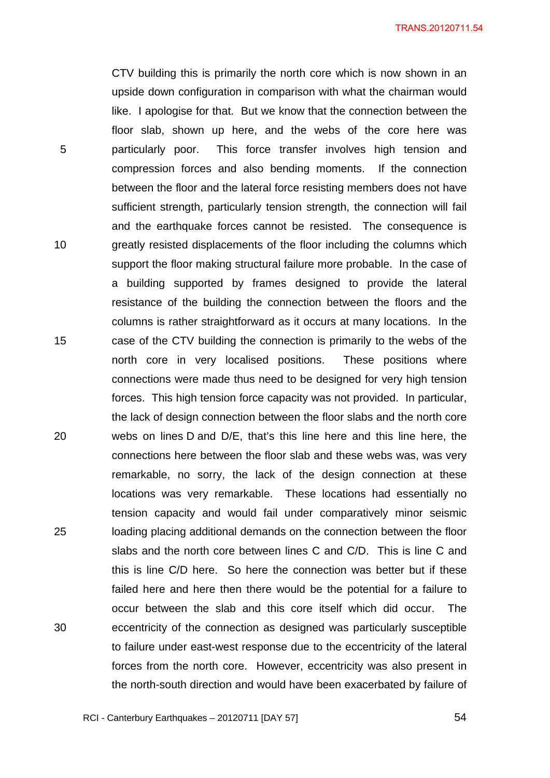CTV building this is primarily the north core which is now shown in an upside down configuration in comparison with what the chairman would like. I apologise for that. But we know that the connection between the floor slab, shown up here, and the webs of the core here was particularly poor. This force transfer involves high tension and compression forces and also bending moments. If the connection between the floor and the lateral force resisting members does not have sufficient strength, particularly tension strength, the connection will fail and the earthquake forces cannot be resisted. The consequence is greatly resisted displacements of the floor including the columns which support the floor making structural failure more probable. In the case of a building supported by frames designed to provide the lateral resistance of the building the connection between the floors and the columns is rather straightforward as it occurs at many locations. In the case of the CTV building the connection is primarily to the webs of the north core in very localised positions. These positions where connections were made thus need to be designed for very high tension forces. This high tension force capacity was not provided. In particular, the lack of design connection between the floor slabs and the north core webs on lines D and D/E, that's this line here and this line here, the connections here between the floor slab and these webs was, was very remarkable, no sorry, the lack of the design connection at these locations was very remarkable. These locations had essentially no tension capacity and would fail under comparatively minor seismic loading placing additional demands on the connection between the floor slabs and the north core between lines C and C/D. This is line C and this is line C/D here. So here the connection was better but if these failed here and here then there would be the potential for a failure to occur between the slab and this core itself which did occur. The eccentricity of the connection as designed was particularly susceptible to failure under east-west response due to the eccentricity of the lateral forces from the north core. However, eccentricity was also present in the north-south direction and would have been exacerbated by failure of

RCI - Canterbury Earthquakes – 20120711 [DAY 57]

5

10

15

20

25

30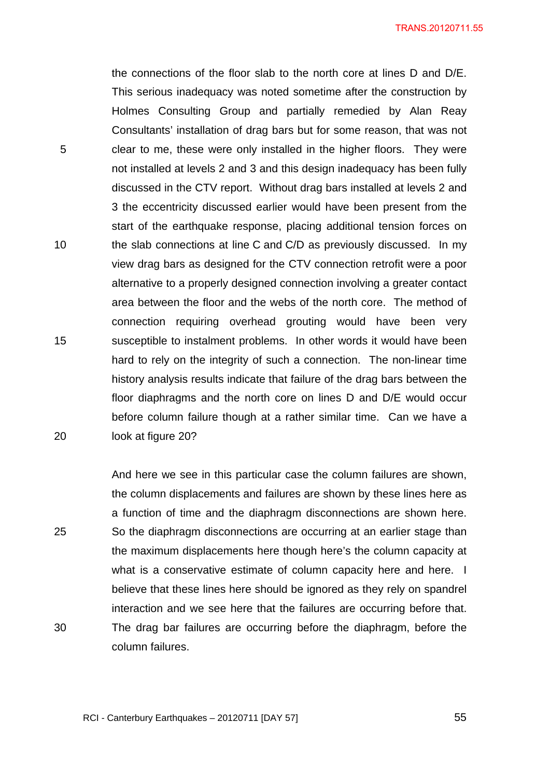the connections of the floor slab to the north core at lines D and D/E. This serious inadequacy was noted sometime after the construction by Holmes Consulting Group and partially remedied by Alan Reay Consultants' installation of drag bars but for some reason, that was not clear to me, these were only installed in the higher floors. They were not installed at levels 2 and 3 and this design inadequacy has been fully discussed in the CTV report. Without drag bars installed at levels 2 and 3 the eccentricity discussed earlier would have been present from the start of the earthquake response, placing additional tension forces on the slab connections at line C and C/D as previously discussed. In my view drag bars as designed for the CTV connection retrofit were a poor alternative to a properly designed connection involving a greater contact area between the floor and the webs of the north core. The method of connection requiring overhead grouting would have been very susceptible to instalment problems. In other words it would have been hard to rely on the integrity of such a connection. The non-linear time history analysis results indicate that failure of the drag bars between the floor diaphragms and the north core on lines D and D/E would occur before column failure though at a rather similar time. Can we have a look at figure 20?

And here we see in this particular case the column failures are shown, the column displacements and failures are shown by these lines here as a function of time and the diaphragm disconnections are shown here. So the diaphragm disconnections are occurring at an earlier stage than the maximum displacements here though here's the column capacity at what is a conservative estimate of column capacity here and here. I believe that these lines here should be ignored as they rely on spandrel interaction and we see here that the failures are occurring before that. The drag bar failures are occurring before the diaphragm, before the column failures.

30

5

10

15

20

25

RCI - Canterbury Earthquakes – 20120711 [DAY 57]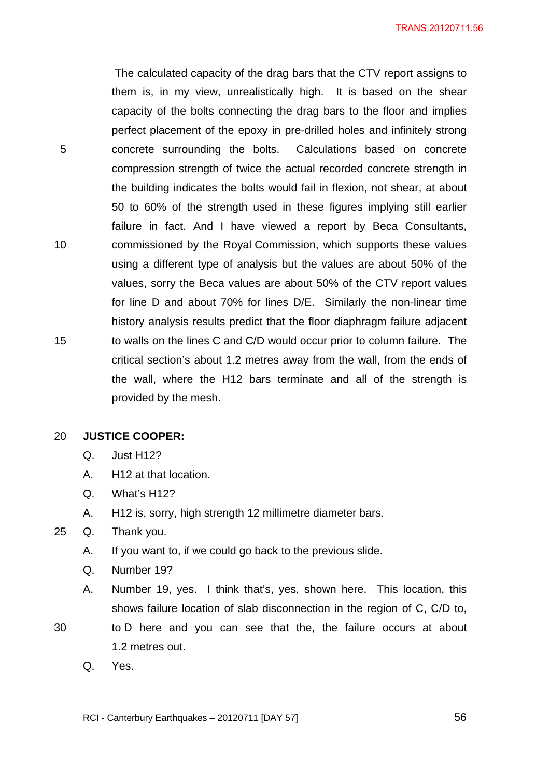The calculated capacity of the drag bars that the CTV report assigns to them is, in my view, unrealistically high. It is based on the shear capacity of the bolts connecting the drag bars to the floor and implies perfect placement of the epoxy in pre-drilled holes and infinitely strong concrete surrounding the bolts. Calculations based on concrete compression strength of twice the actual recorded concrete strength in the building indicates the bolts would fail in flexion, not shear, at about 50 to 60% of the strength used in these figures implying still earlier failure in fact. And I have viewed a report by Beca Consultants, commissioned by the Royal Commission, which supports these values using a different type of analysis but the values are about 50% of the values, sorry the Beca values are about 50% of the CTV report values for line D and about 70% for lines D/E. Similarly the non-linear time history analysis results predict that the floor diaphragm failure adjacent to walls on the lines C and C/D would occur prior to column failure. The critical section's about 1.2 metres away from the wall, from the ends of the wall, where the H12 bars terminate and all of the strength is provided by the mesh.

#### 20 **JUSTICE COOPER:**

5

10

15

- Q. Just H12?
- A. H12 at that location.
- Q. What's H12?
- A. H12 is, sorry, high strength 12 millimetre diameter bars.

# 25 Q. Thank you.

- A. If you want to, if we could go back to the previous slide.
- Q. Number 19?
- A. Number 19, yes. I think that's, yes, shown here. This location, this shows failure location of slab disconnection in the region of C, C/D to,
- 30 to D here and you can see that the, the failure occurs at about 1.2 metres out.
	- Q. Yes.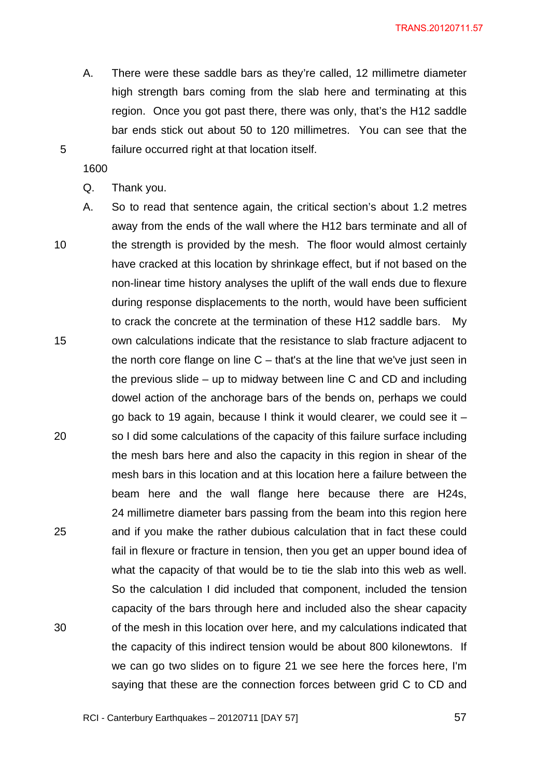A. There were these saddle bars as they're called, 12 millimetre diameter high strength bars coming from the slab here and terminating at this region. Once you got past there, there was only, that's the H12 saddle bar ends stick out about 50 to 120 millimetres. You can see that the failure occurred right at that location itself.

1600

5

Q. Thank you.

10 15 20 25 30 A. So to read that sentence again, the critical section's about 1.2 metres away from the ends of the wall where the H12 bars terminate and all of the strength is provided by the mesh. The floor would almost certainly have cracked at this location by shrinkage effect, but if not based on the non-linear time history analyses the uplift of the wall ends due to flexure during response displacements to the north, would have been sufficient to crack the concrete at the termination of these H12 saddle bars. My own calculations indicate that the resistance to slab fracture adjacent to the north core flange on line  $C -$  that's at the line that we've just seen in the previous slide – up to midway between line C and CD and including dowel action of the anchorage bars of the bends on, perhaps we could go back to 19 again, because I think it would clearer, we could see it – so I did some calculations of the capacity of this failure surface including the mesh bars here and also the capacity in this region in shear of the mesh bars in this location and at this location here a failure between the beam here and the wall flange here because there are H24s, 24 millimetre diameter bars passing from the beam into this region here and if you make the rather dubious calculation that in fact these could fail in flexure or fracture in tension, then you get an upper bound idea of what the capacity of that would be to tie the slab into this web as well. So the calculation I did included that component, included the tension capacity of the bars through here and included also the shear capacity of the mesh in this location over here, and my calculations indicated that the capacity of this indirect tension would be about 800 kilonewtons. If we can go two slides on to figure 21 we see here the forces here, I'm saying that these are the connection forces between grid C to CD and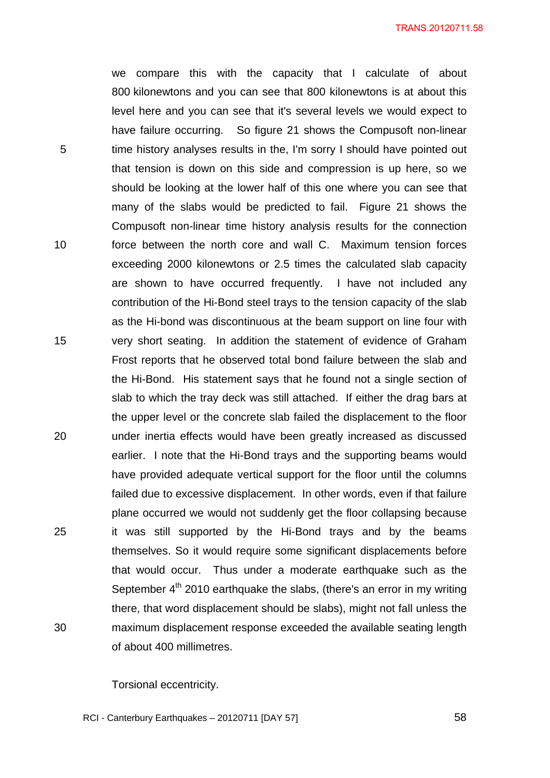we compare this with the capacity that I calculate of about 800 kilonewtons and you can see that 800 kilonewtons is at about this level here and you can see that it's several levels we would expect to have failure occurring. So figure 21 shows the Compusoft non-linear time history analyses results in the, I'm sorry I should have pointed out that tension is down on this side and compression is up here, so we should be looking at the lower half of this one where you can see that many of the slabs would be predicted to fail. Figure 21 shows the Compusoft non-linear time history analysis results for the connection force between the north core and wall C. Maximum tension forces exceeding 2000 kilonewtons or 2.5 times the calculated slab capacity are shown to have occurred frequently. I have not included any contribution of the Hi-Bond steel trays to the tension capacity of the slab as the Hi-bond was discontinuous at the beam support on line four with very short seating. In addition the statement of evidence of Graham Frost reports that he observed total bond failure between the slab and the Hi-Bond. His statement says that he found not a single section of slab to which the tray deck was still attached. If either the drag bars at the upper level or the concrete slab failed the displacement to the floor under inertia effects would have been greatly increased as discussed earlier. I note that the Hi-Bond trays and the supporting beams would have provided adequate vertical support for the floor until the columns failed due to excessive displacement. In other words, even if that failure plane occurred we would not suddenly get the floor collapsing because it was still supported by the Hi-Bond trays and by the beams themselves. So it would require some significant displacements before that would occur. Thus under a moderate earthquake such as the September  $4<sup>th</sup>$  2010 earthquake the slabs, (there's an error in my writing there, that word displacement should be slabs), might not fall unless the maximum displacement response exceeded the available seating length of about 400 millimetres.

Torsional eccentricity.

5

10

15

20

25

30

RCI - Canterbury Earthquakes – 20120711 [DAY 57]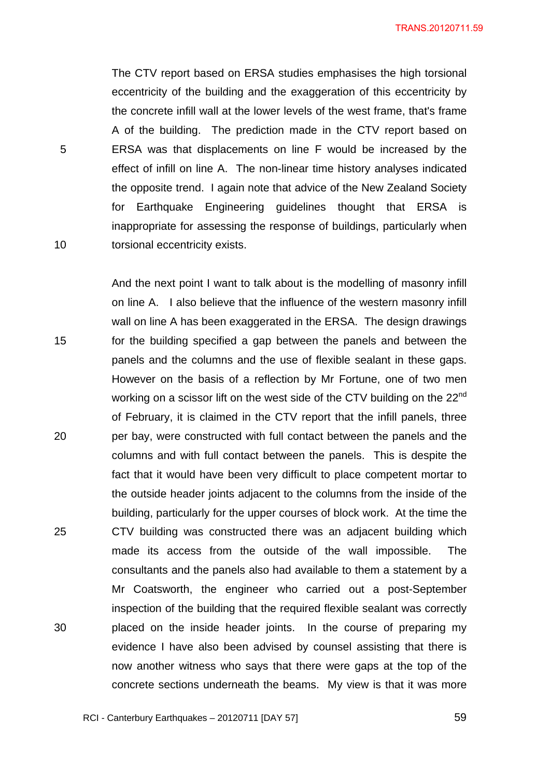The CTV report based on ERSA studies emphasises the high torsional eccentricity of the building and the exaggeration of this eccentricity by the concrete infill wall at the lower levels of the west frame, that's frame A of the building. The prediction made in the CTV report based on ERSA was that displacements on line F would be increased by the effect of infill on line A. The non-linear time history analyses indicated the opposite trend. I again note that advice of the New Zealand Society for Earthquake Engineering guidelines thought that ERSA is inappropriate for assessing the response of buildings, particularly when torsional eccentricity exists.

5

10

15 20 25 30 And the next point I want to talk about is the modelling of masonry infill on line A. I also believe that the influence of the western masonry infill wall on line A has been exaggerated in the ERSA. The design drawings for the building specified a gap between the panels and between the panels and the columns and the use of flexible sealant in these gaps. However on the basis of a reflection by Mr Fortune, one of two men working on a scissor lift on the west side of the CTV building on the 22<sup>nd</sup> of February, it is claimed in the CTV report that the infill panels, three per bay, were constructed with full contact between the panels and the columns and with full contact between the panels. This is despite the fact that it would have been very difficult to place competent mortar to the outside header joints adjacent to the columns from the inside of the building, particularly for the upper courses of block work. At the time the CTV building was constructed there was an adjacent building which made its access from the outside of the wall impossible. The consultants and the panels also had available to them a statement by a Mr Coatsworth, the engineer who carried out a post-September inspection of the building that the required flexible sealant was correctly placed on the inside header joints. In the course of preparing my evidence I have also been advised by counsel assisting that there is now another witness who says that there were gaps at the top of the concrete sections underneath the beams. My view is that it was more

RCI - Canterbury Earthquakes – 20120711 [DAY 57]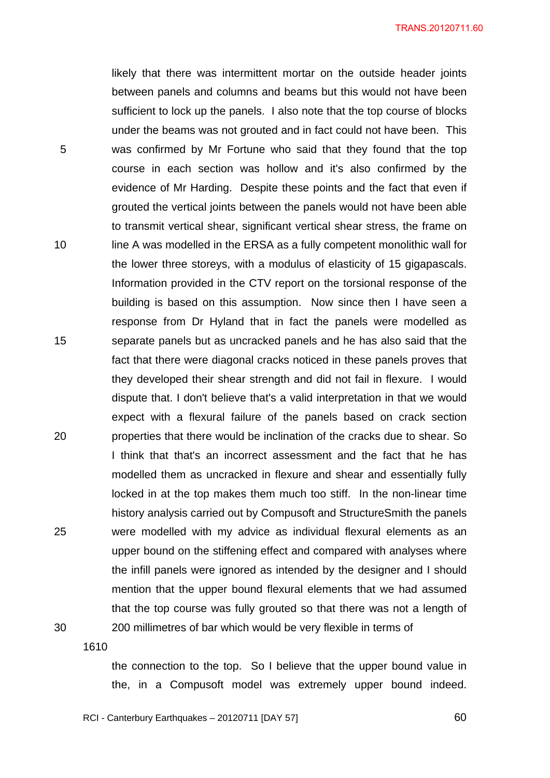likely that there was intermittent mortar on the outside header joints between panels and columns and beams but this would not have been sufficient to lock up the panels. I also note that the top course of blocks under the beams was not grouted and in fact could not have been. This was confirmed by Mr Fortune who said that they found that the top course in each section was hollow and it's also confirmed by the evidence of Mr Harding. Despite these points and the fact that even if grouted the vertical joints between the panels would not have been able to transmit vertical shear, significant vertical shear stress, the frame on line A was modelled in the ERSA as a fully competent monolithic wall for the lower three storeys, with a modulus of elasticity of 15 gigapascals. Information provided in the CTV report on the torsional response of the building is based on this assumption. Now since then I have seen a response from Dr Hyland that in fact the panels were modelled as separate panels but as uncracked panels and he has also said that the fact that there were diagonal cracks noticed in these panels proves that they developed their shear strength and did not fail in flexure. I would dispute that. I don't believe that's a valid interpretation in that we would expect with a flexural failure of the panels based on crack section properties that there would be inclination of the cracks due to shear. So I think that that's an incorrect assessment and the fact that he has modelled them as uncracked in flexure and shear and essentially fully locked in at the top makes them much too stiff. In the non-linear time history analysis carried out by Compusoft and StructureSmith the panels were modelled with my advice as individual flexural elements as an upper bound on the stiffening effect and compared with analyses where the infill panels were ignored as intended by the designer and I should mention that the upper bound flexural elements that we had assumed that the top course was fully grouted so that there was not a length of 200 millimetres of bar which would be very flexible in terms of

1610

5

10

15

20

25

30

the connection to the top. So I believe that the upper bound value in the, in a Compusoft model was extremely upper bound indeed.

RCI - Canterbury Earthquakes – 20120711 [DAY 57]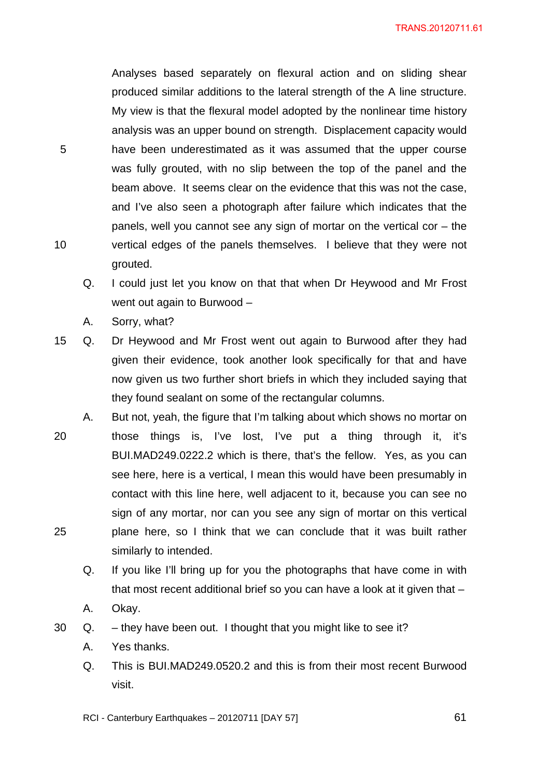Analyses based separately on flexural action and on sliding shear produced similar additions to the lateral strength of the A line structure. My view is that the flexural model adopted by the nonlinear time history analysis was an upper bound on strength. Displacement capacity would have been underestimated as it was assumed that the upper course was fully grouted, with no slip between the top of the panel and the beam above. It seems clear on the evidence that this was not the case, and I've also seen a photograph after failure which indicates that the panels, well you cannot see any sign of mortar on the vertical cor – the vertical edges of the panels themselves. I believe that they were not grouted.

- Q. I could just let you know on that that when Dr Heywood and Mr Frost went out again to Burwood –
- A. Sorry, what?

5

10

- 15 Q. Dr Heywood and Mr Frost went out again to Burwood after they had given their evidence, took another look specifically for that and have now given us two further short briefs in which they included saying that they found sealant on some of the rectangular columns.
- 20 25 A. But not, yeah, the figure that I'm talking about which shows no mortar on those things is, I've lost, I've put a thing through it, it's BUI.MAD249.0222.2 which is there, that's the fellow. Yes, as you can see here, here is a vertical, I mean this would have been presumably in contact with this line here, well adjacent to it, because you can see no sign of any mortar, nor can you see any sign of mortar on this vertical plane here, so I think that we can conclude that it was built rather similarly to intended.
	- Q. If you like I'll bring up for you the photographs that have come in with that most recent additional brief so you can have a look at it given that –
	- A. Okay.
- 30 Q. they have been out. I thought that you might like to see it?
	- A. Yes thanks.
	- Q. This is BUI.MAD249.0520.2 and this is from their most recent Burwood visit.

RCI - Canterbury Earthquakes – 20120711 [DAY 57]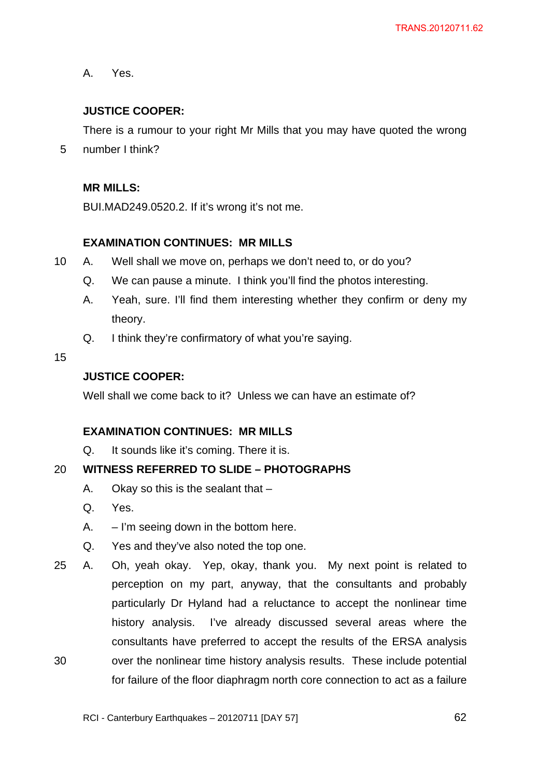A. Yes.

# **JUSTICE COOPER:**

There is a rumour to your right Mr Mills that you may have quoted the wrong number I think?

5

### **MR MILLS:**

BUI.MAD249.0520.2. If it's wrong it's not me.

## **EXAMINATION CONTINUES: MR MILLS**

- 10 A. Well shall we move on, perhaps we don't need to, or do you?
	- Q. We can pause a minute. I think you'll find the photos interesting.
	- A. Yeah, sure. I'll find them interesting whether they confirm or deny my theory.
	- Q. I think they're confirmatory of what you're saying.
- 15

## **JUSTICE COOPER:**

Well shall we come back to it? Unless we can have an estimate of?

## **EXAMINATION CONTINUES: MR MILLS**

Q. It sounds like it's coming. There it is.

#### 20 **WITNESS REFERRED TO SLIDE – PHOTOGRAPHS**

- A. Okay so this is the sealant that –
- Q. Yes.
- $A. I'm$  seeing down in the bottom here.
- Q. Yes and they've also noted the top one.
- 30 25 A. Oh, yeah okay. Yep, okay, thank you. My next point is related to perception on my part, anyway, that the consultants and probably particularly Dr Hyland had a reluctance to accept the nonlinear time history analysis. I've already discussed several areas where the consultants have preferred to accept the results of the ERSA analysis over the nonlinear time history analysis results. These include potential for failure of the floor diaphragm north core connection to act as a failure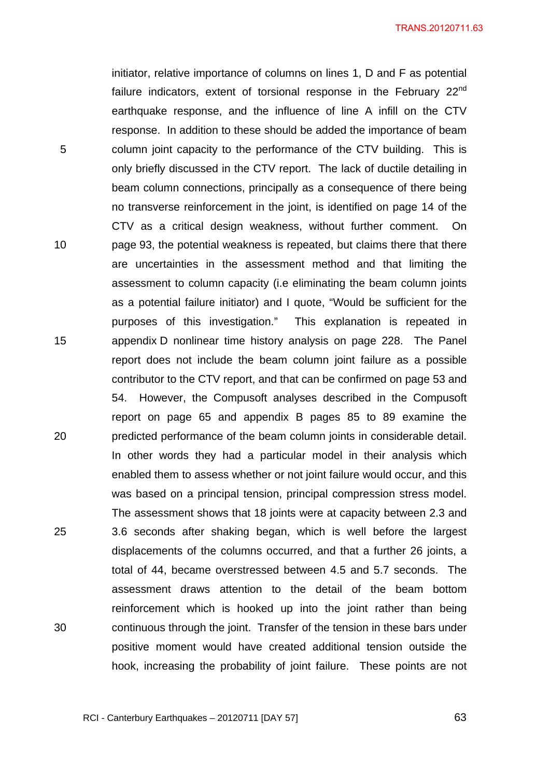initiator, relative importance of columns on lines 1, D and F as potential failure indicators, extent of torsional response in the February 22<sup>nd</sup> earthquake response, and the influence of line A infill on the CTV response. In addition to these should be added the importance of beam column joint capacity to the performance of the CTV building. This is only briefly discussed in the CTV report. The lack of ductile detailing in beam column connections, principally as a consequence of there being no transverse reinforcement in the joint, is identified on page 14 of the CTV as a critical design weakness, without further comment. On page 93, the potential weakness is repeated, but claims there that there are uncertainties in the assessment method and that limiting the assessment to column capacity (i.e eliminating the beam column joints as a potential failure initiator) and I quote, "Would be sufficient for the purposes of this investigation." This explanation is repeated in appendix D nonlinear time history analysis on page 228. The Panel report does not include the beam column joint failure as a possible contributor to the CTV report, and that can be confirmed on page 53 and 54. However, the Compusoft analyses described in the Compusoft report on page 65 and appendix B pages 85 to 89 examine the predicted performance of the beam column joints in considerable detail. In other words they had a particular model in their analysis which enabled them to assess whether or not joint failure would occur, and this was based on a principal tension, principal compression stress model. The assessment shows that 18 joints were at capacity between 2.3 and 3.6 seconds after shaking began, which is well before the largest displacements of the columns occurred, and that a further 26 joints, a total of 44, became overstressed between 4.5 and 5.7 seconds. The assessment draws attention to the detail of the beam bottom reinforcement which is hooked up into the joint rather than being continuous through the joint. Transfer of the tension in these bars under positive moment would have created additional tension outside the hook, increasing the probability of joint failure. These points are not

RCI - Canterbury Earthquakes – 20120711 [DAY 57]

5

10

15

20

25

30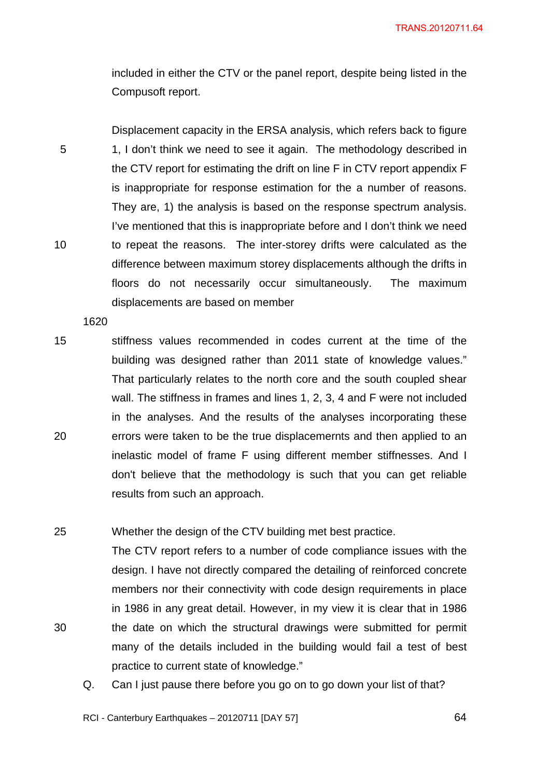included in either the CTV or the panel report, despite being listed in the Compusoft report.

Displacement capacity in the ERSA analysis, which refers back to figure 1, I don't think we need to see it again. The methodology described in the CTV report for estimating the drift on line F in CTV report appendix F is inappropriate for response estimation for the a number of reasons. They are, 1) the analysis is based on the response spectrum analysis. I've mentioned that this is inappropriate before and I don't think we need to repeat the reasons. The inter-storey drifts were calculated as the difference between maximum storey displacements although the drifts in floors do not necessarily occur simultaneously. The maximum displacements are based on member

1620

5

10

30

15 20 stiffness values recommended in codes current at the time of the building was designed rather than 2011 state of knowledge values." That particularly relates to the north core and the south coupled shear wall. The stiffness in frames and lines 1, 2, 3, 4 and F were not included in the analyses. And the results of the analyses incorporating these errors were taken to be the true displacemernts and then applied to an inelastic model of frame F using different member stiffnesses. And I don't believe that the methodology is such that you can get reliable results from such an approach.

25 Whether the design of the CTV building met best practice.

The CTV report refers to a number of code compliance issues with the design. I have not directly compared the detailing of reinforced concrete members nor their connectivity with code design requirements in place in 1986 in any great detail. However, in my view it is clear that in 1986 the date on which the structural drawings were submitted for permit many of the details included in the building would fail a test of best practice to current state of knowledge."

Q. Can I just pause there before you go on to go down your list of that?

RCI - Canterbury Earthquakes – 20120711 [DAY 57]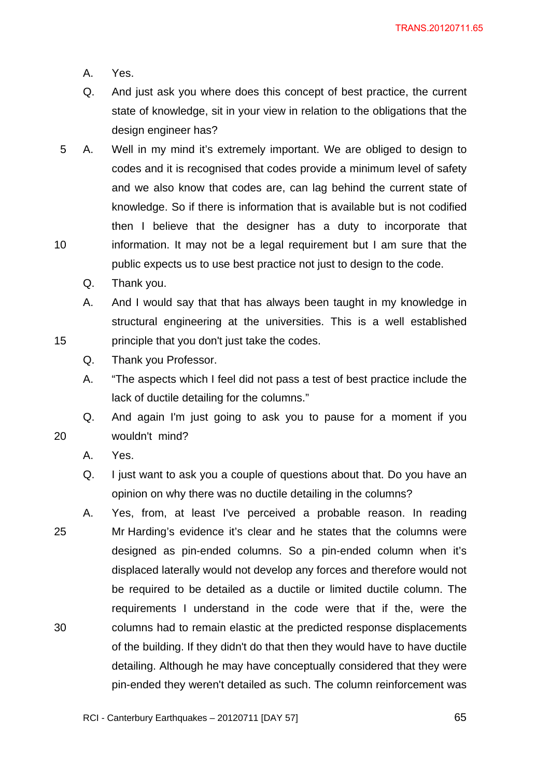- A. Yes.
- Q. And just ask you where does this concept of best practice, the current state of knowledge, sit in your view in relation to the obligations that the design engineer has?
- 10 5 A. Well in my mind it's extremely important. We are obliged to design to codes and it is recognised that codes provide a minimum level of safety and we also know that codes are, can lag behind the current state of knowledge. So if there is information that is available but is not codified then I believe that the designer has a duty to incorporate that information. It may not be a legal requirement but I am sure that the public expects us to use best practice not just to design to the code.
	- Q. Thank you.

A. And I would say that that has always been taught in my knowledge in structural engineering at the universities. This is a well established principle that you don't just take the codes.

- Q. Thank you Professor.
- A. "The aspects which I feel did not pass a test of best practice include the lack of ductile detailing for the columns."

Q. And again I'm just going to ask you to pause for a moment if you wouldn't mind?

A. Yes.

15

- Q. I just want to ask you a couple of questions about that. Do you have an opinion on why there was no ductile detailing in the columns?
- 25 30 A. Yes, from, at least I've perceived a probable reason. In reading Mr Harding's evidence it's clear and he states that the columns were designed as pin-ended columns. So a pin-ended column when it's displaced laterally would not develop any forces and therefore would not be required to be detailed as a ductile or limited ductile column. The requirements I understand in the code were that if the, were the columns had to remain elastic at the predicted response displacements of the building. If they didn't do that then they would have to have ductile detailing. Although he may have conceptually considered that they were pin-ended they weren't detailed as such. The column reinforcement was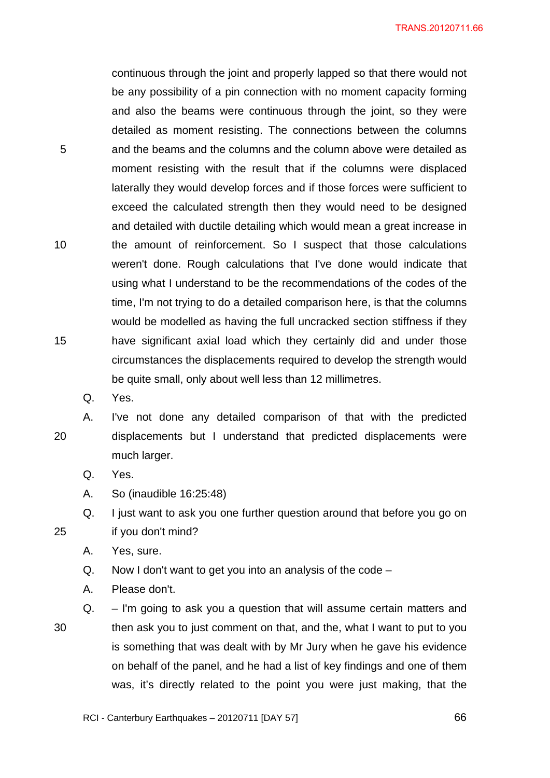continuous through the joint and properly lapped so that there would not be any possibility of a pin connection with no moment capacity forming and also the beams were continuous through the joint, so they were detailed as moment resisting. The connections between the columns and the beams and the columns and the column above were detailed as moment resisting with the result that if the columns were displaced laterally they would develop forces and if those forces were sufficient to exceed the calculated strength then they would need to be designed and detailed with ductile detailing which would mean a great increase in the amount of reinforcement. So I suspect that those calculations weren't done. Rough calculations that I've done would indicate that using what I understand to be the recommendations of the codes of the time, I'm not trying to do a detailed comparison here, is that the columns would be modelled as having the full uncracked section stiffness if they have significant axial load which they certainly did and under those circumstances the displacements required to develop the strength would be quite small, only about well less than 12 millimetres.

Q. Yes.

20

25

5

10

15

A. I've not done any detailed comparison of that with the predicted displacements but I understand that predicted displacements were much larger.

Q. Yes.

A. So (inaudible 16:25:48)

Q. I just want to ask you one further question around that before you go on if you don't mind?

A. Yes, sure.

Q. Now I don't want to get you into an analysis of the code –

A. Please don't.

30 Q. – I'm going to ask you a question that will assume certain matters and then ask you to just comment on that, and the, what I want to put to you is something that was dealt with by Mr Jury when he gave his evidence on behalf of the panel, and he had a list of key findings and one of them was, it's directly related to the point you were just making, that the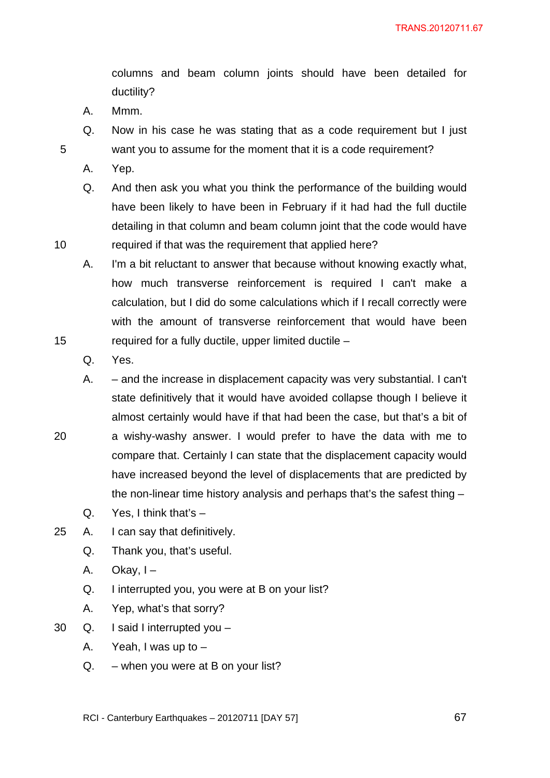columns and beam column joints should have been detailed for ductility?

- A. Mmm.
- Q. Now in his case he was stating that as a code requirement but I just want you to assume for the moment that it is a code requirement?
- A. Yep.

5

10

15

20

Q. And then ask you what you think the performance of the building would have been likely to have been in February if it had had the full ductile detailing in that column and beam column joint that the code would have required if that was the requirement that applied here?

A. I'm a bit reluctant to answer that because without knowing exactly what, how much transverse reinforcement is required I can't make a calculation, but I did do some calculations which if I recall correctly were with the amount of transverse reinforcement that would have been required for a fully ductile, upper limited ductile –

Q. Yes.

A. – and the increase in displacement capacity was very substantial. I can't state definitively that it would have avoided collapse though I believe it almost certainly would have if that had been the case, but that's a bit of a wishy-washy answer. I would prefer to have the data with me to compare that. Certainly I can state that the displacement capacity would have increased beyond the level of displacements that are predicted by the non-linear time history analysis and perhaps that's the safest thing –

- Q. Yes, I think that's –
- 25 A. I can say that definitively.
	- Q. Thank you, that's useful.
	- A. Okay,  $I -$
	- Q. I interrupted you, you were at B on your list?
	- A. Yep, what's that sorry?
- 30 Q. I said I interrupted you
	- A. Yeah, I was up to –
	- $Q. -$  when you were at B on your list?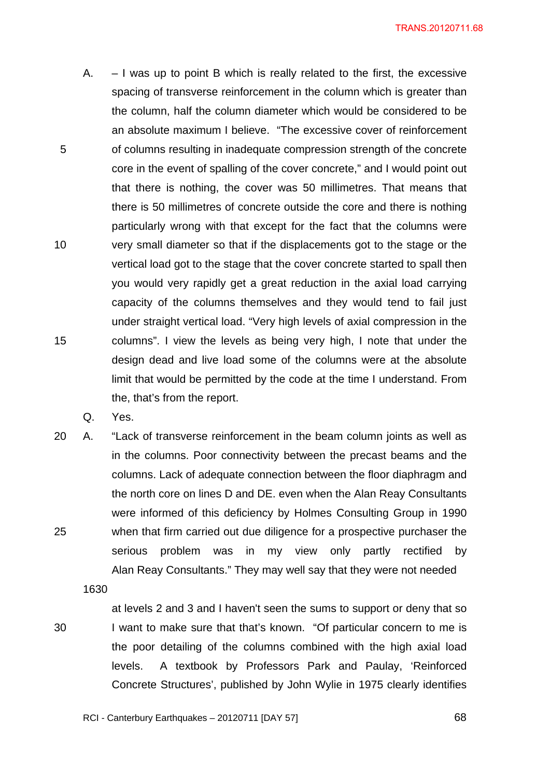- 5 10 15 A.  $-1$  was up to point B which is really related to the first, the excessive spacing of transverse reinforcement in the column which is greater than the column, half the column diameter which would be considered to be an absolute maximum I believe. "The excessive cover of reinforcement of columns resulting in inadequate compression strength of the concrete core in the event of spalling of the cover concrete," and I would point out that there is nothing, the cover was 50 millimetres. That means that there is 50 millimetres of concrete outside the core and there is nothing particularly wrong with that except for the fact that the columns were very small diameter so that if the displacements got to the stage or the vertical load got to the stage that the cover concrete started to spall then you would very rapidly get a great reduction in the axial load carrying capacity of the columns themselves and they would tend to fail just under straight vertical load. "Very high levels of axial compression in the columns". I view the levels as being very high, I note that under the design dead and live load some of the columns were at the absolute limit that would be permitted by the code at the time I understand. From the, that's from the report.
	- Q. Yes.
- 25 20 A. "Lack of transverse reinforcement in the beam column joints as well as in the columns. Poor connectivity between the precast beams and the columns. Lack of adequate connection between the floor diaphragm and the north core on lines D and DE. even when the Alan Reay Consultants were informed of this deficiency by Holmes Consulting Group in 1990 when that firm carried out due diligence for a prospective purchaser the serious problem was in my view only partly rectified by Alan Reay Consultants." They may well say that they were not needed

1630

30

at levels 2 and 3 and I haven't seen the sums to support or deny that so I want to make sure that that's known. "Of particular concern to me is the poor detailing of the columns combined with the high axial load levels. A textbook by Professors Park and Paulay, 'Reinforced Concrete Structures', published by John Wylie in 1975 clearly identifies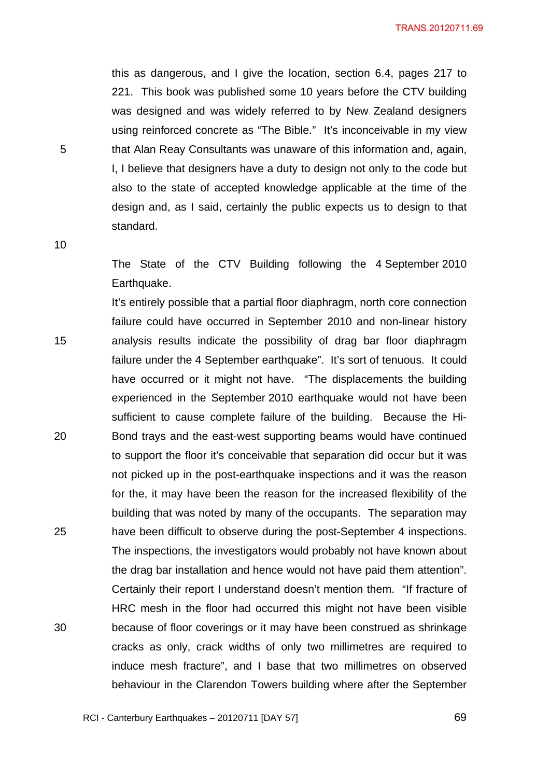this as dangerous, and I give the location, section 6.4, pages 217 to 221. This book was published some 10 years before the CTV building was designed and was widely referred to by New Zealand designers using reinforced concrete as "The Bible." It's inconceivable in my view that Alan Reay Consultants was unaware of this information and, again, I, I believe that designers have a duty to design not only to the code but also to the state of accepted knowledge applicable at the time of the design and, as I said, certainly the public expects us to design to that standard.

10

5

The State of the CTV Building following the 4 September 2010 Earthquake.

15 20 25 30 It's entirely possible that a partial floor diaphragm, north core connection failure could have occurred in September 2010 and non-linear history analysis results indicate the possibility of drag bar floor diaphragm failure under the 4 September earthquake". It's sort of tenuous. It could have occurred or it might not have. "The displacements the building experienced in the September 2010 earthquake would not have been sufficient to cause complete failure of the building. Because the Hi-Bond trays and the east-west supporting beams would have continued to support the floor it's conceivable that separation did occur but it was not picked up in the post-earthquake inspections and it was the reason for the, it may have been the reason for the increased flexibility of the building that was noted by many of the occupants. The separation may have been difficult to observe during the post-September 4 inspections. The inspections, the investigators would probably not have known about the drag bar installation and hence would not have paid them attention". Certainly their report I understand doesn't mention them. "If fracture of HRC mesh in the floor had occurred this might not have been visible because of floor coverings or it may have been construed as shrinkage cracks as only, crack widths of only two millimetres are required to induce mesh fracture", and I base that two millimetres on observed behaviour in the Clarendon Towers building where after the September

RCI - Canterbury Earthquakes – 20120711 [DAY 57]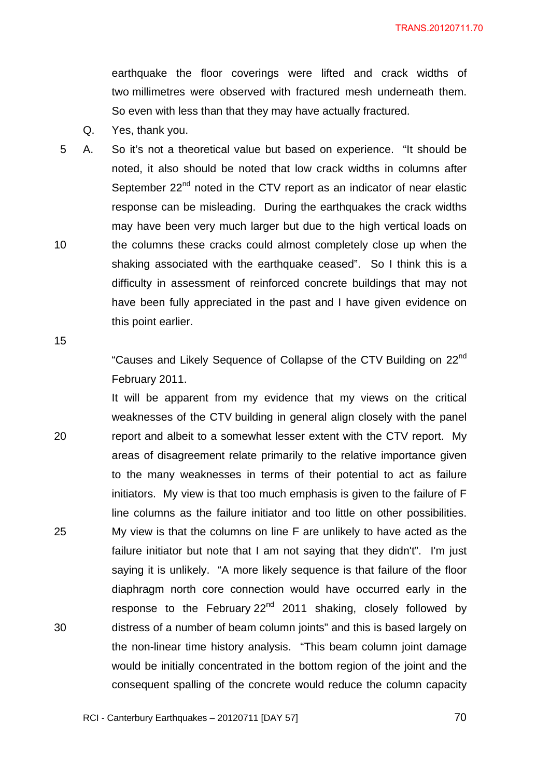earthquake the floor coverings were lifted and crack widths of two millimetres were observed with fractured mesh underneath them. So even with less than that they may have actually fractured.

- Q. Yes, thank you.
- 10 5 A. So it's not a theoretical value but based on experience. "It should be noted, it also should be noted that low crack widths in columns after September  $22<sup>nd</sup>$  noted in the CTV report as an indicator of near elastic response can be misleading. During the earthquakes the crack widths may have been very much larger but due to the high vertical loads on the columns these cracks could almost completely close up when the shaking associated with the earthquake ceased". So I think this is a difficulty in assessment of reinforced concrete buildings that may not have been fully appreciated in the past and I have given evidence on this point earlier.

15

"Causes and Likely Sequence of Collapse of the CTV Building on 22nd February 2011.

20 25 30 It will be apparent from my evidence that my views on the critical weaknesses of the CTV building in general align closely with the panel report and albeit to a somewhat lesser extent with the CTV report. My areas of disagreement relate primarily to the relative importance given to the many weaknesses in terms of their potential to act as failure initiators. My view is that too much emphasis is given to the failure of F line columns as the failure initiator and too little on other possibilities. My view is that the columns on line F are unlikely to have acted as the failure initiator but note that I am not saying that they didn't". I'm just saying it is unlikely. "A more likely sequence is that failure of the floor diaphragm north core connection would have occurred early in the response to the February 22<sup>nd</sup> 2011 shaking, closely followed by distress of a number of beam column joints" and this is based largely on the non-linear time history analysis. "This beam column joint damage would be initially concentrated in the bottom region of the joint and the consequent spalling of the concrete would reduce the column capacity

<u>2014 - Paris Carl The Carl To 2014 - 2014 - 2014 - 2014 - 2014 - 2014 - 2014 - 2014 - 2014 - 2014 - 2014 - 20</u>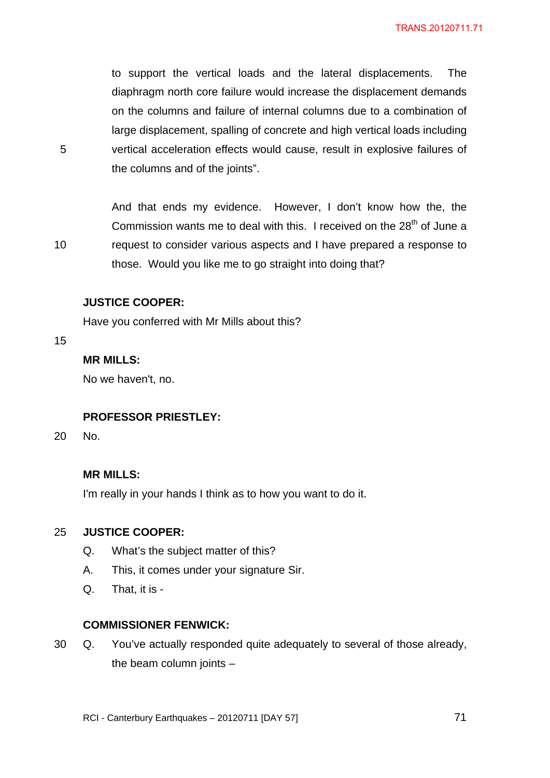to support the vertical loads and the lateral displacements. The diaphragm north core failure would increase the displacement demands on the columns and failure of internal columns due to a combination of large displacement, spalling of concrete and high vertical loads including vertical acceleration effects would cause, result in explosive failures of the columns and of the joints".

And that ends my evidence. However, I don't know how the, the Commission wants me to deal with this. I received on the 28<sup>th</sup> of June a request to consider various aspects and I have prepared a response to those. Would you like me to go straight into doing that?

### **JUSTICE COOPER:**

Have you conferred with Mr Mills about this?

15

10

5

# **MR MILLS:**

No we haven't, no.

#### **PROFESSOR PRIESTLEY:**

20 No.

### **MR MILLS:**

I'm really in your hands I think as to how you want to do it.

#### 25 **JUSTICE COOPER:**

- Q. What's the subject matter of this?
- A. This, it comes under your signature Sir.
- Q. That, it is -

### **COMMISSIONER FENWICK:**

30 Q. You've actually responded quite adequately to several of those already, the beam column joints –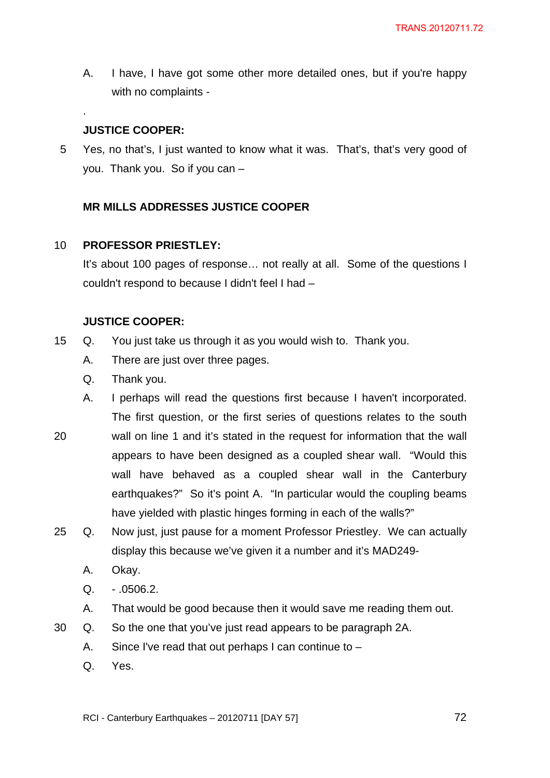A. I have, I have got some other more detailed ones, but if you're happy with no complaints -

# **JUSTICE COOPER:**

.

5 Yes, no that's, I just wanted to know what it was. That's, that's very good of you. Thank you. So if you can –

# **MR MILLS ADDRESSES JUSTICE COOPER**

#### 10 **PROFESSOR PRIESTLEY:**

It's about 100 pages of response… not really at all. Some of the questions I couldn't respond to because I didn't feel I had –

# **JUSTICE COOPER:**

- 15 Q. You just take us through it as you would wish to. Thank you.
	- A. There are just over three pages.
	- Q. Thank you.
	- A. I perhaps will read the questions first because I haven't incorporated. The first question, or the first series of questions relates to the south
- 20 wall on line 1 and it's stated in the request for information that the wall appears to have been designed as a coupled shear wall. "Would this wall have behaved as a coupled shear wall in the Canterbury earthquakes?" So it's point A. "In particular would the coupling beams have yielded with plastic hinges forming in each of the walls?"
- 25 Q. Now just, just pause for a moment Professor Priestley. We can actually display this because we've given it a number and it's MAD249-
	- A. Okay.
	- $Q. .0506.2.$
	- A. That would be good because then it would save me reading them out.
- 30 Q. So the one that you've just read appears to be paragraph 2A.
	- A. Since I've read that out perhaps I can continue to –
	- Q. Yes.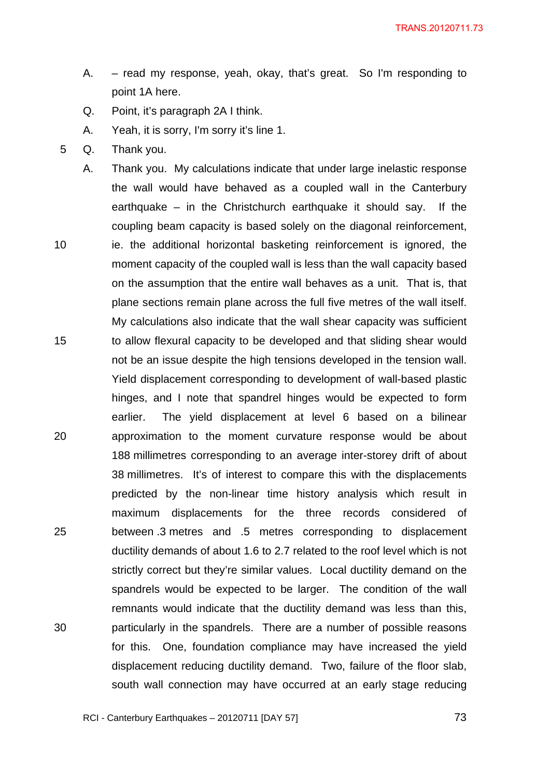- A. read my response, yeah, okay, that's great. So I'm responding to point 1A here.
- Q. Point, it's paragraph 2A I think.
- A. Yeah, it is sorry, I'm sorry it's line 1.
- 5 Q. Thank you.
- 10 15 20 25 30 A. Thank you. My calculations indicate that under large inelastic response the wall would have behaved as a coupled wall in the Canterbury earthquake – in the Christchurch earthquake it should say. If the coupling beam capacity is based solely on the diagonal reinforcement, ie. the additional horizontal basketing reinforcement is ignored, the moment capacity of the coupled wall is less than the wall capacity based on the assumption that the entire wall behaves as a unit. That is, that plane sections remain plane across the full five metres of the wall itself. My calculations also indicate that the wall shear capacity was sufficient to allow flexural capacity to be developed and that sliding shear would not be an issue despite the high tensions developed in the tension wall. Yield displacement corresponding to development of wall-based plastic hinges, and I note that spandrel hinges would be expected to form earlier. The yield displacement at level 6 based on a bilinear approximation to the moment curvature response would be about 188 millimetres corresponding to an average inter-storey drift of about 38 millimetres. It's of interest to compare this with the displacements predicted by the non-linear time history analysis which result in maximum displacements for the three records considered of between .3 metres and .5 metres corresponding to displacement ductility demands of about 1.6 to 2.7 related to the roof level which is not strictly correct but they're similar values. Local ductility demand on the spandrels would be expected to be larger. The condition of the wall remnants would indicate that the ductility demand was less than this, particularly in the spandrels. There are a number of possible reasons for this. One, foundation compliance may have increased the yield displacement reducing ductility demand. Two, failure of the floor slab, south wall connection may have occurred at an early stage reducing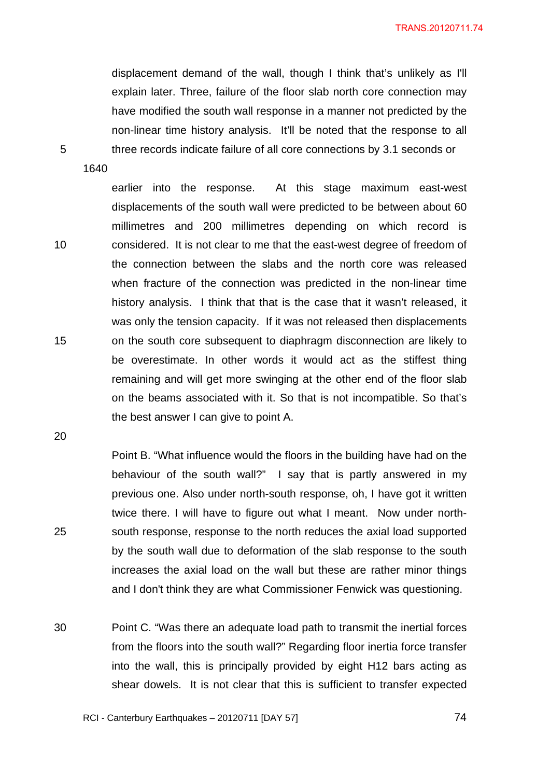displacement demand of the wall, though I think that's unlikely as I'll explain later. Three, failure of the floor slab north core connection may have modified the south wall response in a manner not predicted by the non-linear time history analysis. It'll be noted that the response to all three records indicate failure of all core connections by 3.1 seconds or

1640

5

10

15

earlier into the response. At this stage maximum east-west displacements of the south wall were predicted to be between about 60 millimetres and 200 millimetres depending on which record is considered. It is not clear to me that the east-west degree of freedom of the connection between the slabs and the north core was released when fracture of the connection was predicted in the non-linear time history analysis. I think that that is the case that it wasn't released, it was only the tension capacity. If it was not released then displacements on the south core subsequent to diaphragm disconnection are likely to be overestimate. In other words it would act as the stiffest thing remaining and will get more swinging at the other end of the floor slab on the beams associated with it. So that is not incompatible. So that's the best answer I can give to point A.

20

25

Point B. "What influence would the floors in the building have had on the behaviour of the south wall?" I say that is partly answered in my previous one. Also under north-south response, oh, I have got it written twice there. I will have to figure out what I meant. Now under northsouth response, response to the north reduces the axial load supported by the south wall due to deformation of the slab response to the south increases the axial load on the wall but these are rather minor things and I don't think they are what Commissioner Fenwick was questioning.

30 Point C. "Was there an adequate load path to transmit the inertial forces from the floors into the south wall?" Regarding floor inertia force transfer into the wall, this is principally provided by eight H12 bars acting as shear dowels. It is not clear that this is sufficient to transfer expected

<u>2001 - Paul Barbara, poeta e a francesa e a francesa e a francesa e a francesa e a francesa e a francesa e a f</u>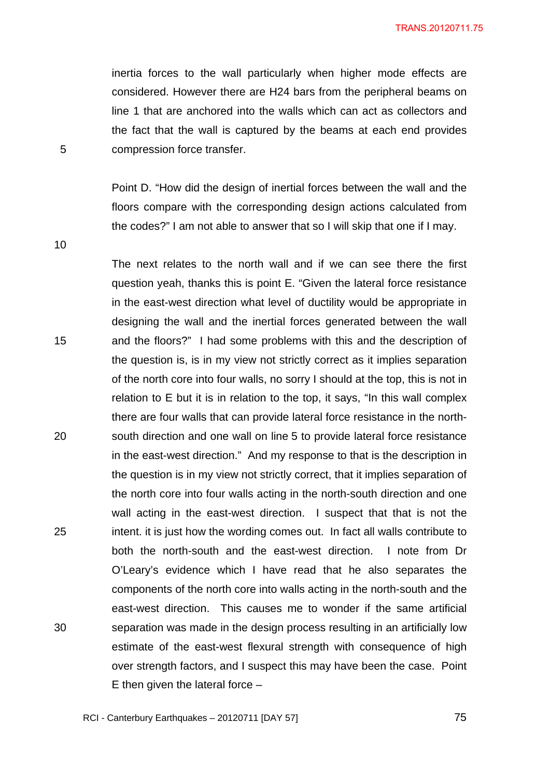inertia forces to the wall particularly when higher mode effects are considered. However there are H24 bars from the peripheral beams on line 1 that are anchored into the walls which can act as collectors and the fact that the wall is captured by the beams at each end provides compression force transfer.

Point D. "How did the design of inertial forces between the wall and the floors compare with the corresponding design actions calculated from the codes?" I am not able to answer that so I will skip that one if I may.

10

5

15 20 25 30 The next relates to the north wall and if we can see there the first question yeah, thanks this is point E. "Given the lateral force resistance in the east-west direction what level of ductility would be appropriate in designing the wall and the inertial forces generated between the wall and the floors?" I had some problems with this and the description of the question is, is in my view not strictly correct as it implies separation of the north core into four walls, no sorry I should at the top, this is not in relation to E but it is in relation to the top, it says, "In this wall complex there are four walls that can provide lateral force resistance in the northsouth direction and one wall on line 5 to provide lateral force resistance in the east-west direction." And my response to that is the description in the question is in my view not strictly correct, that it implies separation of the north core into four walls acting in the north-south direction and one wall acting in the east-west direction. I suspect that that is not the intent. it is just how the wording comes out. In fact all walls contribute to both the north-south and the east-west direction. I note from Dr O'Leary's evidence which I have read that he also separates the components of the north core into walls acting in the north-south and the east-west direction. This causes me to wonder if the same artificial separation was made in the design process resulting in an artificially low estimate of the east-west flexural strength with consequence of high over strength factors, and I suspect this may have been the case. Point E then given the lateral force  $-$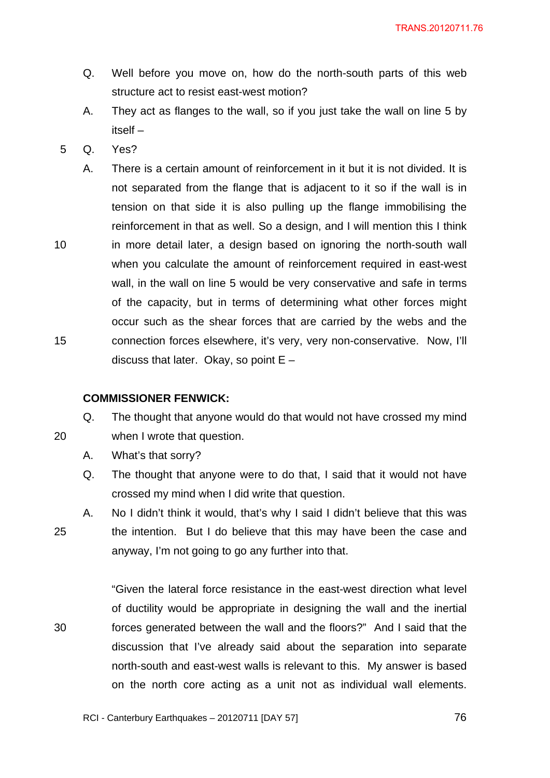- Q. Well before you move on, how do the north-south parts of this web structure act to resist east-west motion?
- A. They act as flanges to the wall, so if you just take the wall on line 5 by itself –
- 5 Q. Yes?
	- A. There is a certain amount of reinforcement in it but it is not divided. It is not separated from the flange that is adjacent to it so if the wall is in tension on that side it is also pulling up the flange immobilising the reinforcement in that as well. So a design, and I will mention this I think in more detail later, a design based on ignoring the north-south wall when you calculate the amount of reinforcement required in east-west wall, in the wall on line 5 would be very conservative and safe in terms of the capacity, but in terms of determining what other forces might occur such as the shear forces that are carried by the webs and the connection forces elsewhere, it's very, very non-conservative. Now, I'll discuss that later. Okay, so point  $E -$

## **COMMISSIONER FENWICK:**

Q. The thought that anyone would do that would not have crossed my mind

20

25

30

10

15

A. What's that sorry?

when I wrote that question.

Q. The thought that anyone were to do that, I said that it would not have crossed my mind when I did write that question.

A. No I didn't think it would, that's why I said I didn't believe that this was the intention. But I do believe that this may have been the case and anyway, I'm not going to go any further into that.

"Given the lateral force resistance in the east-west direction what level of ductility would be appropriate in designing the wall and the inertial forces generated between the wall and the floors?" And I said that the discussion that I've already said about the separation into separate north-south and east-west walls is relevant to this. My answer is based on the north core acting as a unit not as individual wall elements.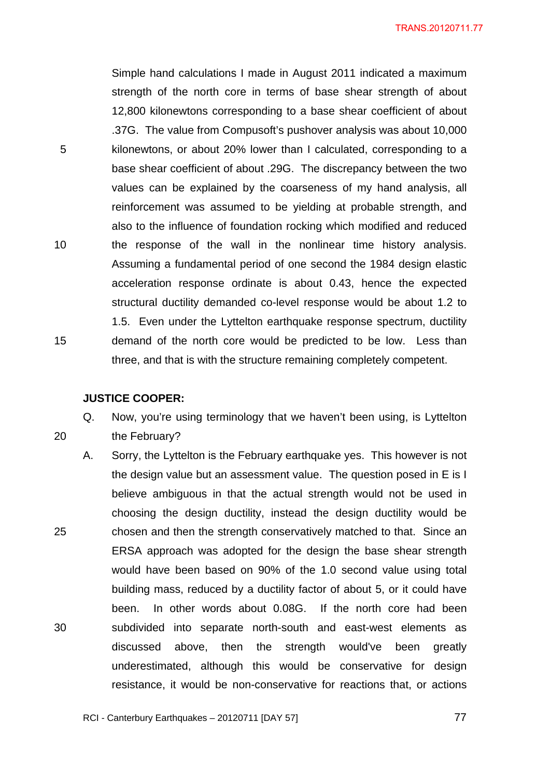Simple hand calculations I made in August 2011 indicated a maximum strength of the north core in terms of base shear strength of about 12,800 kilonewtons corresponding to a base shear coefficient of about .37G. The value from Compusoft's pushover analysis was about 10,000 kilonewtons, or about 20% lower than I calculated, corresponding to a base shear coefficient of about .29G. The discrepancy between the two values can be explained by the coarseness of my hand analysis, all reinforcement was assumed to be yielding at probable strength, and also to the influence of foundation rocking which modified and reduced the response of the wall in the nonlinear time history analysis. Assuming a fundamental period of one second the 1984 design elastic acceleration response ordinate is about 0.43, hence the expected structural ductility demanded co-level response would be about 1.2 to 1.5. Even under the Lyttelton earthquake response spectrum, ductility demand of the north core would be predicted to be low. Less than three, and that is with the structure remaining completely competent.

## **JUSTICE COOPER:**

5

10

15

20

Q. Now, you're using terminology that we haven't been using, is Lyttelton the February?

25 30 A. Sorry, the Lyttelton is the February earthquake yes. This however is not the design value but an assessment value. The question posed in E is I believe ambiguous in that the actual strength would not be used in choosing the design ductility, instead the design ductility would be chosen and then the strength conservatively matched to that. Since an ERSA approach was adopted for the design the base shear strength would have been based on 90% of the 1.0 second value using total building mass, reduced by a ductility factor of about 5, or it could have been. In other words about 0.08G. If the north core had been subdivided into separate north-south and east-west elements as discussed above, then the strength would've been greatly underestimated, although this would be conservative for design resistance, it would be non-conservative for reactions that, or actions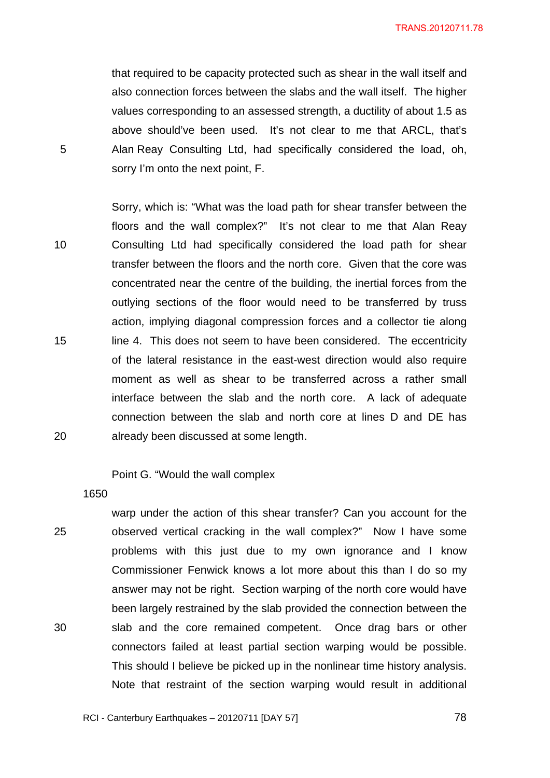TRANS.20120711.78

that required to be capacity protected such as shear in the wall itself and also connection forces between the slabs and the wall itself. The higher values corresponding to an assessed strength, a ductility of about 1.5 as above should've been used. It's not clear to me that ARCL, that's Alan Reay Consulting Ltd, had specifically considered the load, oh, sorry I'm onto the next point, F.

10 15 20 Sorry, which is: "What was the load path for shear transfer between the floors and the wall complex?" It's not clear to me that Alan Reay Consulting Ltd had specifically considered the load path for shear transfer between the floors and the north core. Given that the core was concentrated near the centre of the building, the inertial forces from the outlying sections of the floor would need to be transferred by truss action, implying diagonal compression forces and a collector tie along line 4. This does not seem to have been considered. The eccentricity of the lateral resistance in the east-west direction would also require moment as well as shear to be transferred across a rather small interface between the slab and the north core. A lack of adequate connection between the slab and north core at lines D and DE has already been discussed at some length.

Point G. "Would the wall complex

1650

5

25 30 warp under the action of this shear transfer? Can you account for the observed vertical cracking in the wall complex?" Now I have some problems with this just due to my own ignorance and I know Commissioner Fenwick knows a lot more about this than I do so my answer may not be right. Section warping of the north core would have been largely restrained by the slab provided the connection between the slab and the core remained competent. Once drag bars or other connectors failed at least partial section warping would be possible. This should I believe be picked up in the nonlinear time history analysis. Note that restraint of the section warping would result in additional

78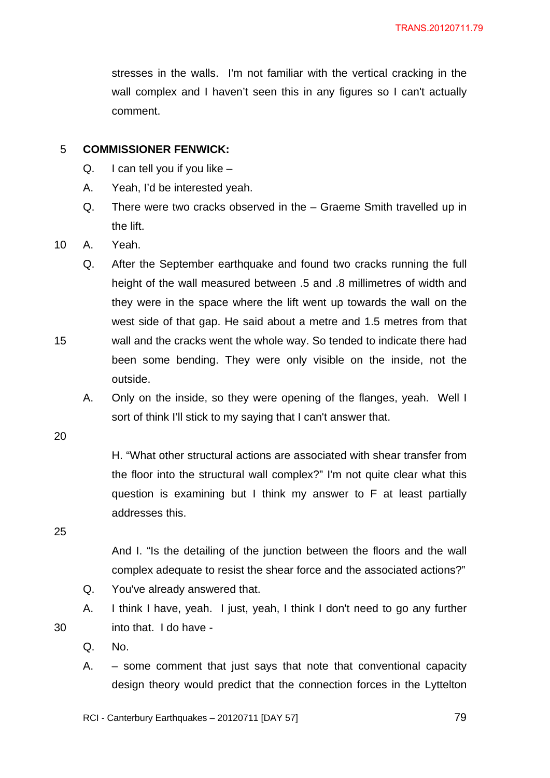stresses in the walls. I'm not familiar with the vertical cracking in the wall complex and I haven't seen this in any figures so I can't actually comment.

## 5 **COMMISSIONER FENWICK:**

- Q. I can tell you if you like –
- A. Yeah, I'd be interested yeah.
- Q. There were two cracks observed in the Graeme Smith travelled up in the lift.
- 10 A. Yeah.
	- Q. After the September earthquake and found two cracks running the full height of the wall measured between .5 and .8 millimetres of width and they were in the space where the lift went up towards the wall on the west side of that gap. He said about a metre and 1.5 metres from that wall and the cracks went the whole way. So tended to indicate there had been some bending. They were only visible on the inside, not the outside.
	- A. Only on the inside, so they were opening of the flanges, yeah. Well I sort of think I'll stick to my saying that I can't answer that.

20

15

H. "What other structural actions are associated with shear transfer from the floor into the structural wall complex?" I'm not quite clear what this question is examining but I think my answer to F at least partially addresses this.

25

30

And I. "Is the detailing of the junction between the floors and the wall complex adequate to resist the shear force and the associated actions?"

- Q. You've already answered that.
- A. I think I have, yeah. I just, yeah, I think I don't need to go any further into that. I do have -
- Q. No.
- A. some comment that just says that note that conventional capacity design theory would predict that the connection forces in the Lyttelton

RCI - Canterbury Earthquakes – 20120711 [DAY 57]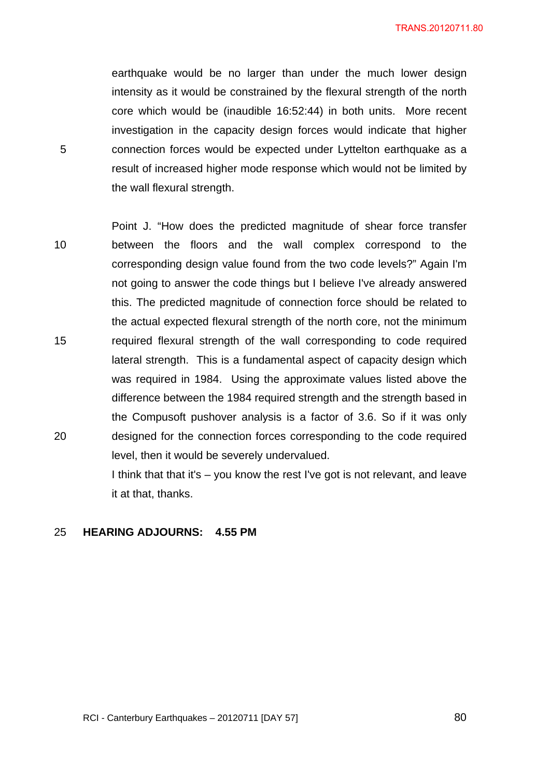TRANS.20120711.80

earthquake would be no larger than under the much lower design intensity as it would be constrained by the flexural strength of the north core which would be (inaudible 16:52:44) in both units. More recent investigation in the capacity design forces would indicate that higher connection forces would be expected under Lyttelton earthquake as a result of increased higher mode response which would not be limited by the wall flexural strength.

10 15 20 Point J. "How does the predicted magnitude of shear force transfer between the floors and the wall complex correspond to the corresponding design value found from the two code levels?" Again I'm not going to answer the code things but I believe I've already answered this. The predicted magnitude of connection force should be related to the actual expected flexural strength of the north core, not the minimum required flexural strength of the wall corresponding to code required lateral strength. This is a fundamental aspect of capacity design which was required in 1984. Using the approximate values listed above the difference between the 1984 required strength and the strength based in the Compusoft pushover analysis is a factor of 3.6. So if it was only designed for the connection forces corresponding to the code required level, then it would be severely undervalued.

> I think that that it's – you know the rest I've got is not relevant, and leave it at that, thanks.

25 **HEARING ADJOURNS: 4.55 PM** 

5